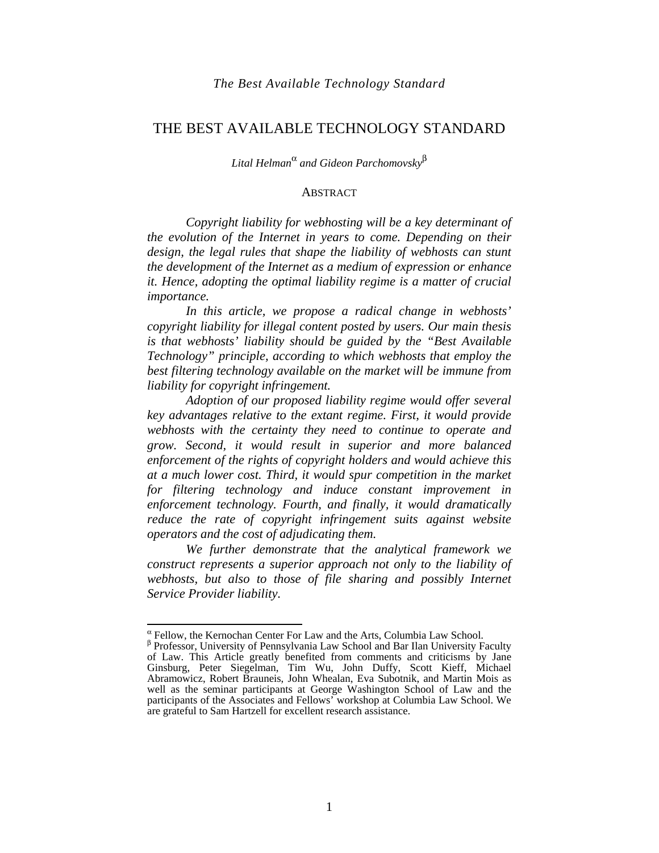## THE BEST AVAILABLE TECHNOLOGY STANDARD

*Lital Helman*<sup>α</sup>  *and Gideon Parchomovsky*<sup>β</sup>

#### **ABSTRACT**

*Copyright liability for webhosting will be a key determinant of the evolution of the Internet in years to come. Depending on their design, the legal rules that shape the liability of webhosts can stunt the development of the Internet as a medium of expression or enhance it. Hence, adopting the optimal liability regime is a matter of crucial importance.* 

*In this article, we propose a radical change in webhosts' copyright liability for illegal content posted by users. Our main thesis is that webhosts' liability should be guided by the "Best Available Technology" principle, according to which webhosts that employ the best filtering technology available on the market will be immune from liability for copyright infringement.* 

*Adoption of our proposed liability regime would offer several key advantages relative to the extant regime. First, it would provide webhosts with the certainty they need to continue to operate and grow. Second, it would result in superior and more balanced enforcement of the rights of copyright holders and would achieve this at a much lower cost. Third, it would spur competition in the market for filtering technology and induce constant improvement in enforcement technology. Fourth, and finally, it would dramatically reduce the rate of copyright infringement suits against website operators and the cost of adjudicating them.* 

*We further demonstrate that the analytical framework we construct represents a superior approach not only to the liability of*  webhosts, but also to those of file sharing and possibly Internet *Service Provider liability.* 

 $\alpha$  Fellow, the Kernochan Center For Law and the Arts, Columbia Law School.

β Professor, University of Pennsylvania Law School and Bar Ilan University Faculty of Law. This Article greatly benefited from comments and criticisms by Jane Ginsburg, Peter Siegelman, Tim Wu, John Duffy, Scott Kieff, Michael Abramowicz, Robert Brauneis, John Whealan, Eva Subotnik, and Martin Mois as well as the seminar participants at George Washington School of Law and the participants of the Associates and Fellows' workshop at Columbia Law School. We are grateful to Sam Hartzell for excellent research assistance.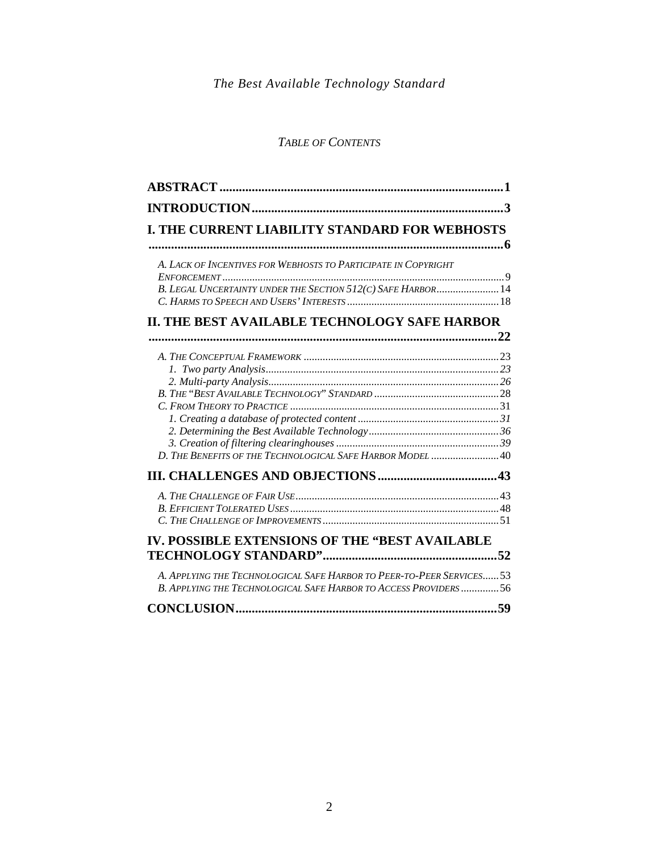# *TABLE OF CONTENTS*

|                                                                                                                                                 | 3 |
|-------------------------------------------------------------------------------------------------------------------------------------------------|---|
| I. THE CURRENT LIABILITY STANDARD FOR WEBHOSTS                                                                                                  |   |
|                                                                                                                                                 |   |
| A. LACK OF INCENTIVES FOR WEBHOSTS TO PARTICIPATE IN COPYRIGHT                                                                                  |   |
| B. LEGAL UNCERTAINTY UNDER THE SECTION 512(C) SAFE HARBOR 14                                                                                    |   |
| II. THE BEST AVAILABLE TECHNOLOGY SAFE HARBOR                                                                                                   |   |
|                                                                                                                                                 |   |
|                                                                                                                                                 |   |
|                                                                                                                                                 |   |
|                                                                                                                                                 |   |
|                                                                                                                                                 |   |
| D. THE BENEFITS OF THE TECHNOLOGICAL SAFE HARBOR MODEL 40                                                                                       |   |
|                                                                                                                                                 |   |
|                                                                                                                                                 |   |
| IV. POSSIBLE EXTENSIONS OF THE "BEST AVAILABLE                                                                                                  |   |
| A. APPLYING THE TECHNOLOGICAL SAFE HARBOR TO PEER-TO-PEER SERVICES53<br><b>B. APPLYING THE TECHNOLOGICAL SAFE HARBOR TO ACCESS PROVIDERS 56</b> |   |
|                                                                                                                                                 |   |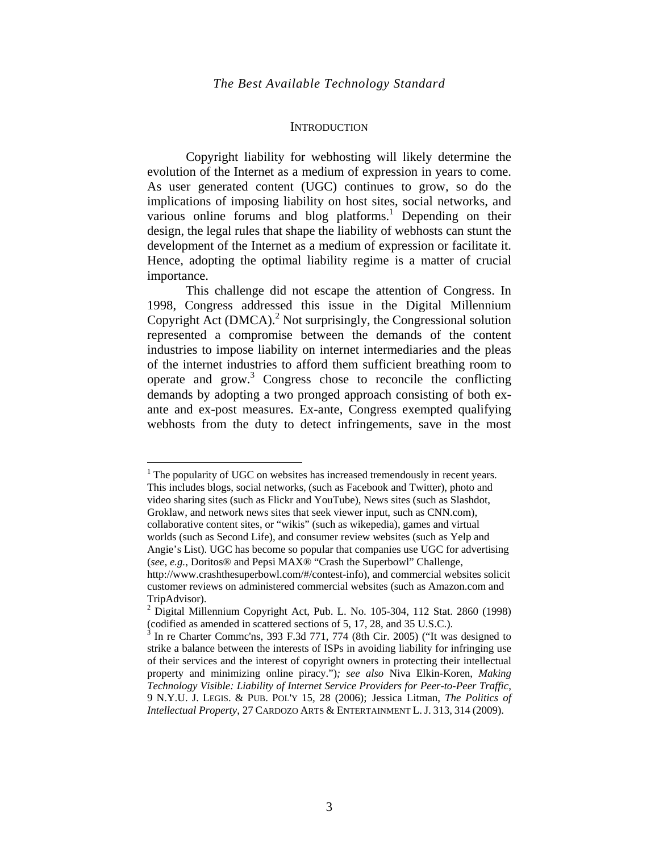#### **INTRODUCTION**

Copyright liability for webhosting will likely determine the evolution of the Internet as a medium of expression in years to come. As user generated content (UGC) continues to grow, so do the implications of imposing liability on host sites, social networks, and various online forums and blog platforms.<sup>1</sup> Depending on their design, the legal rules that shape the liability of webhosts can stunt the development of the Internet as a medium of expression or facilitate it. Hence, adopting the optimal liability regime is a matter of crucial importance.

This challenge did not escape the attention of Congress. In 1998, Congress addressed this issue in the Digital Millennium Copyright Act (DMCA).<sup>2</sup> Not surprisingly, the Congressional solution represented a compromise between the demands of the content industries to impose liability on internet intermediaries and the pleas of the internet industries to afford them sufficient breathing room to operate and grow.<sup>3</sup> Congress chose to reconcile the conflicting demands by adopting a two pronged approach consisting of both exante and ex-post measures. Ex-ante, Congress exempted qualifying webhosts from the duty to detect infringements, save in the most

 $1$ <sup>1</sup> The popularity of UGC on websites has increased tremendously in recent years. This includes blogs, social networks, (such as Facebook and Twitter), photo and video sharing sites (such as Flickr and YouTube), News sites (such as Slashdot, Groklaw, and network news sites that seek viewer input, such as CNN.com), collaborative content sites, or "wikis" (such as wikepedia), games and virtual worlds (such as Second Life), and consumer review websites (such as Yelp and Angie's List). UGC has become so popular that companies use UGC for advertising (*see, e.g.*, Doritos® and Pepsi MAX® "Crash the Superbowl" Challenge, http://www.crashthesuperbowl.com/#/contest-info)*,* and commercial websites solicit customer reviews on administered commercial websites (such as Amazon.com and TripAdvisor).

 $^2$  Digital Millennium Copyright Act, Pub. L. No. 105-304, 112 Stat. 2860 (1998) (codified as amended in scattered sections of 5, 17, 28, and 35 U.S.C.).

<sup>3</sup> In re Charter Commc'ns, 393 F.3d 771, 774 (8th Cir. 2005) ("It was designed to strike a balance between the interests of ISPs in avoiding liability for infringing use of their services and the interest of copyright owners in protecting their intellectual property and minimizing online piracy.")*; see also* Niva Elkin-Koren, *Making Technology Visible: Liability of Internet Service Providers for Peer-to-Peer Traffic*, 9 N.Y.U. J. LEGIS. & PUB. POL'Y 15*,* 28 (2006); Jessica Litman, *The Politics of Intellectual Property*, 27 CARDOZO ARTS & ENTERTAINMENT L. J. 313, 314 (2009).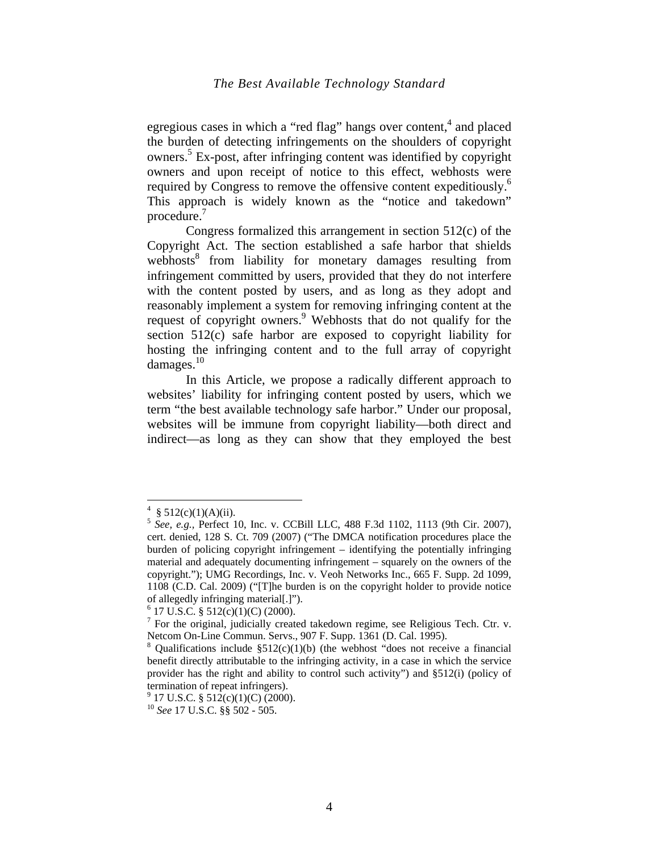egregious cases in which a "red flag" hangs over content, $4$  and placed the burden of detecting infringements on the shoulders of copyright owners.<sup>5</sup> Ex-post, after infringing content was identified by copyright owners and upon receipt of notice to this effect, webhosts were required by Congress to remove the offensive content expeditiously.<sup>6</sup> This approach is widely known as the "notice and takedown" procedure.<sup>7</sup>

Congress formalized this arrangement in section 512(c) of the Copyright Act. The section established a safe harbor that shields webhosts<sup>8</sup> from liability for monetary damages resulting from infringement committed by users, provided that they do not interfere with the content posted by users, and as long as they adopt and reasonably implement a system for removing infringing content at the request of copyright owners.<sup>9</sup> Webhosts that do not qualify for the section 512(c) safe harbor are exposed to copyright liability for hosting the infringing content and to the full array of copyright damages.10

In this Article, we propose a radically different approach to websites' liability for infringing content posted by users, which we term "the best available technology safe harbor." Under our proposal, websites will be immune from copyright liability—both direct and indirect—as long as they can show that they employed the best

<sup>4</sup>  $§ 512(c)(1)(A)(ii).$ 

<sup>&</sup>lt;sup>5</sup> See, e.g., Perfect 10, Inc. v. CCBill LLC, 488 F.3d 1102, 1113 (9th Cir. 2007), cert. denied, 128 S. Ct. 709 (2007) ("The DMCA notification procedures place the burden of policing copyright infringement – identifying the potentially infringing material and adequately documenting infringement – squarely on the owners of the copyright."); UMG Recordings, Inc. v. Veoh Networks Inc., 665 F. Supp. 2d 1099, 1108 (C.D. Cal. 2009) ("[T]he burden is on the copyright holder to provide notice of allegedly infringing material[.]").

 $6$  17 U.S.C. § 512(c)(1)(C) (2000).

 $7$  For the original, judicially created takedown regime, see Religious Tech. Ctr. v. Netcom On-Line Commun. Servs., 907 F. Supp. 1361 (D. Cal. 1995).

<sup>&</sup>lt;sup>8</sup> Qualifications include  $\S512(c)(1)(b)$  (the webhost "does not receive a financial benefit directly attributable to the infringing activity, in a case in which the service provider has the right and ability to control such activity") and §512(i) (policy of termination of repeat infringers).

 $9$  17 U.S.C. § 512(c)(1)(C) (2000).

<sup>10</sup> *See* 17 U.S.C. §§ 502 - 505.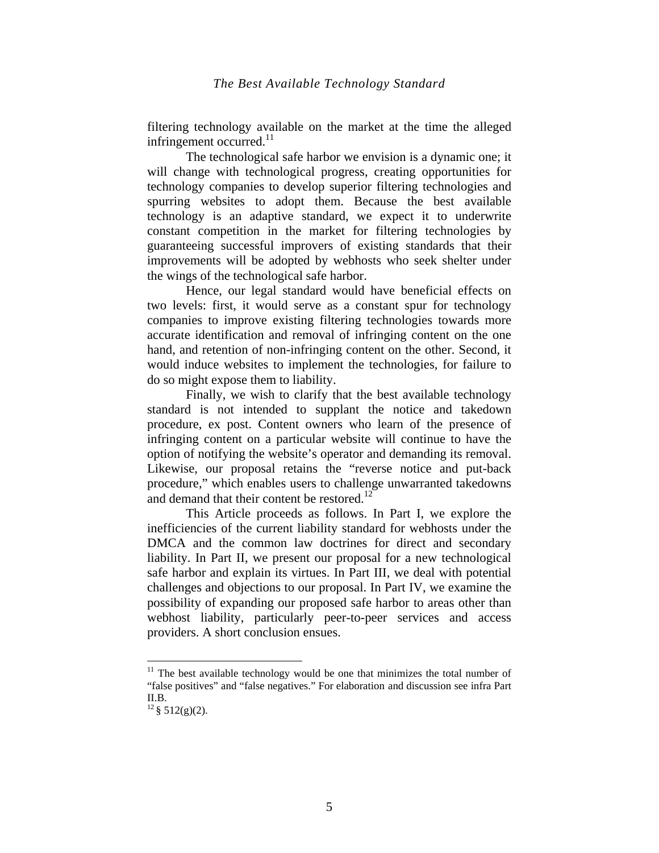filtering technology available on the market at the time the alleged infringement occurred. $11$ 

The technological safe harbor we envision is a dynamic one; it will change with technological progress, creating opportunities for technology companies to develop superior filtering technologies and spurring websites to adopt them. Because the best available technology is an adaptive standard, we expect it to underwrite constant competition in the market for filtering technologies by guaranteeing successful improvers of existing standards that their improvements will be adopted by webhosts who seek shelter under the wings of the technological safe harbor.

Hence, our legal standard would have beneficial effects on two levels: first, it would serve as a constant spur for technology companies to improve existing filtering technologies towards more accurate identification and removal of infringing content on the one hand, and retention of non-infringing content on the other. Second, it would induce websites to implement the technologies, for failure to do so might expose them to liability.

Finally, we wish to clarify that the best available technology standard is not intended to supplant the notice and takedown procedure, ex post. Content owners who learn of the presence of infringing content on a particular website will continue to have the option of notifying the website's operator and demanding its removal. Likewise, our proposal retains the "reverse notice and put-back procedure," which enables users to challenge unwarranted takedowns and demand that their content be restored.<sup>12</sup>

This Article proceeds as follows. In Part I, we explore the inefficiencies of the current liability standard for webhosts under the DMCA and the common law doctrines for direct and secondary liability. In Part II, we present our proposal for a new technological safe harbor and explain its virtues. In Part III, we deal with potential challenges and objections to our proposal. In Part IV, we examine the possibility of expanding our proposed safe harbor to areas other than webhost liability, particularly peer-to-peer services and access providers. A short conclusion ensues.

<sup>&</sup>lt;sup>11</sup> The best available technology would be one that minimizes the total number of "false positives" and "false negatives." For elaboration and discussion see infra Part II.B.

 $12 \S$  512(g)(2).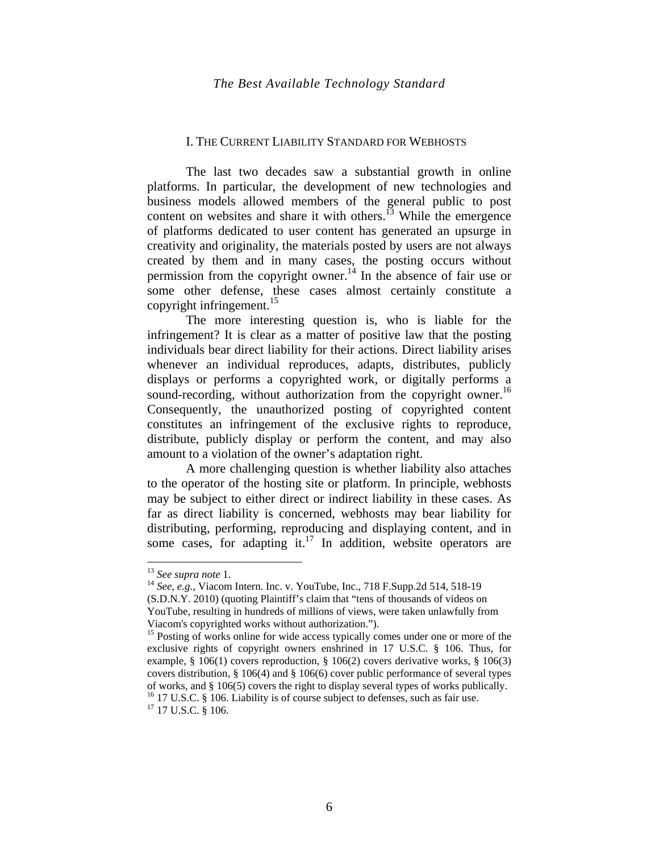#### I. THE CURRENT LIABILITY STANDARD FOR WEBHOSTS

The last two decades saw a substantial growth in online platforms. In particular, the development of new technologies and business models allowed members of the general public to post content on websites and share it with others.<sup>13</sup> While the emergence of platforms dedicated to user content has generated an upsurge in creativity and originality, the materials posted by users are not always created by them and in many cases, the posting occurs without permission from the copyright owner.<sup>14</sup> In the absence of fair use or some other defense, these cases almost certainly constitute a copyright infringement.<sup>15</sup>

The more interesting question is, who is liable for the infringement? It is clear as a matter of positive law that the posting individuals bear direct liability for their actions. Direct liability arises whenever an individual reproduces, adapts, distributes, publicly displays or performs a copyrighted work, or digitally performs a sound-recording, without authorization from the copyright owner.<sup>16</sup> Consequently, the unauthorized posting of copyrighted content constitutes an infringement of the exclusive rights to reproduce, distribute, publicly display or perform the content, and may also amount to a violation of the owner's adaptation right.

A more challenging question is whether liability also attaches to the operator of the hosting site or platform. In principle, webhosts may be subject to either direct or indirect liability in these cases. As far as direct liability is concerned, webhosts may bear liability for distributing, performing, reproducing and displaying content, and in some cases, for adapting it.<sup>17</sup> In addition, website operators are

<sup>&</sup>lt;sup>13</sup> *See supra note* 1.<br><sup>14</sup> *See, e.g.*, Viacom Intern. Inc. v. YouTube, Inc., 718 F.Supp.2d 514, 518-19 (S.D.N.Y. 2010) (quoting Plaintiff's claim that "tens of thousands of videos on YouTube, resulting in hundreds of millions of views, were taken unlawfully from Viacom's copyrighted works without authorization.").

<sup>&</sup>lt;sup>15</sup> Posting of works online for wide access typically comes under one or more of the exclusive rights of copyright owners enshrined in 17 U.S.C. § 106. Thus, for example, § 106(1) covers reproduction, § 106(2) covers derivative works, § 106(3) covers distribution,  $\S 106(4)$  and  $\S 106(6)$  cover public performance of several types of works, and § 106(5) covers the right to display several types of works publically. <sup>16</sup> 17 U.S.C. § 106. Liability is of course subject to defenses, such as fair use. <sup>17</sup> 17 U.S.C. § 106.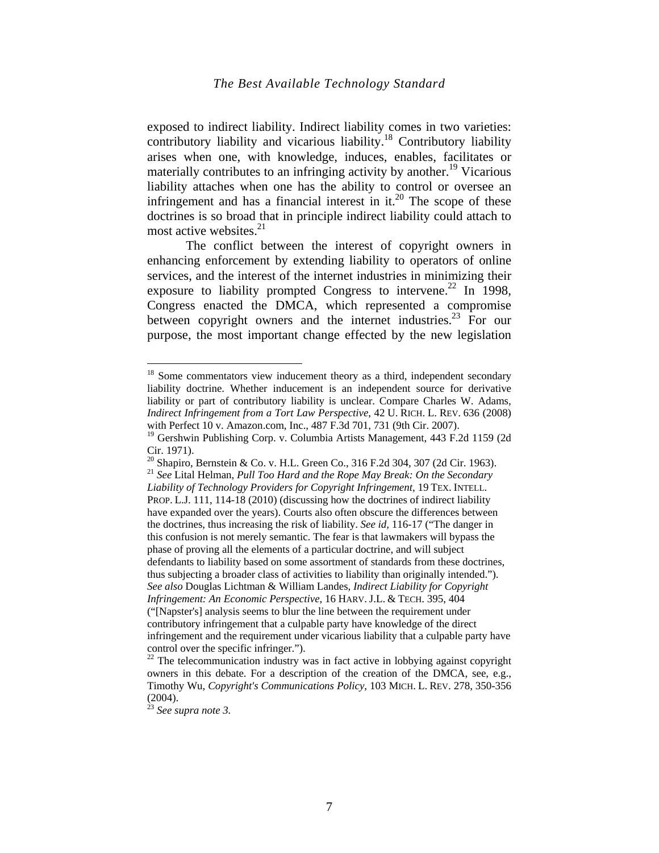exposed to indirect liability. Indirect liability comes in two varieties: contributory liability and vicarious liability.<sup>18</sup> Contributory liability arises when one, with knowledge, induces, enables, facilitates or materially contributes to an infringing activity by another.<sup>19</sup> Vicarious liability attaches when one has the ability to control or oversee an infringement and has a financial interest in  $it^{20}$ . The scope of these doctrines is so broad that in principle indirect liability could attach to most active websites. $21$ 

The conflict between the interest of copyright owners in enhancing enforcement by extending liability to operators of online services, and the interest of the internet industries in minimizing their exposure to liability prompted Congress to intervene.<sup>22</sup> In 1998, Congress enacted the DMCA, which represented a compromise between copyright owners and the internet industries.<sup>23</sup> For our purpose, the most important change effected by the new legislation

 $18$  Some commentators view inducement theory as a third, independent secondary liability doctrine. Whether inducement is an independent source for derivative liability or part of contributory liability is unclear. Compare Charles W. Adams, *Indirect Infringement from a Tort Law Perspective*, 42 U. RICH. L. REV. 636 (2008) with Perfect 10 v. Amazon.com, Inc., 487 F.3d 701, 731 (9th Cir. 2007).

<sup>&</sup>lt;sup>19</sup> Gershwin Publishing Corp. v. Columbia Artists Management, 443 F.2d 1159 (2d Cir. 1971).

<sup>&</sup>lt;sup>20</sup> Shapiro, Bernstein & Co. v. H.L. Green Co., 316 F.2d 304, 307 (2d Cir. 1963). <sup>21</sup> *See* Lital Helman, *Pull Too Hard and the Rope May Break: On the Secondary Liability of Technology Providers for Copyright Infringement*, 19 TEX. INTELL. PROP. L.J. 111, 114-18 (2010) (discussing how the doctrines of indirect liability have expanded over the years). Courts also often obscure the differences between the doctrines, thus increasing the risk of liability. *See id,* 116-17 ("The danger in this confusion is not merely semantic. The fear is that lawmakers will bypass the phase of proving all the elements of a particular doctrine, and will subject defendants to liability based on some assortment of standards from these doctrines, thus subjecting a broader class of activities to liability than originally intended."). *See also* Douglas Lichtman & William Landes, *Indirect Liability for Copyright Infringement: An Economic Perspective*, 16 HARV. J.L. & TECH. 395, 404 ("[Napster's] analysis seems to blur the line between the requirement under contributory infringement that a culpable party have knowledge of the direct infringement and the requirement under vicarious liability that a culpable party have control over the specific infringer.").

 $22$  The telecommunication industry was in fact active in lobbying against copyright owners in this debate. For a description of the creation of the DMCA, see, e.g., Timothy Wu, *Copyright's Communications Policy*, 103 MICH. L. REV. 278, 350-356 (2004).

<sup>23</sup> *See supra note 3.*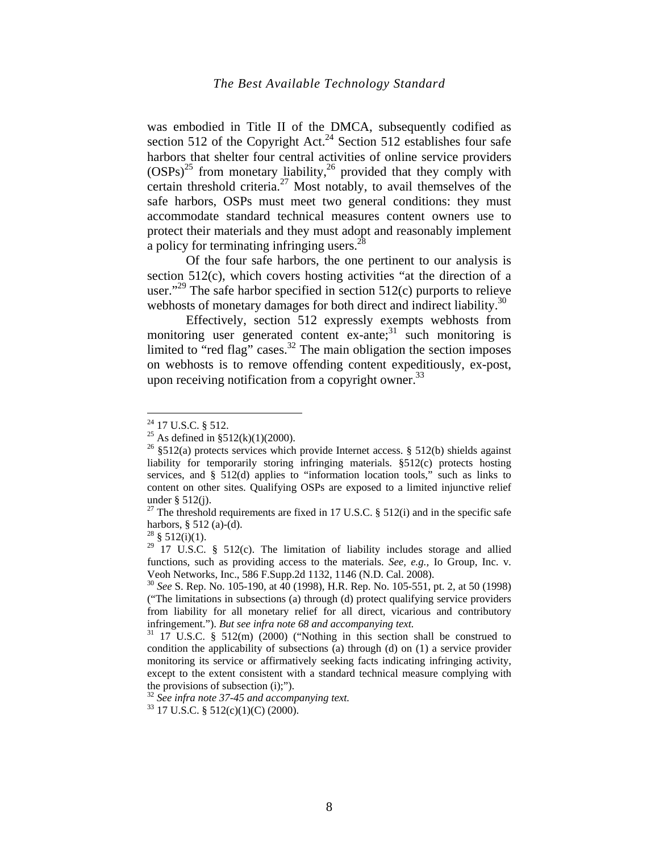was embodied in Title II of the DMCA, subsequently codified as section 512 of the Copyright Act.<sup>24</sup> Section 512 establishes four safe harbors that shelter four central activities of online service providers  $(OSPs)^{25}$  from monetary liability,<sup>26</sup> provided that they comply with certain threshold criteria.<sup>27</sup> Most notably, to avail themselves of the safe harbors, OSPs must meet two general conditions: they must accommodate standard technical measures content owners use to protect their materials and they must adopt and reasonably implement a policy for terminating infringing users. $^{28}$ 

Of the four safe harbors, the one pertinent to our analysis is section 512(c), which covers hosting activities "at the direction of a user."<sup>29</sup> The safe harbor specified in section  $512(c)$  purports to relieve webhosts of monetary damages for both direct and indirect liability.<sup>30</sup>

Effectively, section 512 expressly exempts webhosts from monitoring user generated content  $ex$ -ante;<sup>31</sup> such monitoring is limited to "red flag" cases. $32$  The main obligation the section imposes on webhosts is to remove offending content expeditiously, ex-post, upon receiving notification from a copyright owner.  $33$ 

 $24$  17 U.S.C. § 512.

<sup>&</sup>lt;sup>25</sup> As defined in §512(k)(1)(2000).

<sup>&</sup>lt;sup>26</sup> §512(a) protects services which provide Internet access. § 512(b) shields against liability for temporarily storing infringing materials. §512(c) protects hosting services, and § 512(d) applies to "information location tools," such as links to content on other sites. Qualifying OSPs are exposed to a limited injunctive relief under § 512(j).

<sup>&</sup>lt;sup>27</sup> The threshold requirements are fixed in 17 U.S.C. § 512(i) and in the specific safe harbors, § 512 (a)-(d).

<sup>&</sup>lt;sup>28</sup> § 512(i)(1).

 $29$  17 U.S.C. § 512(c). The limitation of liability includes storage and allied functions, such as providing access to the materials. *See, e.g.,* Io Group, Inc. v. Veoh Networks, Inc., 586 F.Supp.2d 1132, 1146 (N.D. Cal. 2008).

<sup>30</sup> *See* S. Rep. No. 105-190, at 40 (1998), H.R. Rep. No. 105-551, pt. 2, at 50 (1998) ("The limitations in subsections (a) through (d) protect qualifying service providers from liability for all monetary relief for all direct, vicarious and contributory infringement."). *But see infra note 68 and accompanying text.* 31 17 U.S.C. § 512(m) (2000) ("Nothing in this section shall be construed to

condition the applicability of subsections (a) through (d) on (1) a service provider monitoring its service or affirmatively seeking facts indicating infringing activity, except to the extent consistent with a standard technical measure complying with the provisions of subsection (i);").

<sup>32</sup> *See infra note 37-45 and accompanying text.* 33 17 U.S.C. § 512(c)(1)(C) (2000).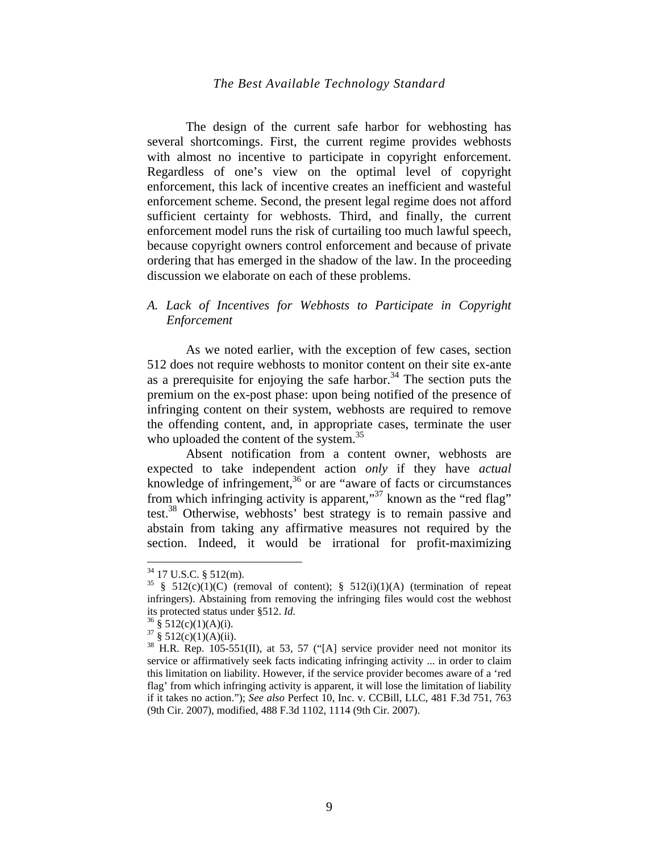The design of the current safe harbor for webhosting has several shortcomings. First, the current regime provides webhosts with almost no incentive to participate in copyright enforcement. Regardless of one's view on the optimal level of copyright enforcement, this lack of incentive creates an inefficient and wasteful enforcement scheme. Second, the present legal regime does not afford sufficient certainty for webhosts. Third, and finally, the current enforcement model runs the risk of curtailing too much lawful speech, because copyright owners control enforcement and because of private ordering that has emerged in the shadow of the law. In the proceeding discussion we elaborate on each of these problems.

# *A. Lack of Incentives for Webhosts to Participate in Copyright Enforcement*

As we noted earlier, with the exception of few cases, section 512 does not require webhosts to monitor content on their site ex-ante as a prerequisite for enjoying the safe harbor.<sup>34</sup> The section puts the premium on the ex-post phase: upon being notified of the presence of infringing content on their system, webhosts are required to remove the offending content, and, in appropriate cases, terminate the user who uploaded the content of the system.<sup>35</sup>

Absent notification from a content owner, webhosts are expected to take independent action *only* if they have *actual* knowledge of infringement, $36$  or are "aware of facts or circumstances" from which infringing activity is apparent,"<sup>37</sup> known as the "red flag" test.<sup>38</sup> Otherwise, webhosts' best strategy is to remain passive and abstain from taking any affirmative measures not required by the section. Indeed, it would be irrational for profit-maximizing

 $34$  17 U.S.C. § 512(m).

<sup>&</sup>lt;sup>35</sup> § 512(c)(1)(C) (removal of content); § 512(i)(1)(A) (termination of repeat infringers). Abstaining from removing the infringing files would cost the webhost its protected status under §512. *Id.* 36 § 512(c)(1)(A)(i).

 $37 \frac{\text{8}}{\text{8}} 512\text{(c)}(1)(A)(ii)$ .

<sup>&</sup>lt;sup>38</sup> H.R. Rep. 105-551(II), at 53, 57 ("[A] service provider need not monitor its service or affirmatively seek facts indicating infringing activity ... in order to claim this limitation on liability. However, if the service provider becomes aware of a 'red flag' from which infringing activity is apparent, it will lose the limitation of liability if it takes no action."); *See also* Perfect 10, Inc. v. CCBill, LLC, 481 F.3d 751, 763 (9th Cir. 2007), modified, 488 F.3d 1102, 1114 (9th Cir. 2007).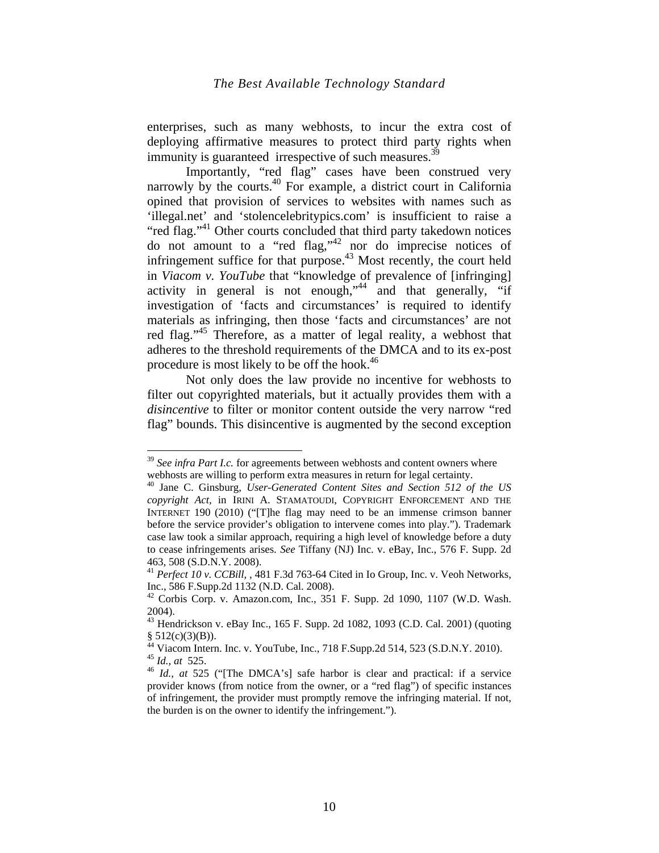enterprises, such as many webhosts, to incur the extra cost of deploying affirmative measures to protect third party rights when immunity is guaranteed irrespective of such measures.<sup>39</sup>

Importantly, "red flag" cases have been construed very narrowly by the courts.<sup>40</sup> For example, a district court in California opined that provision of services to websites with names such as 'illegal.net' and 'stolencelebritypics.com' is insufficient to raise a "red flag."<sup>41</sup> Other courts concluded that third party takedown notices do not amount to a "red flag," nor do imprecise notices of infringement suffice for that purpose.<sup>43</sup> Most recently, the court held in *Viacom v. YouTube* that "knowledge of prevalence of [infringing] activity in general is not enough,  $44$  and that generally, "if investigation of 'facts and circumstances' is required to identify materials as infringing, then those 'facts and circumstances' are not red flag."<sup>45</sup> Therefore, as a matter of legal reality, a webhost that adheres to the threshold requirements of the DMCA and to its ex-post procedure is most likely to be off the hook.<sup>46</sup>

Not only does the law provide no incentive for webhosts to filter out copyrighted materials, but it actually provides them with a *disincentive* to filter or monitor content outside the very narrow "red flag" bounds. This disincentive is augmented by the second exception

<sup>&</sup>lt;sup>39</sup> See infra Part I.c. for agreements between webhosts and content owners where webhosts are willing to perform extra measures in return for legal certainty.

<sup>40</sup> Jane C. Ginsburg, *User-Generated Content Sites and Section 512 of the US copyright Act,* in IRINI A. STAMATOUDI, COPYRIGHT ENFORCEMENT AND THE INTERNET 190 (2010) ("[T]he flag may need to be an immense crimson banner before the service provider's obligation to intervene comes into play."). Trademark case law took a similar approach, requiring a high level of knowledge before a duty to cease infringements arises. *See* Tiffany (NJ) Inc. v. eBay, Inc., 576 F. Supp. 2d 463, 508 (S.D.N.Y. 2008).

<sup>41</sup> *Perfect 10 v. CCBill,* , 481 F.3d 763-64 Cited in Io Group, Inc. v. Veoh Networks, Inc., 586 F.Supp.2d 1132 (N.D. Cal. 2008).

 $42$  Corbis Corp. v. Amazon.com, Inc., 351 F. Supp. 2d 1090, 1107 (W.D. Wash. 2004).

<sup>43</sup> Hendrickson v. eBay Inc., 165 F. Supp. 2d 1082, 1093 (C.D. Cal. 2001) (quoting  $§ 512(c)(3)(B)).$ 

 $^{44}$  Viacom Intern. Inc. v. YouTube, Inc., 718 F.Supp.2d 514, 523 (S.D.N.Y. 2010). <sup>45</sup> *Id., at* 525. 46 *Id., at* 525 ("[The DMCA's] safe harbor is clear and practical: if a service

provider knows (from notice from the owner, or a "red flag") of specific instances of infringement, the provider must promptly remove the infringing material. If not, the burden is on the owner to identify the infringement.").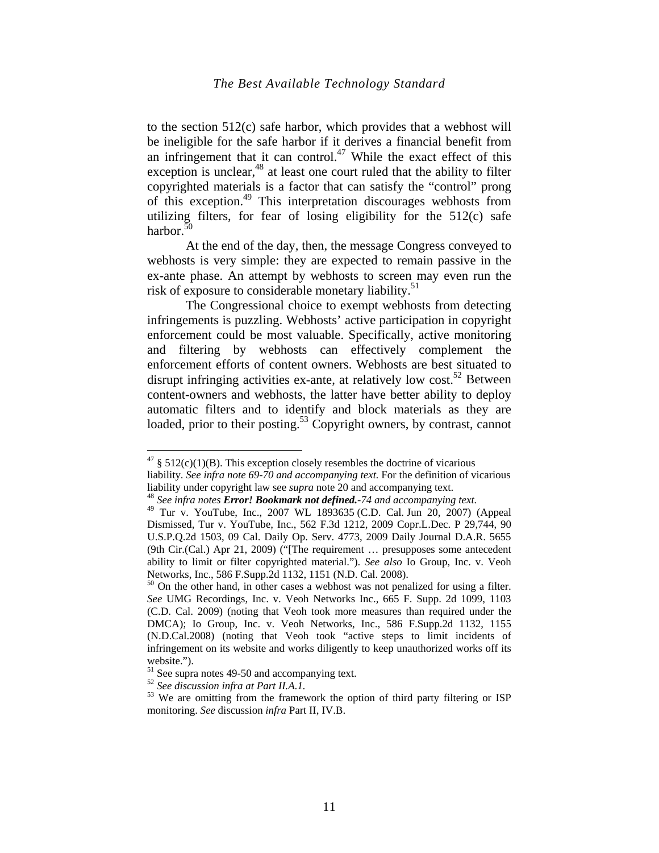to the section 512(c) safe harbor, which provides that a webhost will be ineligible for the safe harbor if it derives a financial benefit from an infringement that it can control.<sup>47</sup> While the exact effect of this exception is unclear, $48$  at least one court ruled that the ability to filter copyrighted materials is a factor that can satisfy the "control" prong of this exception.<sup>49</sup> This interpretation discourages webhosts from utilizing filters, for fear of losing eligibility for the  $512(c)$  safe harbor.<sup>50</sup>

At the end of the day, then, the message Congress conveyed to webhosts is very simple: they are expected to remain passive in the ex-ante phase. An attempt by webhosts to screen may even run the risk of exposure to considerable monetary liability.<sup>51</sup>

The Congressional choice to exempt webhosts from detecting infringements is puzzling. Webhosts' active participation in copyright enforcement could be most valuable. Specifically, active monitoring and filtering by webhosts can effectively complement the enforcement efforts of content owners. Webhosts are best situated to disrupt infringing activities ex-ante, at relatively low cost.<sup>52</sup> Between content-owners and webhosts, the latter have better ability to deploy automatic filters and to identify and block materials as they are loaded, prior to their posting.<sup>53</sup> Copyright owners, by contrast, cannot

 $47 \text{ }\frac{\text{g}}{\text{}} 512\text{ (c)}(1)(\text{B)}$ . This exception closely resembles the doctrine of vicarious liability. *See infra note 69-70 and accompanying text.* For the definition of vicarious liability under copyright law see *supra* note 20 and accompanying text. 48 *See infra notes Error! Bookmark not defined.-74 and accompanying text.* 

<sup>49</sup> Tur v. YouTube, Inc., 2007 WL 1893635 (C.D. Cal. Jun 20, 2007) (Appeal Dismissed, Tur v. YouTube, Inc., 562 F.3d 1212, 2009 Copr.L.Dec. P 29,744, 90 U.S.P.Q.2d 1503, 09 Cal. Daily Op. Serv. 4773, 2009 Daily Journal D.A.R. 5655 (9th Cir.(Cal.) Apr 21, 2009) ("[The requirement … presupposes some antecedent ability to limit or filter copyrighted material."). *See also* Io Group, Inc. v. Veoh Networks, Inc., 586 F.Supp.2d 1132, 1151 (N.D. Cal. 2008).

<sup>&</sup>lt;sup>50</sup> On the other hand, in other cases a webhost was not penalized for using a filter. *See* UMG Recordings, Inc. v. Veoh Networks Inc., 665 F. Supp. 2d 1099, 1103 (C.D. Cal. 2009) (noting that Veoh took more measures than required under the DMCA); Io Group, Inc. v. Veoh Networks, Inc., 586 F.Supp.2d 1132, 1155 (N.D.Cal.2008) (noting that Veoh took "active steps to limit incidents of infringement on its website and works diligently to keep unauthorized works off its website.").

<sup>&</sup>lt;sup>51</sup> See supra notes 49-50 and accompanying text.<br><sup>52</sup> See discussion infra at Part II.A.1.

<sup>&</sup>lt;sup>53</sup> We are omitting from the framework the option of third party filtering or ISP monitoring. *See* discussion *infra* Part II, IV.B.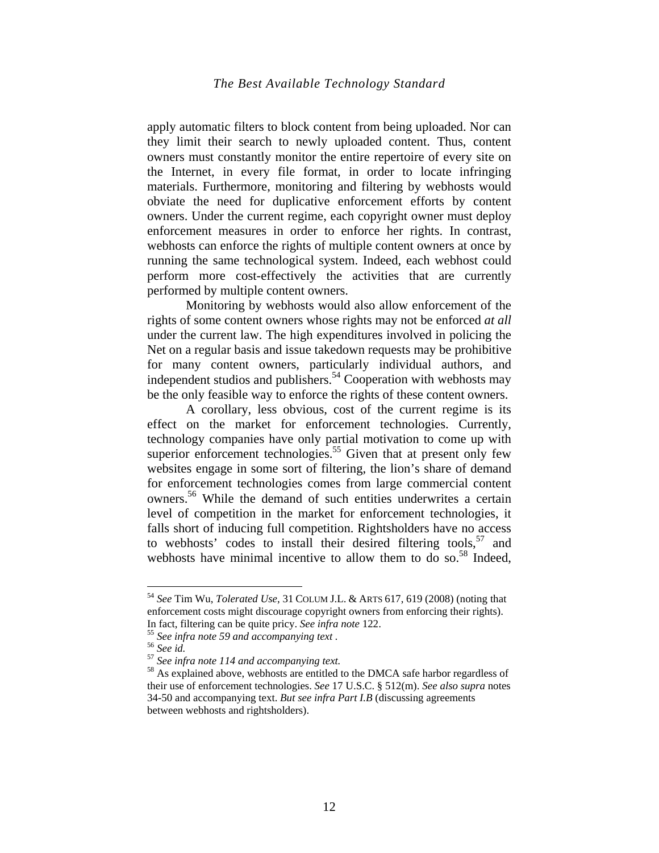apply automatic filters to block content from being uploaded. Nor can they limit their search to newly uploaded content. Thus, content owners must constantly monitor the entire repertoire of every site on the Internet, in every file format, in order to locate infringing materials. Furthermore, monitoring and filtering by webhosts would obviate the need for duplicative enforcement efforts by content owners. Under the current regime, each copyright owner must deploy enforcement measures in order to enforce her rights. In contrast, webhosts can enforce the rights of multiple content owners at once by running the same technological system. Indeed, each webhost could perform more cost-effectively the activities that are currently performed by multiple content owners.

Monitoring by webhosts would also allow enforcement of the rights of some content owners whose rights may not be enforced *at all* under the current law. The high expenditures involved in policing the Net on a regular basis and issue takedown requests may be prohibitive for many content owners, particularly individual authors, and independent studios and publishers.<sup>54</sup> Cooperation with webhosts may be the only feasible way to enforce the rights of these content owners.

A corollary, less obvious, cost of the current regime is its effect on the market for enforcement technologies. Currently, technology companies have only partial motivation to come up with superior enforcement technologies.<sup>55</sup> Given that at present only few websites engage in some sort of filtering, the lion's share of demand for enforcement technologies comes from large commercial content owners.<sup>56</sup> While the demand of such entities underwrites a certain level of competition in the market for enforcement technologies, it falls short of inducing full competition. Rightsholders have no access to webhosts' codes to install their desired filtering tools,  $57$  and webhosts have minimal incentive to allow them to do so.<sup>58</sup> Indeed,

<sup>54</sup> *See* Tim Wu, *Tolerated Use*, 31 COLUM J.L. & ARTS 617, 619 (2008) (noting that enforcement costs might discourage copyright owners from enforcing their rights).

In fact, filtering can be quite pricy. *See infra note* 122.<br>
<sup>55</sup> *See infra note* 59 *and accompanying text*.<br>
<sup>56</sup> *See id.*<br>
<sup>57</sup> *See infra note 114 and accompanying text.*<br>
<sup>58</sup> As explained above, webhosts are enti their use of enforcement technologies. *See* 17 U.S.C. § 512(m). *See also supra* notes 34-50 and accompanying text. *But see infra Part I.B* (discussing agreements between webhosts and rightsholders).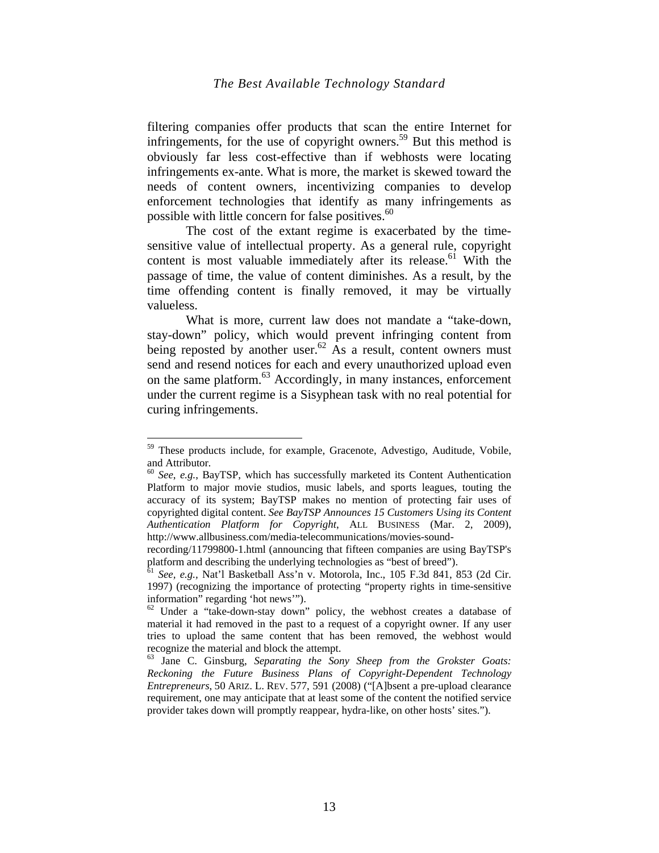filtering companies offer products that scan the entire Internet for infringements, for the use of copyright owners.<sup>59</sup> But this method is obviously far less cost-effective than if webhosts were locating infringements ex-ante. What is more, the market is skewed toward the needs of content owners, incentivizing companies to develop enforcement technologies that identify as many infringements as possible with little concern for false positives.<sup>60</sup>

The cost of the extant regime is exacerbated by the timesensitive value of intellectual property. As a general rule, copyright content is most valuable immediately after its release.<sup>61</sup> With the passage of time, the value of content diminishes. As a result, by the time offending content is finally removed, it may be virtually valueless.

What is more, current law does not mandate a "take-down, stay-down" policy, which would prevent infringing content from being reposted by another user.<sup>62</sup> As a result, content owners must send and resend notices for each and every unauthorized upload even on the same platform.<sup>63</sup> Accordingly, in many instances, enforcement under the current regime is a Sisyphean task with no real potential for curing infringements.

<sup>&</sup>lt;sup>59</sup> These products include, for example, Gracenote, Advestigo, Auditude, Vobile, and Attributor.

<sup>&</sup>lt;sup>60</sup> *See*, *e.g.*, BayTSP, which has successfully marketed its Content Authentication Platform to major movie studios, music labels, and sports leagues, touting the accuracy of its system; BayTSP makes no mention of protecting fair uses of copyrighted digital content. *See BayTSP Announces 15 Customers Using its Content Authentication Platform for Copyright*, ALL BUSINESS (Mar. 2, 2009), http://www.allbusiness.com/media-telecommunications/movies-sound-

recording/11799800-1.html (announcing that fifteen companies are using BayTSP's platform and describing the underlying technologies as "best of breed").

<sup>61</sup> *See, e.g.,* Nat'l Basketball Ass'n v. Motorola, Inc., 105 F.3d 841, 853 (2d Cir. 1997) (recognizing the importance of protecting "property rights in time-sensitive information" regarding 'hot news'").

<sup>&</sup>lt;sup>62</sup> Under a "take-down-stay down" policy, the webhost creates a database of material it had removed in the past to a request of a copyright owner. If any user tries to upload the same content that has been removed, the webhost would recognize the material and block the attempt.

<sup>63</sup> Jane C. Ginsburg, *Separating the Sony Sheep from the Grokster Goats: Reckoning the Future Business Plans of Copyright-Dependent Technology Entrepreneurs*, 50 ARIZ. L. REV. 577, 591 (2008) ("[A]bsent a pre-upload clearance requirement, one may anticipate that at least some of the content the notified service provider takes down will promptly reappear, hydra-like, on other hosts' sites.").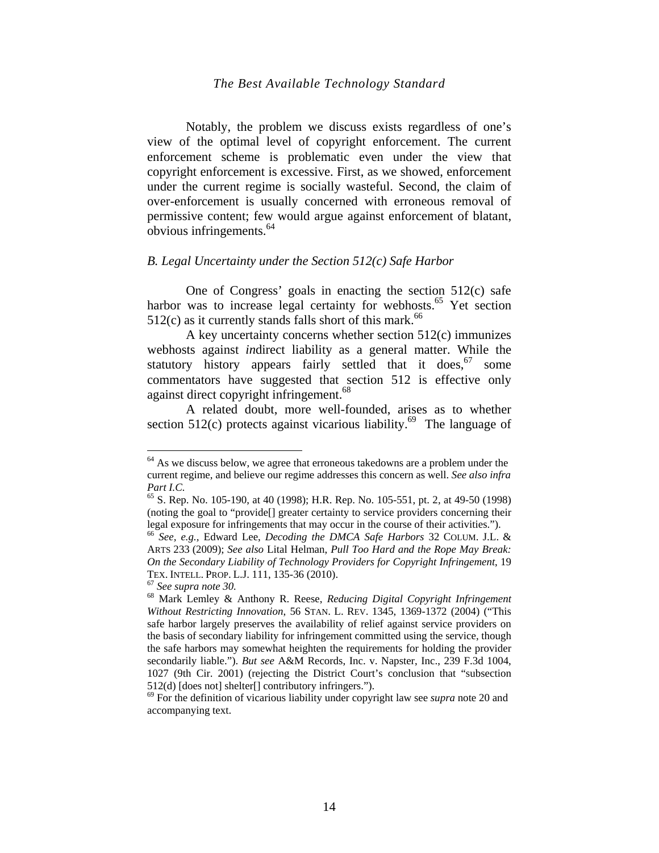Notably, the problem we discuss exists regardless of one's view of the optimal level of copyright enforcement. The current enforcement scheme is problematic even under the view that copyright enforcement is excessive. First, as we showed, enforcement under the current regime is socially wasteful. Second, the claim of over-enforcement is usually concerned with erroneous removal of permissive content; few would argue against enforcement of blatant, obvious infringements.64

## *B. Legal Uncertainty under the Section 512(c) Safe Harbor*

One of Congress' goals in enacting the section 512(c) safe harbor was to increase legal certainty for webhosts.<sup>65</sup> Yet section  $512(c)$  as it currently stands falls short of this mark.<sup>66</sup>

A key uncertainty concerns whether section 512(c) immunizes webhosts against *in*direct liability as a general matter. While the statutory history appears fairly settled that it does,<sup>67</sup> some commentators have suggested that section 512 is effective only against direct copyright infringement.<sup>68</sup>

A related doubt, more well-founded, arises as to whether section 512(c) protects against vicarious liability.<sup>69</sup> The language of

<sup>&</sup>lt;sup>64</sup> As we discuss below, we agree that erroneous takedowns are a problem under the current regime, and believe our regime addresses this concern as well. *See also infra Part I.C.* 

<sup>65</sup> S. Rep. No. 105-190, at 40 (1998); H.R. Rep. No. 105-551, pt. 2, at 49-50 (1998) (noting the goal to "provide[] greater certainty to service providers concerning their legal exposure for infringements that may occur in the course of their activities.").

<sup>66</sup> *See, e.g.,* Edward Lee, *Decoding the DMCA Safe Harbors* 32 COLUM. J.L. & ARTS 233 (2009); *See also* Lital Helman, *Pull Too Hard and the Rope May Break: On the Secondary Liability of Technology Providers for Copyright Infringement*, 19 TEX. INTELL. PROP. L.J. 111, 135-36 (2010).<br><sup>67</sup> *See supra note 30.*<br><sup>68</sup> Mark Lemley & Anthony R. Reese, *Reducing Digital Copyright Infringement* 

*Without Restricting Innovation*, 56 STAN. L. REV. 1345, 1369-1372 (2004) ("This safe harbor largely preserves the availability of relief against service providers on the basis of secondary liability for infringement committed using the service, though the safe harbors may somewhat heighten the requirements for holding the provider secondarily liable."). *But see* A&M Records, Inc. v. Napster, Inc., 239 F.3d 1004, 1027 (9th Cir. 2001) (rejecting the District Court's conclusion that "subsection 512(d) [does not] shelter[] contributory infringers.").

<sup>69</sup> For the definition of vicarious liability under copyright law see *supra* note 20 and accompanying text.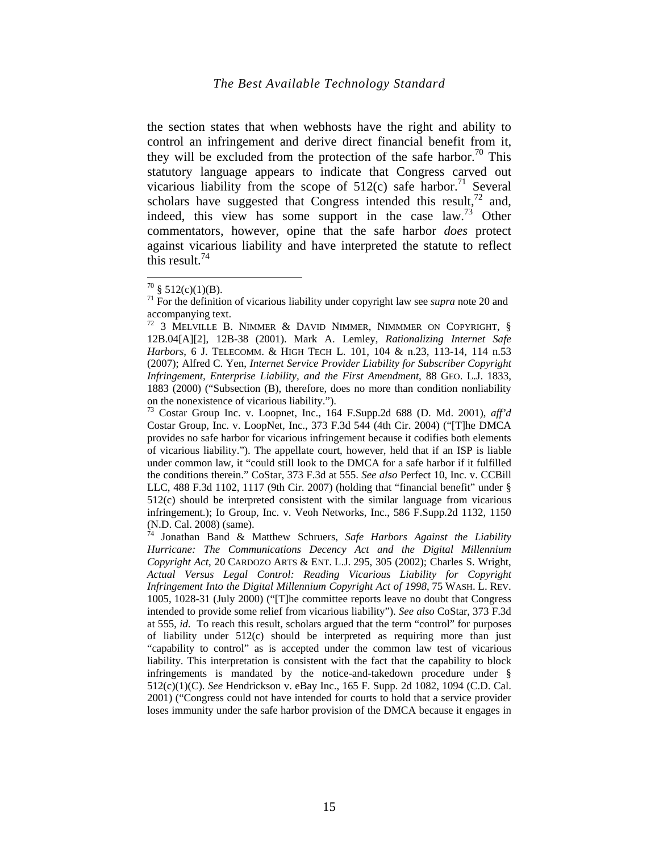the section states that when webhosts have the right and ability to control an infringement and derive direct financial benefit from it, they will be excluded from the protection of the safe harbor.<sup>70</sup> This statutory language appears to indicate that Congress carved out vicarious liability from the scope of  $512(c)$  safe harbor.<sup>71</sup> Several scholars have suggested that Congress intended this result,  $^{72}$  and, indeed, this view has some support in the case  $law^{3}$  Other commentators, however, opine that the safe harbor *does* protect against vicarious liability and have interpreted the statute to reflect this result. $^{74}$ 

 $^{70}$  § 512(c)(1)(B).

<sup>71</sup> For the definition of vicarious liability under copyright law see *supra* note 20 and accompanying text.

<sup>72 3</sup> MELVILLE B. NIMMER & DAVID NIMMER, NIMMMER ON COPYRIGHT, § 12B.04[A][2], 12B-38 (2001). Mark A. Lemley, *Rationalizing Internet Safe Harbors*, 6 J. TELECOMM. & HIGH TECH L. 101, 104 & n.23, 113-14, 114 n.53 (2007); Alfred C. Yen, *Internet Service Provider Liability for Subscriber Copyright Infringement, Enterprise Liability, and the First Amendment*, 88 GEO. L.J. 1833, 1883 (2000) ("Subsection (B), therefore, does no more than condition nonliability on the nonexistence of vicarious liability.").

<sup>73</sup> Costar Group Inc. v. Loopnet, Inc., 164 F.Supp.2d 688 (D. Md. 2001), *aff'd*  Costar Group, Inc. v. LoopNet, Inc., 373 F.3d 544 (4th Cir. 2004) ("[T]he DMCA provides no safe harbor for vicarious infringement because it codifies both elements of vicarious liability."). The appellate court, however, held that if an ISP is liable under common law, it "could still look to the DMCA for a safe harbor if it fulfilled the conditions therein." CoStar, 373 F.3d at 555. *See also* Perfect 10, Inc. v. CCBill LLC, 488 F.3d 1102, 1117 (9th Cir. 2007) (holding that "financial benefit" under § 512(c) should be interpreted consistent with the similar language from vicarious infringement.); Io Group, Inc. v. Veoh Networks, Inc., 586 F.Supp.2d 1132, 1150 (N.D. Cal. 2008) (same).

<sup>74</sup> Jonathan Band & Matthew Schruers, *Safe Harbors Against the Liability Hurricane: The Communications Decency Act and the Digital Millennium Copyright Act*, 20 CARDOZO ARTS & ENT. L.J. 295, 305 (2002); Charles S. Wright, *Actual Versus Legal Control: Reading Vicarious Liability for Copyright Infringement Into the Digital Millennium Copyright Act of 1998*, 75 WASH. L. REV. 1005, 1028-31 (July 2000) ("[T]he committee reports leave no doubt that Congress intended to provide some relief from vicarious liability"). *See also* CoStar, 373 F.3d at 555, *id.* To reach this result, scholars argued that the term "control" for purposes of liability under 512(c) should be interpreted as requiring more than just "capability to control" as is accepted under the common law test of vicarious liability. This interpretation is consistent with the fact that the capability to block infringements is mandated by the notice-and-takedown procedure under § 512(c)(1)(C). *See* Hendrickson v. eBay Inc., 165 F. Supp. 2d 1082, 1094 (C.D. Cal. 2001) ("Congress could not have intended for courts to hold that a service provider loses immunity under the safe harbor provision of the DMCA because it engages in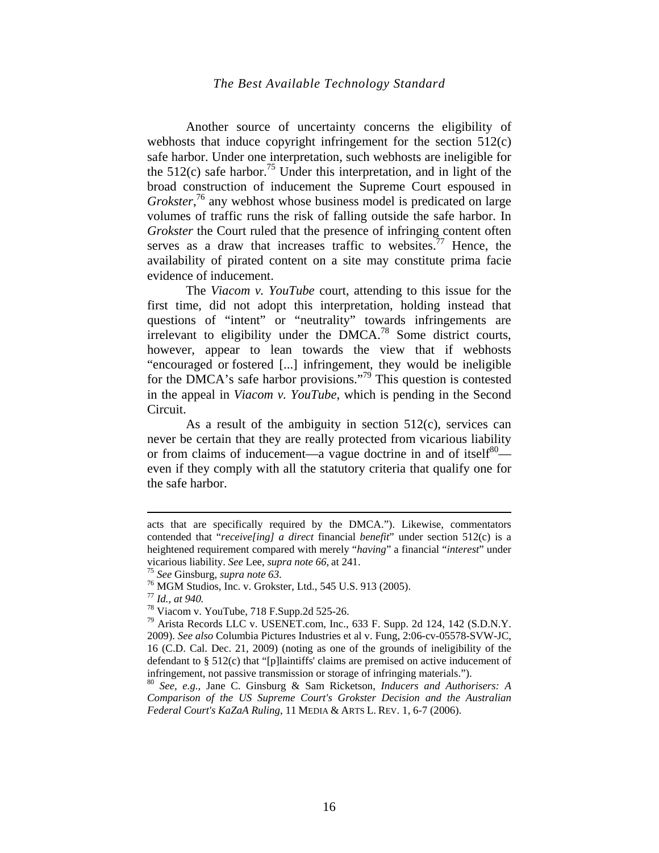Another source of uncertainty concerns the eligibility of webhosts that induce copyright infringement for the section 512(c) safe harbor. Under one interpretation, such webhosts are ineligible for the  $512(c)$  safe harbor.<sup>75</sup> Under this interpretation, and in light of the broad construction of inducement the Supreme Court espoused in Grokster,<sup>76</sup> any webhost whose business model is predicated on large volumes of traffic runs the risk of falling outside the safe harbor. In *Grokster* the Court ruled that the presence of infringing content often serves as a draw that increases traffic to websites.<sup>77</sup> Hence, the availability of pirated content on a site may constitute prima facie evidence of inducement.

The *Viacom v. YouTube* court, attending to this issue for the first time, did not adopt this interpretation, holding instead that questions of "intent" or "neutrality" towards infringements are irrelevant to eligibility under the DMCA.78 Some district courts, however, appear to lean towards the view that if webhosts "encouraged or fostered [...] infringement, they would be ineligible for the DMCA's safe harbor provisions."<sup>79</sup> This question is contested in the appeal in *Viacom v. YouTube*, which is pending in the Second Circuit.

As a result of the ambiguity in section 512(c), services can never be certain that they are really protected from vicarious liability or from claims of inducement—a vague doctrine in and of itself<sup>80</sup> even if they comply with all the statutory criteria that qualify one for the safe harbor.

acts that are specifically required by the DMCA."). Likewise, commentators contended that "*receive[ing] a direct* financial *benefit*" under section 512(c) is a heightened requirement compared with merely "*having*" a financial "*interest*" under

<sup>&</sup>lt;sup>75</sup> See Ginsburg, *supra note 63*.<br><sup>76</sup> MGM Studios, Inc. v. Grokster, Ltd., 545 U.S. 913 (2005).<br><sup>77</sup> Id., at 940.

<sup>&</sup>lt;sup>78</sup> Viacom v. YouTube, 718 F.Supp.2d 525-26.

<sup>79</sup> Arista Records LLC v. USENET.com, Inc., 633 F. Supp. 2d 124, 142 (S.D.N.Y. 2009). *See also* Columbia Pictures Industries et al v. Fung, 2:06-cv-05578-SVW-JC, 16 (C.D. Cal. Dec. 21, 2009) (noting as one of the grounds of ineligibility of the defendant to § 512(c) that "[p]laintiffs' claims are premised on active inducement of infringement, not passive transmission or storage of infringing materials.").

<sup>80</sup> *See, e.g.,* Jane C. Ginsburg & Sam Ricketson, *Inducers and Authorisers: A Comparison of the US Supreme Court's Grokster Decision and the Australian Federal Court's KaZaA Ruling*, 11 MEDIA & ARTS L. REV. 1, 6-7 (2006).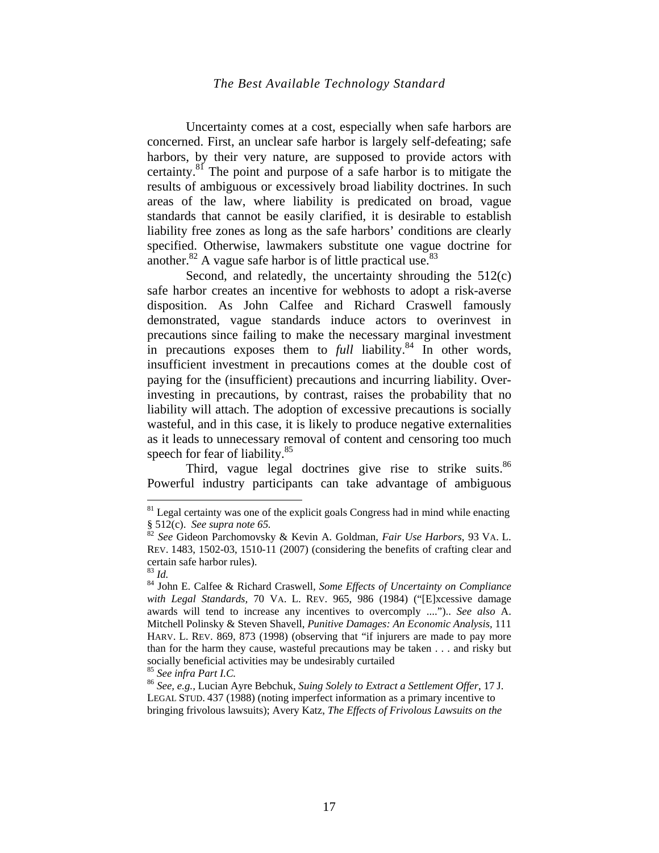Uncertainty comes at a cost, especially when safe harbors are concerned. First, an unclear safe harbor is largely self-defeating; safe harbors, by their very nature, are supposed to provide actors with certainty.81 The point and purpose of a safe harbor is to mitigate the results of ambiguous or excessively broad liability doctrines. In such areas of the law, where liability is predicated on broad, vague standards that cannot be easily clarified, it is desirable to establish liability free zones as long as the safe harbors' conditions are clearly specified. Otherwise, lawmakers substitute one vague doctrine for another. $82$  A vague safe harbor is of little practical use. $83$ 

Second, and relatedly, the uncertainty shrouding the 512(c) safe harbor creates an incentive for webhosts to adopt a risk-averse disposition. As John Calfee and Richard Craswell famously demonstrated, vague standards induce actors to overinvest in precautions since failing to make the necessary marginal investment in precautions exposes them to *full* liability.<sup>84</sup> In other words, insufficient investment in precautions comes at the double cost of paying for the (insufficient) precautions and incurring liability. Overinvesting in precautions, by contrast, raises the probability that no liability will attach. The adoption of excessive precautions is socially wasteful, and in this case, it is likely to produce negative externalities as it leads to unnecessary removal of content and censoring too much speech for fear of liability.<sup>85</sup>

Third, vague legal doctrines give rise to strike suits.<sup>86</sup> Powerful industry participants can take advantage of ambiguous

<sup>&</sup>lt;sup>81</sup> Legal certainty was one of the explicit goals Congress had in mind while enacting § 512(c). *See supra note* 65.

<sup>§ 512(</sup>c). *See supra note 65.* <sup>82</sup> *See* Gideon Parchomovsky & Kevin A. Goldman, *Fair Use Harbors*, 93 VA. L. REV. 1483, 1502-03, 1510-11 (2007) (considering the benefits of crafting clear and certain safe harbor rules).<br> $83$  *Id.* 

<sup>83</sup> *Id.* 84 John E. Calfee & Richard Craswell*, Some Effects of Uncertainty on Compliance with Legal Standards,* 70 VA. L. REV. 965, 986 (1984) ("[E]xcessive damage awards will tend to increase any incentives to overcomply ....").. *See also* A. Mitchell Polinsky & Steven Shavell, *Punitive Damages: An Economic Analysis,* 111 HARV. L. REV. 869, 873 (1998) (observing that "if injurers are made to pay more than for the harm they cause, wasteful precautions may be taken . . . and risky but socially beneficial activities may be undesirably curtailed <sup>85</sup> See infra Part I.C.

<sup>&</sup>lt;sup>86</sup> See, e.g., Lucian Ayre Bebchuk, *Suing Solely to Extract a Settlement Offer*, 17 J. LEGAL STUD. 437 (1988) (noting imperfect information as a primary incentive to bringing frivolous lawsuits); Avery Katz, *The Effects of Frivolous Lawsuits on the*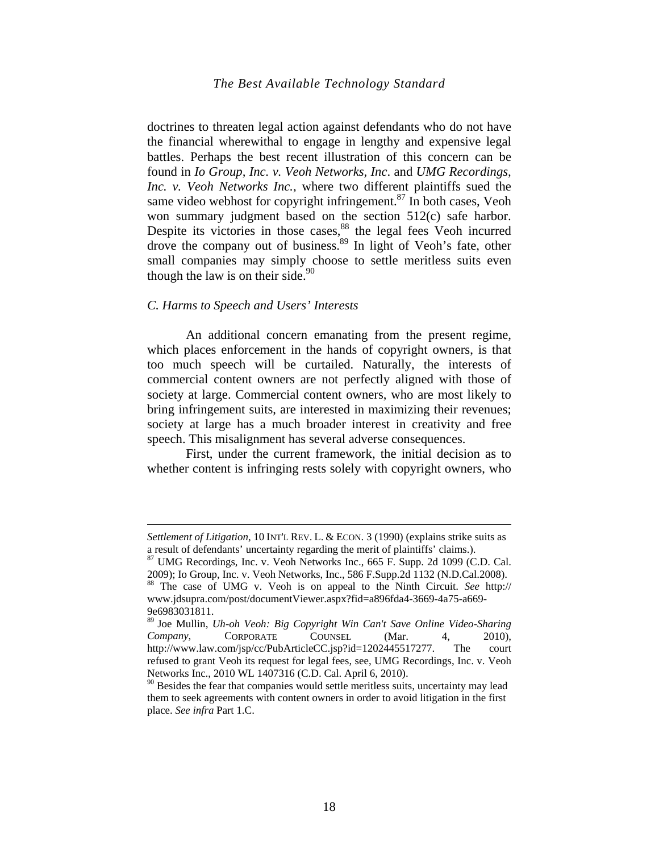doctrines to threaten legal action against defendants who do not have the financial wherewithal to engage in lengthy and expensive legal battles. Perhaps the best recent illustration of this concern can be found in *Io Group, Inc. v. Veoh Networks, Inc*. and *UMG Recordings, Inc. v. Veoh Networks Inc.*, where two different plaintiffs sued the same video webhost for copyright infringement. $87$  In both cases, Veoh won summary judgment based on the section 512(c) safe harbor. Despite its victories in those cases, $88$  the legal fees Veoh incurred drove the company out of business.<sup>89</sup> In light of Veoh's fate, other small companies may simply choose to settle meritless suits even though the law is on their side. $90$ 

#### *C. Harms to Speech and Users' Interests*

<u>.</u>

An additional concern emanating from the present regime, which places enforcement in the hands of copyright owners, is that too much speech will be curtailed. Naturally, the interests of commercial content owners are not perfectly aligned with those of society at large. Commercial content owners, who are most likely to bring infringement suits, are interested in maximizing their revenues; society at large has a much broader interest in creativity and free speech. This misalignment has several adverse consequences.

First, under the current framework, the initial decision as to whether content is infringing rests solely with copyright owners, who

*Settlement of Litigation*, 10 INT'L REV. L. & ECON. 3 (1990) (explains strike suits as a result of defendants' uncertainty regarding the merit of plaintiffs' claims.).

<sup>87</sup> UMG Recordings, Inc. v. Veoh Networks Inc., 665 F. Supp. 2d 1099 (C.D. Cal. 2009); Io Group, Inc. v. Veoh Networks, Inc., 586 F.Supp.2d 1132 (N.D.Cal.2008).

<sup>88</sup> The case of UMG v. Veoh is on appeal to the Ninth Circuit. *See* http:// www.jdsupra.com/post/documentViewer.aspx?fid=a896fda4-3669-4a75-a669- 9e6983031811.

<sup>89</sup> Joe Mullin, *Uh-oh Veoh: Big Copyright Win Can't Save Online Video-Sharing Company*, CORPORATE COUNSEL (Mar. 4, 2010), http://www.law.com/jsp/cc/PubArticleCC.jsp?id=1202445517277. The court refused to grant Veoh its request for legal fees, see, UMG Recordings, Inc. v. Veoh Networks Inc., 2010 WL 1407316 (C.D. Cal. April 6, 2010).

 $90$  Besides the fear that companies would settle meritless suits, uncertainty may lead them to seek agreements with content owners in order to avoid litigation in the first place. *See infra* Part 1.C.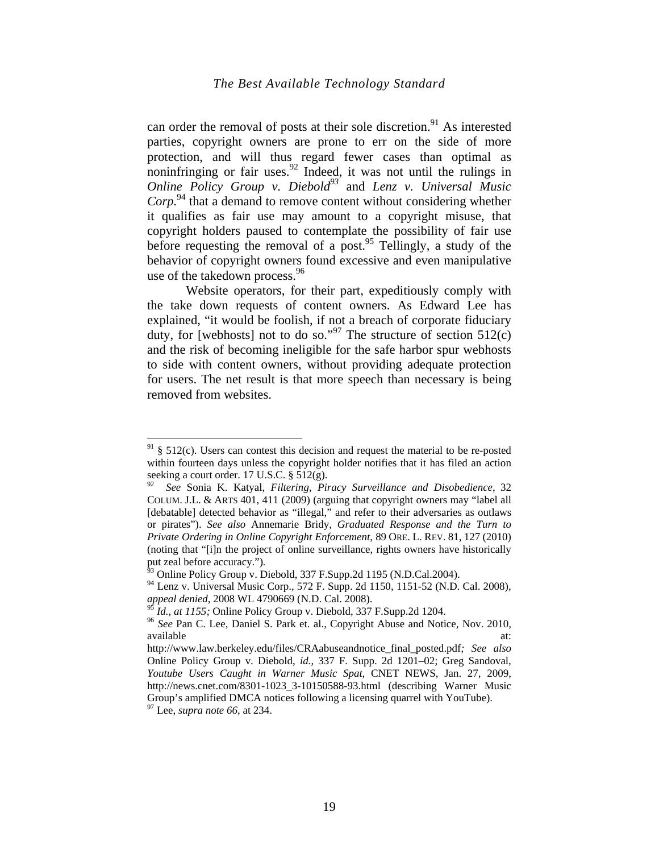can order the removal of posts at their sole discretion.<sup>91</sup> As interested parties, copyright owners are prone to err on the side of more protection, and will thus regard fewer cases than optimal as noninfringing or fair uses. $92$  Indeed, it was not until the rulings in *Online Policy Group v. Diebold93* and *Lenz v. Universal Music Corp.*94 that a demand to remove content without considering whether it qualifies as fair use may amount to a copyright misuse, that copyright holders paused to contemplate the possibility of fair use before requesting the removal of a post.<sup>95</sup> Tellingly, a study of the behavior of copyright owners found excessive and even manipulative use of the takedown process.<sup>96</sup>

Website operators, for their part, expeditiously comply with the take down requests of content owners. As Edward Lee has explained, "it would be foolish, if not a breach of corporate fiduciary duty, for [webhosts] not to do so."<sup>97</sup> The structure of section  $512(c)$ and the risk of becoming ineligible for the safe harbor spur webhosts to side with content owners, without providing adequate protection for users. The net result is that more speech than necessary is being removed from websites.

 $91 \text{ }\frac{6}{5}$  512(c). Users can contest this decision and request the material to be re-posted within fourteen days unless the copyright holder notifies that it has filed an action seeking a court order. 17 U.S.C. § 512(g).

<sup>92</sup> *See* Sonia K. Katyal, *Filtering, Piracy Surveillance and Disobedience*, 32 COLUM. J.L. & ARTS 401, 411 (2009) (arguing that copyright owners may "label all [debatable] detected behavior as "illegal," and refer to their adversaries as outlaws or pirates"). *See also* Annemarie Bridy, *Graduated Response and the Turn to Private Ordering in Online Copyright Enforcement*, 89 ORE. L. REV. 81, 127 (2010) (noting that "[i]n the project of online surveillance, rights owners have historically put zeal before accuracy.").<br><sup>93</sup> Online Policy Group v. Diebold, 337 F.Supp.2d 1195 (N.D.Cal.2004).

<sup>94</sup> Lenz v. Universal Music Corp., 572 F. Supp. 2d 1150, 1151-52 (N.D. Cal. 2008), *appeal denied*, 2008 WL 4790669 (N.D. Cal. 2008).<br><sup>95</sup> *Id., at 1155;* Online Policy Group v. Diebold, 337 F.Supp.2d 1204.

<sup>&</sup>lt;sup>96</sup> See Pan C. Lee, Daniel S. Park et. al., Copyright Abuse and Notice, Nov. 2010, available at: and a state at  $\alpha$  at:

http://www.law.berkeley.edu/files/CRAabuseandnotice\_final\_posted.pdf*; See also* Online Policy Group v. Diebold, *id.,* 337 F. Supp. 2d 1201–02; Greg Sandoval, *Youtube Users Caught in Warner Music Spat*, CNET NEWS, Jan. 27, 2009, http://news.cnet.com/8301-1023\_3-10150588-93.html (describing Warner Music Group's amplified DMCA notices following a licensing quarrel with YouTube).

<sup>97</sup> Lee, *supra note 66*, at 234.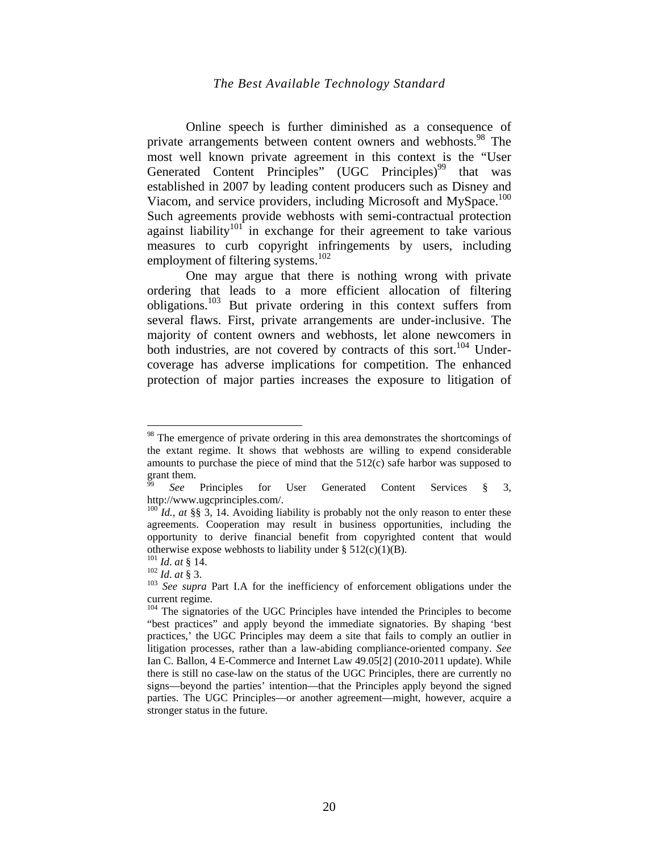Online speech is further diminished as a consequence of private arrangements between content owners and webhosts.<sup>98</sup> The most well known private agreement in this context is the "User Generated Content Principles" (UGC Principles)<sup>99</sup> that was established in 2007 by leading content producers such as Disney and Viacom, and service providers, including Microsoft and MySpace.<sup>100</sup> Such agreements provide webhosts with semi-contractual protection against liability<sup>101</sup> in exchange for their agreement to take various measures to curb copyright infringements by users, including employment of filtering systems.<sup>102</sup>

One may argue that there is nothing wrong with private ordering that leads to a more efficient allocation of filtering obligations.<sup>103</sup> But private ordering in this context suffers from several flaws. First, private arrangements are under-inclusive. The majority of content owners and webhosts, let alone newcomers in both industries, are not covered by contracts of this sort.<sup>104</sup> Undercoverage has adverse implications for competition. The enhanced protection of major parties increases the exposure to litigation of

<sup>&</sup>lt;sup>98</sup> The emergence of private ordering in this area demonstrates the shortcomings of the extant regime. It shows that webhosts are willing to expend considerable amounts to purchase the piece of mind that the 512(c) safe harbor was supposed to grant them.

See Principles for User Generated Content Services § 3, http://www.ugcprinciples.com/.

 $^{100}$  *Id., at* §§ 3, 14. Avoiding liability is probably not the only reason to enter these agreements. Cooperation may result in business opportunities, including the opportunity to derive financial benefit from copyrighted content that would otherwise expose webhosts to liability under § 512(c)(1)(B).<br><sup>101</sup> *Id. at* § 14.<br><sup>102</sup> *Id. at* § 3.<br><sup>103</sup> *See supra* Part I.A for the inefficiency of enforcement obligations under the

current regime.<br><sup>104</sup> The signatories of the UGC Principles have intended the Principles to become

<sup>&</sup>quot;best practices" and apply beyond the immediate signatories. By shaping 'best practices,' the UGC Principles may deem a site that fails to comply an outlier in litigation processes, rather than a law-abiding compliance-oriented company. *See*  Ian C. Ballon, 4 E-Commerce and Internet Law 49.05[2] (2010-2011 update). While there is still no case-law on the status of the UGC Principles, there are currently no signs—beyond the parties' intention—that the Principles apply beyond the signed parties. The UGC Principles—or another agreement—might, however, acquire a stronger status in the future.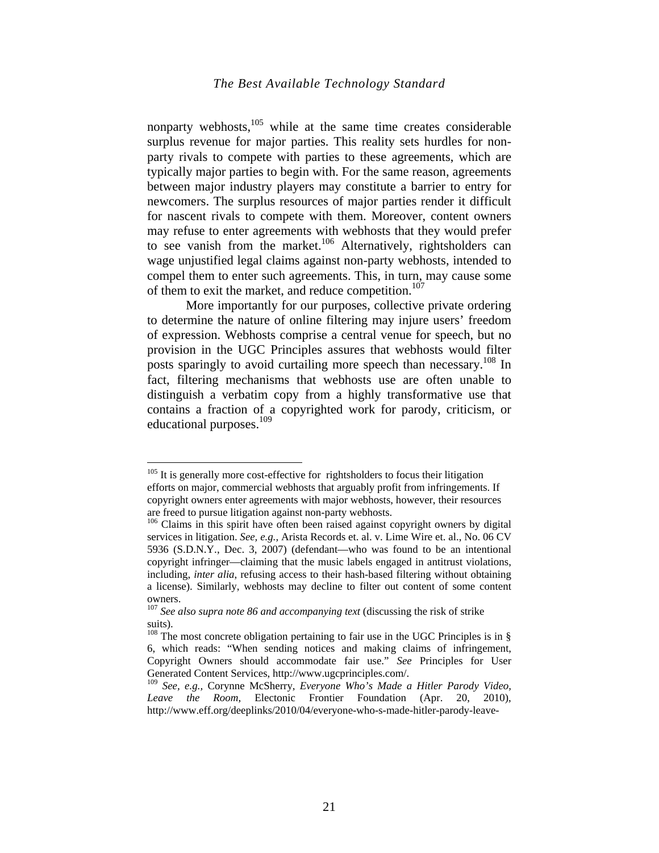nonparty webhosts, $105$  while at the same time creates considerable surplus revenue for major parties. This reality sets hurdles for nonparty rivals to compete with parties to these agreements, which are typically major parties to begin with. For the same reason, agreements between major industry players may constitute a barrier to entry for newcomers. The surplus resources of major parties render it difficult for nascent rivals to compete with them. Moreover, content owners may refuse to enter agreements with webhosts that they would prefer to see vanish from the market.<sup>106</sup> Alternatively, rightsholders can wage unjustified legal claims against non-party webhosts, intended to compel them to enter such agreements. This, in turn, may cause some of them to exit the market, and reduce competition.<sup>107</sup>

More importantly for our purposes, collective private ordering to determine the nature of online filtering may injure users' freedom of expression. Webhosts comprise a central venue for speech, but no provision in the UGC Principles assures that webhosts would filter posts sparingly to avoid curtailing more speech than necessary.<sup>108</sup> In fact, filtering mechanisms that webhosts use are often unable to distinguish a verbatim copy from a highly transformative use that contains a fraction of a copyrighted work for parody, criticism, or educational purposes. $109$ 

<sup>&</sup>lt;sup>105</sup> It is generally more cost-effective for rightsholders to focus their litigation efforts on major, commercial webhosts that arguably profit from infringements. If copyright owners enter agreements with major webhosts, however, their resources are freed to pursue litigation against non-party webhosts.

<sup>&</sup>lt;sup>106</sup> Claims in this spirit have often been raised against copyright owners by digital services in litigation. *See, e.g.,* Arista Records et. al. v. Lime Wire et. al., No. 06 CV 5936 (S.D.N.Y., Dec. 3, 2007) (defendant—who was found to be an intentional copyright infringer—claiming that the music labels engaged in antitrust violations, including, *inter alia*, refusing access to their hash-based filtering without obtaining a license). Similarly, webhosts may decline to filter out content of some content owners.

<sup>&</sup>lt;sup>107</sup> See also supra note 86 and accompanying text (discussing the risk of strike suits).

 $108$  The most concrete obligation pertaining to fair use in the UGC Principles is in § 6, which reads: "When sending notices and making claims of infringement, Copyright Owners should accommodate fair use." *See* Principles for User Generated Content Services, http://www.ugcprinciples.com/.

<sup>109</sup> *See, e.g.,* Corynne McSherry, *Everyone Who's Made a Hitler Parody Video, Leave the Room*, Electonic Frontier Foundation (Apr. 20, 2010), http://www.eff.org/deeplinks/2010/04/everyone-who-s-made-hitler-parody-leave-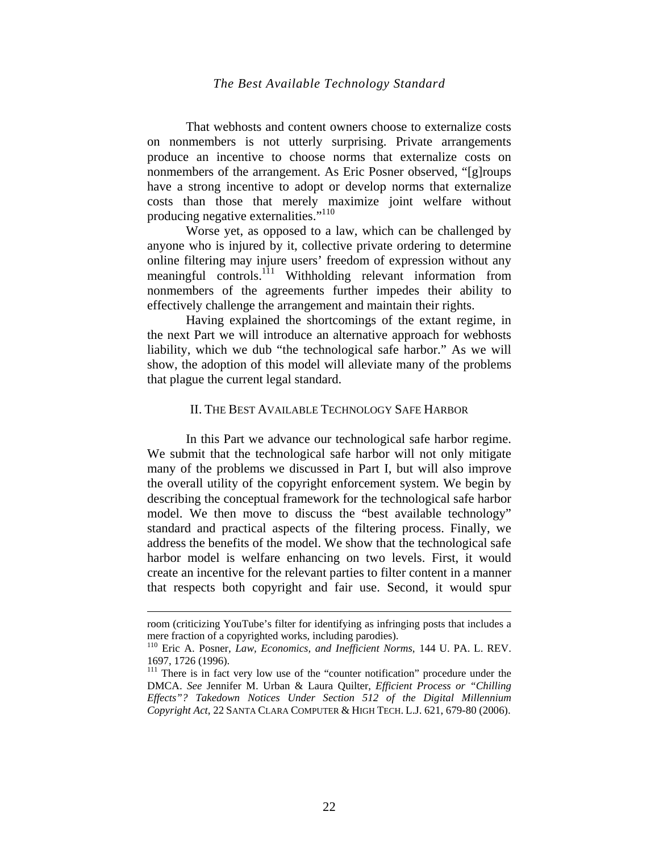That webhosts and content owners choose to externalize costs on nonmembers is not utterly surprising. Private arrangements produce an incentive to choose norms that externalize costs on nonmembers of the arrangement. As Eric Posner observed, "[g]roups have a strong incentive to adopt or develop norms that externalize costs than those that merely maximize joint welfare without producing negative externalities."<sup>110</sup>

Worse yet, as opposed to a law, which can be challenged by anyone who is injured by it, collective private ordering to determine online filtering may injure users' freedom of expression without any meaningful controls.<sup>111</sup> Withholding relevant information from nonmembers of the agreements further impedes their ability to effectively challenge the arrangement and maintain their rights.

Having explained the shortcomings of the extant regime, in the next Part we will introduce an alternative approach for webhosts liability, which we dub "the technological safe harbor." As we will show, the adoption of this model will alleviate many of the problems that plague the current legal standard.

#### II. THE BEST AVAILABLE TECHNOLOGY SAFE HARBOR

In this Part we advance our technological safe harbor regime. We submit that the technological safe harbor will not only mitigate many of the problems we discussed in Part I, but will also improve the overall utility of the copyright enforcement system. We begin by describing the conceptual framework for the technological safe harbor model. We then move to discuss the "best available technology" standard and practical aspects of the filtering process. Finally, we address the benefits of the model. We show that the technological safe harbor model is welfare enhancing on two levels. First, it would create an incentive for the relevant parties to filter content in a manner that respects both copyright and fair use. Second, it would spur

room (criticizing YouTube's filter for identifying as infringing posts that includes a mere fraction of a copyrighted works, including parodies).

<sup>110</sup> Eric A. Posner, *Law, Economics, and Inefficient Norms*, 144 U. PA. L. REV. 1697, 1726 (1996).

<sup>&</sup>lt;sup>111</sup> There is in fact very low use of the "counter notification" procedure under the DMCA. *See* Jennifer M. Urban & Laura Quilter, *Efficient Process or "Chilling Effects"? Takedown Notices Under Section 512 of the Digital Millennium Copyright Act*, 22 SANTA CLARA COMPUTER & HIGH TECH. L.J. 621, 679-80 (2006).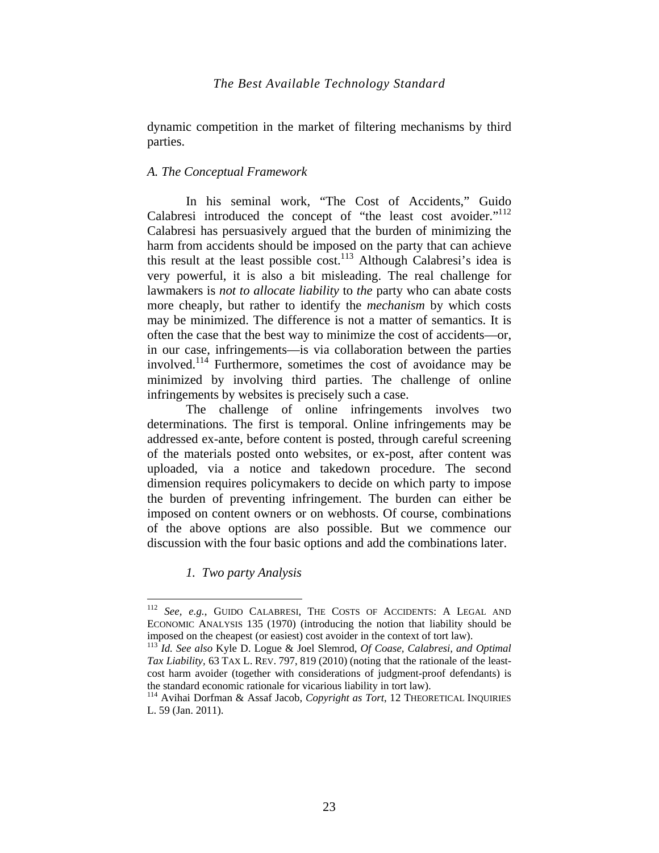dynamic competition in the market of filtering mechanisms by third parties.

# *A. The Conceptual Framework*

In his seminal work, "The Cost of Accidents," Guido Calabresi introduced the concept of "the least cost avoider."<sup>112</sup> Calabresi has persuasively argued that the burden of minimizing the harm from accidents should be imposed on the party that can achieve this result at the least possible  $cost^{113}$ . Although Calabresi's idea is very powerful, it is also a bit misleading. The real challenge for lawmakers is *not to allocate liability* to *the* party who can abate costs more cheaply, but rather to identify the *mechanism* by which costs may be minimized. The difference is not a matter of semantics. It is often the case that the best way to minimize the cost of accidents—or, in our case, infringements—is via collaboration between the parties involved.114 Furthermore, sometimes the cost of avoidance may be minimized by involving third parties. The challenge of online infringements by websites is precisely such a case.

The challenge of online infringements involves two determinations. The first is temporal. Online infringements may be addressed ex-ante, before content is posted, through careful screening of the materials posted onto websites, or ex-post, after content was uploaded, via a notice and takedown procedure. The second dimension requires policymakers to decide on which party to impose the burden of preventing infringement. The burden can either be imposed on content owners or on webhosts. Of course, combinations of the above options are also possible. But we commence our discussion with the four basic options and add the combinations later.

*1. Two party Analysis* 

<sup>112</sup> *See, e.g.*, GUIDO CALABRESI, THE COSTS OF ACCIDENTS: A LEGAL AND ECONOMIC ANALYSIS 135 (1970) (introducing the notion that liability should be imposed on the cheapest (or easiest) cost avoider in the context of tort law).

<sup>&</sup>lt;sup>113</sup> Id. See also Kyle D. Logue & Joel Slemrod, *Of Coase, Calabresi, and Optimal Tax Liability,* 63 TAX L. REV. 797, 819 (2010) (noting that the rationale of the leastcost harm avoider (together with considerations of judgment-proof defendants) is the standard economic rationale for vicarious liability in tort law).

<sup>&</sup>lt;sup>114</sup> Avihai Dorfman & Assaf Jacob, *Copyright as Tort*, 12 THEORETICAL INQUIRIES L. 59 (Jan. 2011).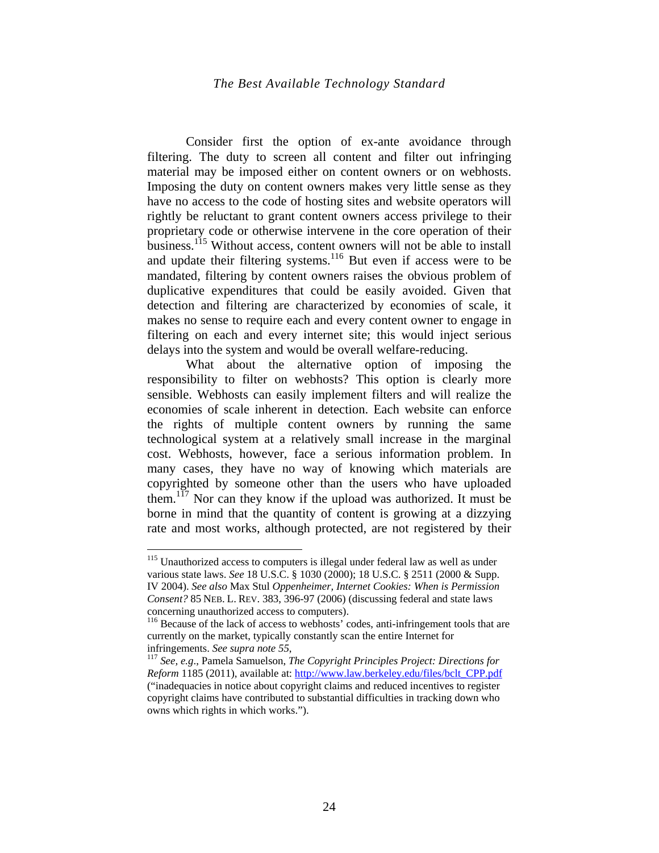Consider first the option of ex-ante avoidance through filtering. The duty to screen all content and filter out infringing material may be imposed either on content owners or on webhosts. Imposing the duty on content owners makes very little sense as they have no access to the code of hosting sites and website operators will rightly be reluctant to grant content owners access privilege to their proprietary code or otherwise intervene in the core operation of their business.<sup>115</sup> Without access, content owners will not be able to install and update their filtering systems.<sup>116</sup> But even if access were to be mandated, filtering by content owners raises the obvious problem of duplicative expenditures that could be easily avoided. Given that detection and filtering are characterized by economies of scale, it makes no sense to require each and every content owner to engage in filtering on each and every internet site; this would inject serious delays into the system and would be overall welfare-reducing.

What about the alternative option of imposing the responsibility to filter on webhosts? This option is clearly more sensible. Webhosts can easily implement filters and will realize the economies of scale inherent in detection. Each website can enforce the rights of multiple content owners by running the same technological system at a relatively small increase in the marginal cost. Webhosts, however, face a serious information problem. In many cases, they have no way of knowing which materials are copyrighted by someone other than the users who have uploaded them.<sup>117</sup> Nor can they know if the upload was authorized. It must be borne in mind that the quantity of content is growing at a dizzying rate and most works, although protected, are not registered by their

<sup>&</sup>lt;sup>115</sup> Unauthorized access to computers is illegal under federal law as well as under various state laws. *See* 18 U.S.C. § 1030 (2000); 18 U.S.C. § 2511 (2000 & Supp. IV 2004). *See also* Max Stul *Oppenheimer, Internet Cookies: When is Permission Consent?* 85 NEB. L. REV. 383, 396-97 (2006) (discussing federal and state laws

concerning unauthorized access to computers). <sup>116</sup> Because of the lack of access to webhosts' codes, anti-infringement tools that are currently on the market, typically constantly scan the entire Internet for

infringements. *See supra note 55*,<br><sup>117</sup> *See, e.g.*, Pamela Samuelson, *The Copyright Principles Project: Directions for Reform* 1185 (2011), available at: http://www.law.berkeley.edu/files/bclt\_CPP.pdf ("inadequacies in notice about copyright claims and reduced incentives to register copyright claims have contributed to substantial difficulties in tracking down who owns which rights in which works.").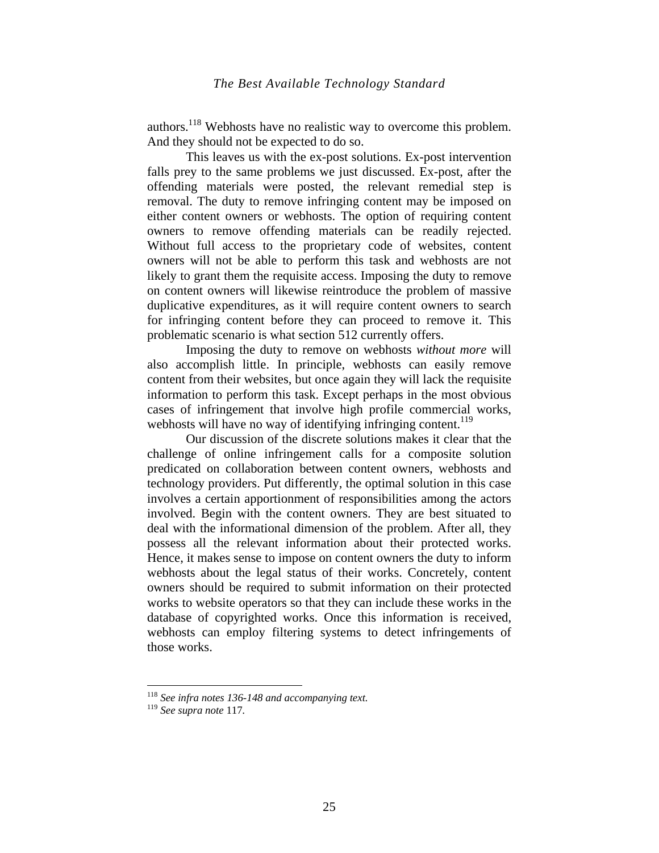authors.118 Webhosts have no realistic way to overcome this problem. And they should not be expected to do so.

This leaves us with the ex-post solutions. Ex-post intervention falls prey to the same problems we just discussed. Ex-post, after the offending materials were posted, the relevant remedial step is removal. The duty to remove infringing content may be imposed on either content owners or webhosts. The option of requiring content owners to remove offending materials can be readily rejected. Without full access to the proprietary code of websites, content owners will not be able to perform this task and webhosts are not likely to grant them the requisite access. Imposing the duty to remove on content owners will likewise reintroduce the problem of massive duplicative expenditures, as it will require content owners to search for infringing content before they can proceed to remove it. This problematic scenario is what section 512 currently offers.

Imposing the duty to remove on webhosts *without more* will also accomplish little. In principle, webhosts can easily remove content from their websites, but once again they will lack the requisite information to perform this task. Except perhaps in the most obvious cases of infringement that involve high profile commercial works, webhosts will have no way of identifying infringing content.<sup>119</sup>

Our discussion of the discrete solutions makes it clear that the challenge of online infringement calls for a composite solution predicated on collaboration between content owners, webhosts and technology providers. Put differently, the optimal solution in this case involves a certain apportionment of responsibilities among the actors involved. Begin with the content owners. They are best situated to deal with the informational dimension of the problem. After all, they possess all the relevant information about their protected works. Hence, it makes sense to impose on content owners the duty to inform webhosts about the legal status of their works. Concretely, content owners should be required to submit information on their protected works to website operators so that they can include these works in the database of copyrighted works. Once this information is received, webhosts can employ filtering systems to detect infringements of those works.

<sup>118</sup> *See infra notes 136-148 and accompanying text.* 

<sup>119</sup> *See supra note* 117*.*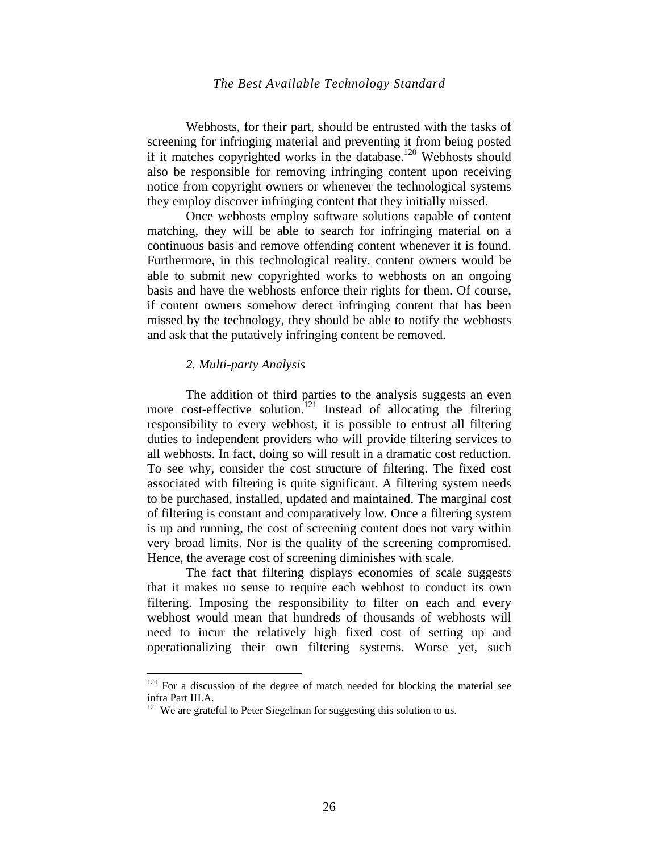Webhosts, for their part, should be entrusted with the tasks of screening for infringing material and preventing it from being posted if it matches copyrighted works in the database.120 Webhosts should also be responsible for removing infringing content upon receiving notice from copyright owners or whenever the technological systems they employ discover infringing content that they initially missed.

Once webhosts employ software solutions capable of content matching, they will be able to search for infringing material on a continuous basis and remove offending content whenever it is found. Furthermore, in this technological reality, content owners would be able to submit new copyrighted works to webhosts on an ongoing basis and have the webhosts enforce their rights for them. Of course, if content owners somehow detect infringing content that has been missed by the technology, they should be able to notify the webhosts and ask that the putatively infringing content be removed.

#### *2. Multi-party Analysis*

1

The addition of third parties to the analysis suggests an even more cost-effective solution.<sup>121</sup> Instead of allocating the filtering responsibility to every webhost, it is possible to entrust all filtering duties to independent providers who will provide filtering services to all webhosts. In fact, doing so will result in a dramatic cost reduction. To see why, consider the cost structure of filtering. The fixed cost associated with filtering is quite significant. A filtering system needs to be purchased, installed, updated and maintained. The marginal cost of filtering is constant and comparatively low. Once a filtering system is up and running, the cost of screening content does not vary within very broad limits. Nor is the quality of the screening compromised. Hence, the average cost of screening diminishes with scale.

The fact that filtering displays economies of scale suggests that it makes no sense to require each webhost to conduct its own filtering. Imposing the responsibility to filter on each and every webhost would mean that hundreds of thousands of webhosts will need to incur the relatively high fixed cost of setting up and operationalizing their own filtering systems. Worse yet, such

 $120$  For a discussion of the degree of match needed for blocking the material see infra Part III.A.

<sup>&</sup>lt;sup>121</sup> We are grateful to Peter Siegelman for suggesting this solution to us.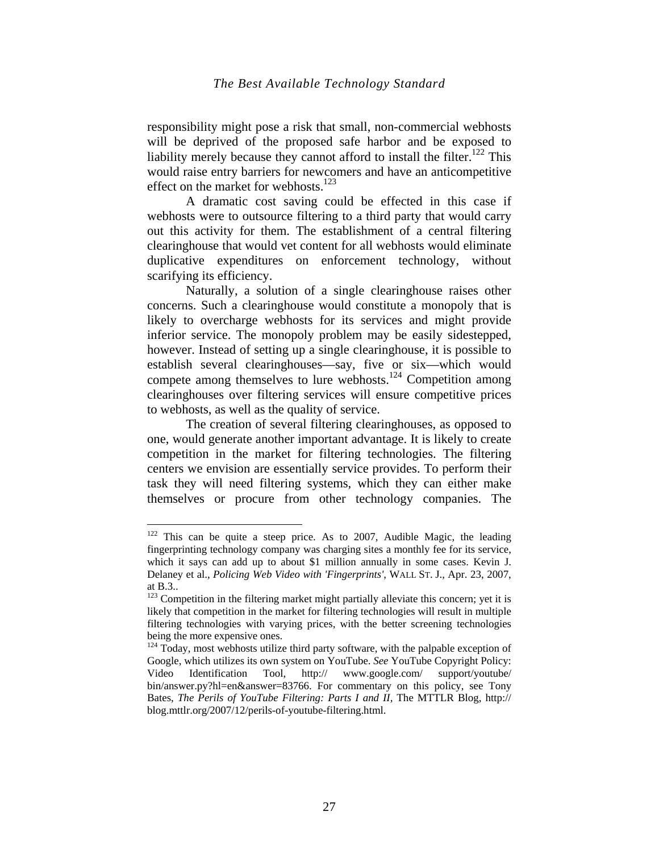responsibility might pose a risk that small, non-commercial webhosts will be deprived of the proposed safe harbor and be exposed to liability merely because they cannot afford to install the filter.<sup>122</sup> This would raise entry barriers for newcomers and have an anticompetitive effect on the market for webhosts. $123$ 

A dramatic cost saving could be effected in this case if webhosts were to outsource filtering to a third party that would carry out this activity for them. The establishment of a central filtering clearinghouse that would vet content for all webhosts would eliminate duplicative expenditures on enforcement technology, without scarifying its efficiency.

Naturally, a solution of a single clearinghouse raises other concerns. Such a clearinghouse would constitute a monopoly that is likely to overcharge webhosts for its services and might provide inferior service. The monopoly problem may be easily sidestepped, however. Instead of setting up a single clearinghouse, it is possible to establish several clearinghouses—say, five or six—which would compete among themselves to lure webhosts.<sup>124</sup> Competition among clearinghouses over filtering services will ensure competitive prices to webhosts, as well as the quality of service.

The creation of several filtering clearinghouses, as opposed to one, would generate another important advantage. It is likely to create competition in the market for filtering technologies. The filtering centers we envision are essentially service provides. To perform their task they will need filtering systems, which they can either make themselves or procure from other technology companies. The

 $122$  This can be quite a steep price. As to 2007, Audible Magic, the leading fingerprinting technology company was charging sites a monthly fee for its service, which it says can add up to about \$1 million annually in some cases. Kevin J. Delaney et al., *Policing Web Video with 'Fingerprints'*, WALL ST. J., Apr. 23, 2007, at B.3..

<sup>&</sup>lt;sup>123</sup> Competition in the filtering market might partially alleviate this concern; yet it is likely that competition in the market for filtering technologies will result in multiple filtering technologies with varying prices, with the better screening technologies being the more expensive ones.

 $124$  Today, most webhosts utilize third party software, with the palpable exception of Google, which utilizes its own system on YouTube. *See* YouTube Copyright Policy: Video Identification Tool, http:// www.google.com/ support/youtube/ bin/answer.py?hl=en&answer=83766. For commentary on this policy, see Tony Bates, *The Perils of YouTube Filtering: Parts I and II,* The MTTLR Blog, http:// blog.mttlr.org/2007/12/perils-of-youtube-filtering.html.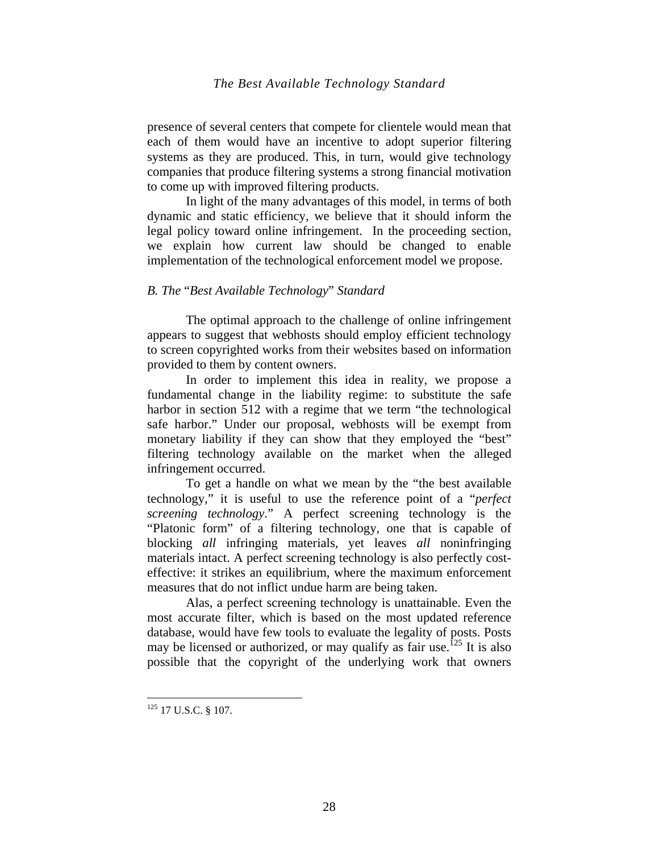presence of several centers that compete for clientele would mean that each of them would have an incentive to adopt superior filtering systems as they are produced. This, in turn, would give technology companies that produce filtering systems a strong financial motivation to come up with improved filtering products.

In light of the many advantages of this model, in terms of both dynamic and static efficiency, we believe that it should inform the legal policy toward online infringement. In the proceeding section, we explain how current law should be changed to enable implementation of the technological enforcement model we propose.

## *B. The* "*Best Available Technology*" *Standard*

The optimal approach to the challenge of online infringement appears to suggest that webhosts should employ efficient technology to screen copyrighted works from their websites based on information provided to them by content owners.

In order to implement this idea in reality, we propose a fundamental change in the liability regime: to substitute the safe harbor in section 512 with a regime that we term "the technological safe harbor." Under our proposal, webhosts will be exempt from monetary liability if they can show that they employed the "best" filtering technology available on the market when the alleged infringement occurred.

To get a handle on what we mean by the "the best available technology," it is useful to use the reference point of a "*perfect screening technology*." A perfect screening technology is the "Platonic form" of a filtering technology, one that is capable of blocking *all* infringing materials, yet leaves *all* noninfringing materials intact. A perfect screening technology is also perfectly costeffective: it strikes an equilibrium, where the maximum enforcement measures that do not inflict undue harm are being taken.

Alas, a perfect screening technology is unattainable. Even the most accurate filter, which is based on the most updated reference database, would have few tools to evaluate the legality of posts. Posts may be licensed or authorized, or may qualify as fair use.<sup>125</sup> It is also possible that the copyright of the underlying work that owners

<sup>&</sup>lt;sup>125</sup> 17 U.S.C. § 107.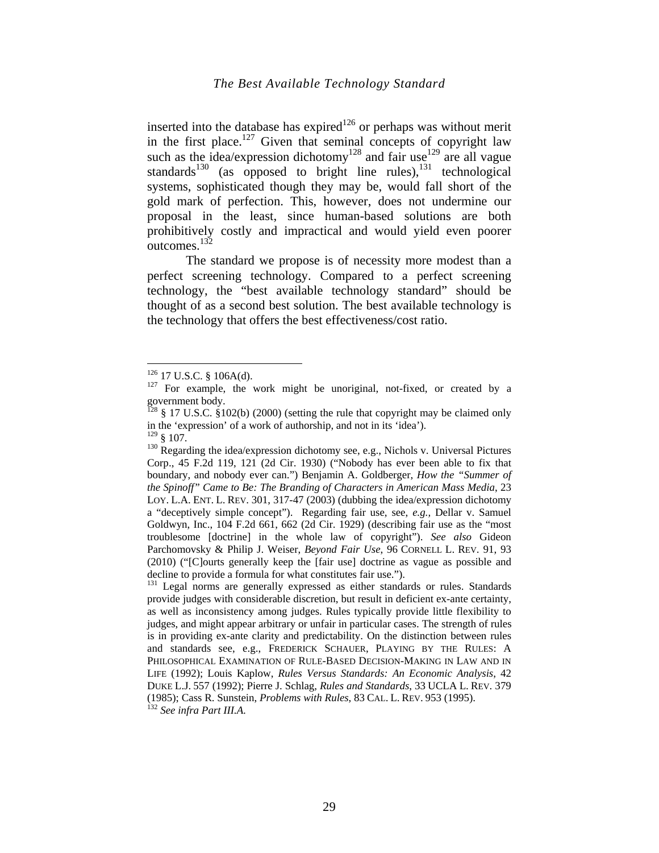inserted into the database has expired<sup>126</sup> or perhaps was without merit in the first place.<sup>127</sup> Given that seminal concepts of copyright law such as the idea/expression dichotomy<sup>128</sup> and fair use<sup>129</sup> are all vague standards<sup>130</sup> (as opposed to bright line rules), $^{131}$  technological systems, sophisticated though they may be, would fall short of the gold mark of perfection. This, however, does not undermine our proposal in the least, since human-based solutions are both prohibitively costly and impractical and would yield even poorer outcomes.132

The standard we propose is of necessity more modest than a perfect screening technology. Compared to a perfect screening technology, the "best available technology standard" should be thought of as a second best solution. The best available technology is the technology that offers the best effectiveness/cost ratio.

 $126$  17 U.S.C. § 106A(d).

 $127$  For example, the work might be unoriginal, not-fixed, or created by a government body.

 $^{128}$  § 17 U.S.C. §102(b) (2000) (setting the rule that copyright may be claimed only in the 'expression' of a work of authorship, and not in its 'idea').

 $130$  Regarding the idea/expression dichotomy see, e.g., Nichols v. Universal Pictures Corp., 45 F.2d 119, 121 (2d Cir. 1930) ("Nobody has ever been able to fix that boundary, and nobody ever can.") Benjamin A. Goldberger, *How the "Summer of the Spinoff" Came to Be: The Branding of Characters in American Mass Media*, 23 LOY. L.A. ENT. L. REV. 301, 317-47 (2003) (dubbing the idea/expression dichotomy a "deceptively simple concept"). Regarding fair use, see, *e.g.,* Dellar v. Samuel Goldwyn, Inc., 104 F.2d 661, 662 (2d Cir. 1929) (describing fair use as the "most troublesome [doctrine] in the whole law of copyright"). *See also* Gideon Parchomovsky & Philip J. Weiser, *Beyond Fair Use*, 96 CORNELL L. REV. 91, 93 (2010) ("[C]ourts generally keep the [fair use] doctrine as vague as possible and decline to provide a formula for what constitutes fair use.").

<sup>&</sup>lt;sup>131</sup> Legal norms are generally expressed as either standards or rules. Standards provide judges with considerable discretion, but result in deficient ex-ante certainty, as well as inconsistency among judges. Rules typically provide little flexibility to judges, and might appear arbitrary or unfair in particular cases. The strength of rules is in providing ex-ante clarity and predictability. On the distinction between rules and standards see, e.g., FREDERICK SCHAUER, PLAYING BY THE RULES: A PHILOSOPHICAL EXAMINATION OF RULE-BASED DECISION-MAKING IN LAW AND IN LIFE (1992); Louis Kaplow, *Rules Versus Standards: An Economic Analysis*, 42 DUKE L.J. 557 (1992); Pierre J. Schlag, *Rules and Standards*, 33 UCLA L. REV. 379 (1985); Cass R. Sunstein, *Problems with Rules*, 83 CAL. L. REV. 953 (1995). 132 *See infra Part III.A.*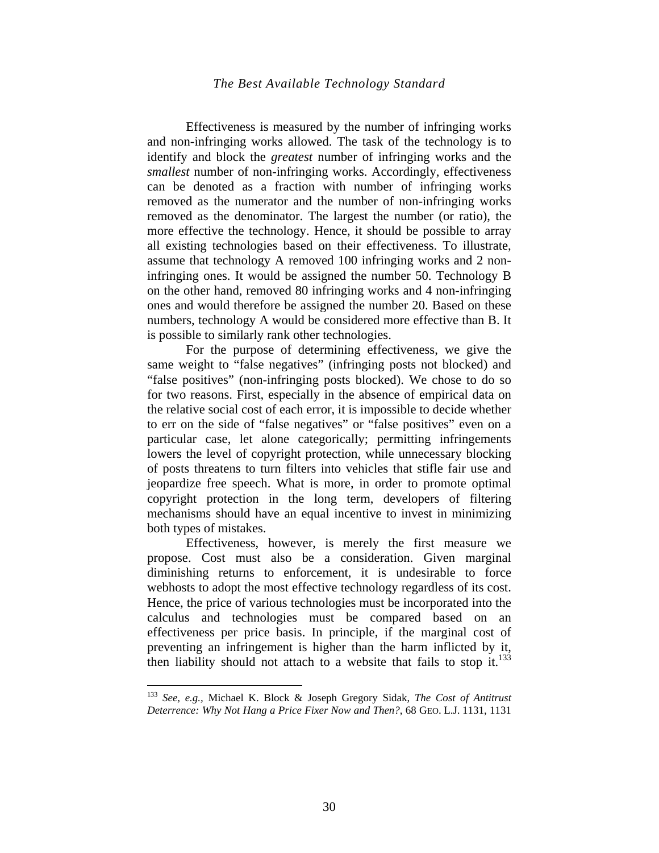Effectiveness is measured by the number of infringing works and non-infringing works allowed. The task of the technology is to identify and block the *greatest* number of infringing works and the *smallest* number of non-infringing works. Accordingly, effectiveness can be denoted as a fraction with number of infringing works removed as the numerator and the number of non-infringing works removed as the denominator. The largest the number (or ratio), the more effective the technology. Hence, it should be possible to array all existing technologies based on their effectiveness. To illustrate, assume that technology A removed 100 infringing works and 2 noninfringing ones. It would be assigned the number 50. Technology B on the other hand, removed 80 infringing works and 4 non-infringing ones and would therefore be assigned the number 20. Based on these numbers, technology A would be considered more effective than B. It is possible to similarly rank other technologies.

For the purpose of determining effectiveness, we give the same weight to "false negatives" (infringing posts not blocked) and "false positives" (non-infringing posts blocked). We chose to do so for two reasons. First, especially in the absence of empirical data on the relative social cost of each error, it is impossible to decide whether to err on the side of "false negatives" or "false positives" even on a particular case, let alone categorically; permitting infringements lowers the level of copyright protection, while unnecessary blocking of posts threatens to turn filters into vehicles that stifle fair use and jeopardize free speech. What is more, in order to promote optimal copyright protection in the long term, developers of filtering mechanisms should have an equal incentive to invest in minimizing both types of mistakes.

Effectiveness, however, is merely the first measure we propose. Cost must also be a consideration. Given marginal diminishing returns to enforcement, it is undesirable to force webhosts to adopt the most effective technology regardless of its cost. Hence, the price of various technologies must be incorporated into the calculus and technologies must be compared based on an effectiveness per price basis. In principle, if the marginal cost of preventing an infringement is higher than the harm inflicted by it, then liability should not attach to a website that fails to stop it.<sup>133</sup>

<sup>133</sup> *See, e.g.,* Michael K. Block & Joseph Gregory Sidak, *The Cost of Antitrust Deterrence: Why Not Hang a Price Fixer Now and Then?*, 68 GEO. L.J. 1131, 1131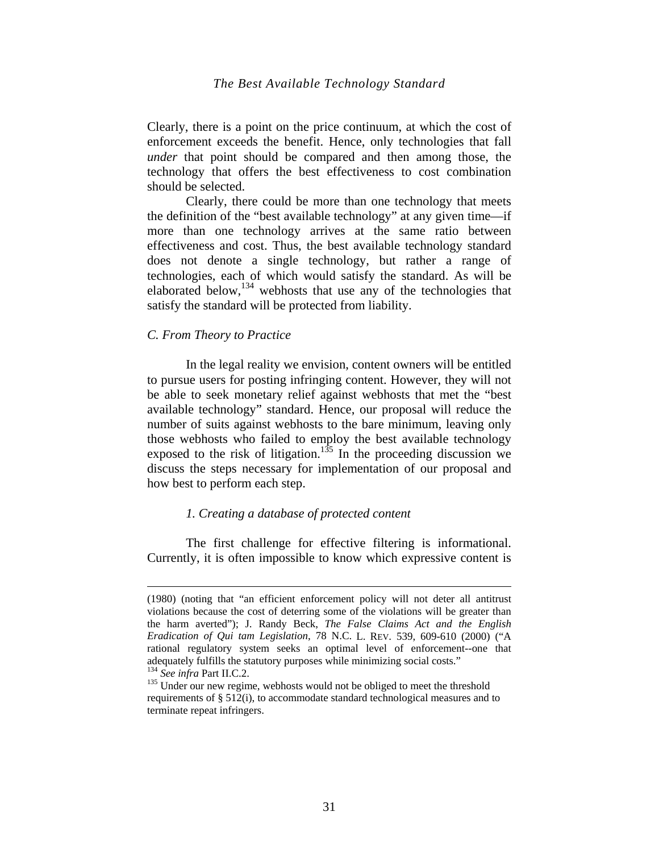Clearly, there is a point on the price continuum, at which the cost of enforcement exceeds the benefit. Hence, only technologies that fall *under* that point should be compared and then among those, the technology that offers the best effectiveness to cost combination should be selected.

Clearly, there could be more than one technology that meets the definition of the "best available technology" at any given time—if more than one technology arrives at the same ratio between effectiveness and cost. Thus, the best available technology standard does not denote a single technology, but rather a range of technologies, each of which would satisfy the standard. As will be elaborated below, $134$  webhosts that use any of the technologies that satisfy the standard will be protected from liability.

#### *C. From Theory to Practice*

1

In the legal reality we envision, content owners will be entitled to pursue users for posting infringing content. However, they will not be able to seek monetary relief against webhosts that met the "best available technology" standard. Hence, our proposal will reduce the number of suits against webhosts to the bare minimum, leaving only those webhosts who failed to employ the best available technology exposed to the risk of litigation.<sup>135</sup> In the proceeding discussion we discuss the steps necessary for implementation of our proposal and how best to perform each step.

#### *1. Creating a database of protected content*

The first challenge for effective filtering is informational. Currently, it is often impossible to know which expressive content is

<sup>(1980) (</sup>noting that "an efficient enforcement policy will not deter all antitrust violations because the cost of deterring some of the violations will be greater than the harm averted"); J. Randy Beck, *The False Claims Act and the English Eradication of Qui tam Legislation*, 78 N.C. L. REV. 539, 609-610 (2000) ("A rational regulatory system seeks an optimal level of enforcement--one that adequately fulfills the statutory purposes while minimizing social costs."<br><sup>134</sup> See infra Part II.C.2.

<sup>&</sup>lt;sup>135</sup> Under our new regime, webhosts would not be obliged to meet the threshold requirements of § 512(i), to accommodate standard technological measures and to terminate repeat infringers.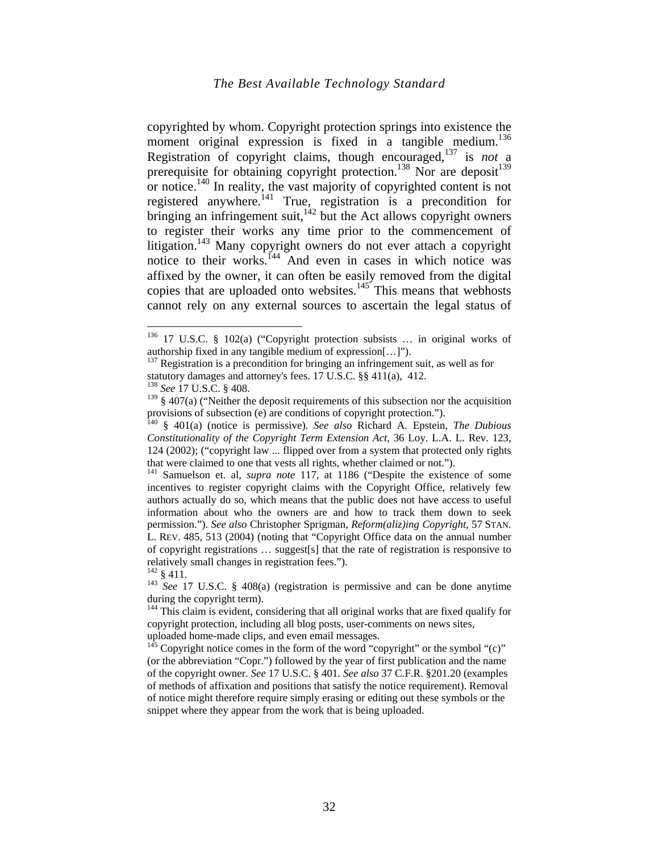copyrighted by whom. Copyright protection springs into existence the moment original expression is fixed in a tangible medium.<sup>136</sup> Registration of copyright claims, though encouraged,137 is *not* a prerequisite for obtaining copyright protection.<sup>138</sup> Nor are deposit<sup>139</sup> or notice.140 In reality, the vast majority of copyrighted content is not registered anywhere.141 True, registration is a precondition for bringing an infringement suit, $142$  but the Act allows copyright owners to register their works any time prior to the commencement of litigation.<sup>143</sup> Many copyright owners do not ever attach a copyright notice to their works.<sup>144</sup> And even in cases in which notice was affixed by the owner, it can often be easily removed from the digital copies that are uploaded onto websites. $145$  This means that webhosts cannot rely on any external sources to ascertain the legal status of

<sup>136 17</sup> U.S.C. § 102(a) ("Copyright protection subsists … in original works of authorship fixed in any tangible medium of expression[…]").

 $137$  Registration is a precondition for bringing an infringement suit, as well as for statutory damages and attorney's fees. 17 U.S.C. §§ 411(a), 412.

<sup>138</sup> *See* 17 U.S.C. § 408.

 $139\,$  § 407(a) ("Neither the deposit requirements of this subsection nor the acquisition provisions of subsection (e) are conditions of copyright protection.").

<sup>140 § 401(</sup>a) (notice is permissive). *See also* Richard A. Epstein, *The Dubious Constitutionality of the Copyright Term Extension Act*, 36 Loy. L.A. L. Rev. 123, 124 (2002); ("copyright law ... flipped over from a system that protected only rights that were claimed to one that vests all rights, whether claimed or not.").

<sup>&</sup>lt;sup>141</sup> Samuelson et. al, *supra note* 117, at 1186 ("Despite the existence of some incentives to register copyright claims with the Copyright Office, relatively few authors actually do so, which means that the public does not have access to useful information about who the owners are and how to track them down to seek permission."). *See also* Christopher Sprigman, *Reform(aliz)ing Copyright,* 57 STAN. L. REV. 485, 513 (2004) (noting that "Copyright Office data on the annual number of copyright registrations … suggest[s] that the rate of registration is responsive to relatively small changes in registration fees.").<br> $142 \, 8 \, 411$ .

<sup>&</sup>lt;sup>143</sup> See 17 U.S.C. § 408(a) (registration is permissive and can be done anytime during the copyright term).

<sup>&</sup>lt;sup>144</sup> This claim is evident, considering that all original works that are fixed qualify for copyright protection, including all blog posts, user-comments on news sites,

uploaded home-made clips, and even email messages.

 $145$  Copyright notice comes in the form of the word "copyright" or the symbol "(c)" (or the abbreviation "Copr.") followed by the year of first publication and the name of the copyright owner. *See* 17 U.S.C. § 401. *See also* 37 C.F.R. §201.20 (examples of methods of affixation and positions that satisfy the notice requirement). Removal of notice might therefore require simply erasing or editing out these symbols or the snippet where they appear from the work that is being uploaded.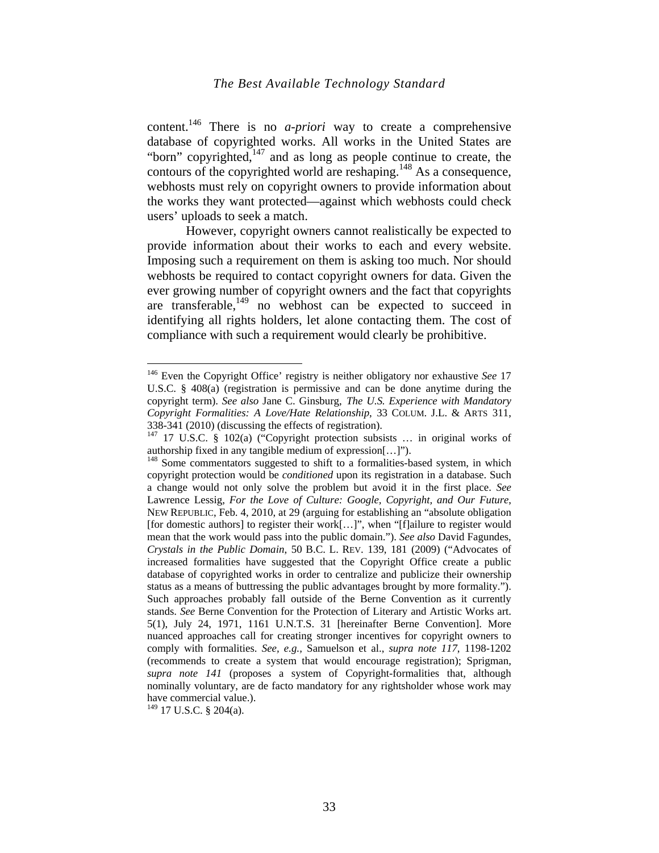content.146 There is no *a-priori* way to create a comprehensive database of copyrighted works. All works in the United States are "born" copyrighted, $147$  and as long as people continue to create, the contours of the copyrighted world are reshaping.<sup>148</sup> As a consequence, webhosts must rely on copyright owners to provide information about the works they want protected—against which webhosts could check users' uploads to seek a match.

However, copyright owners cannot realistically be expected to provide information about their works to each and every website. Imposing such a requirement on them is asking too much. Nor should webhosts be required to contact copyright owners for data. Given the ever growing number of copyright owners and the fact that copyrights are transferable, $149$  no webhost can be expected to succeed in identifying all rights holders, let alone contacting them. The cost of compliance with such a requirement would clearly be prohibitive.

<sup>146</sup> Even the Copyright Office' registry is neither obligatory nor exhaustive *See* 17 U.S.C. § 408(a) (registration is permissive and can be done anytime during the copyright term). *See also* Jane C. Ginsburg, *The U.S. Experience with Mandatory Copyright Formalities: A Love/Hate Relationship*, 33 COLUM. J.L. & ARTS 311, 338-341 (2010) (discussing the effects of registration).

<sup>147 17</sup> U.S.C. § 102(a) ("Copyright protection subsists … in original works of authorship fixed in any tangible medium of expression[…]").

<sup>&</sup>lt;sup>148</sup> Some commentators suggested to shift to a formalities-based system, in which copyright protection would be *conditioned* upon its registration in a database. Such a change would not only solve the problem but avoid it in the first place. *See* Lawrence Lessig, *For the Love of Culture: Google, Copyright, and Our Future*, NEW REPUBLIC, Feb. 4, 2010, at 29 (arguing for establishing an "absolute obligation [for domestic authors] to register their work[…]", when "[f]ailure to register would mean that the work would pass into the public domain."). *See also* David Fagundes, *Crystals in the Public Domain*, 50 B.C. L. REV. 139, 181 (2009) ("Advocates of increased formalities have suggested that the Copyright Office create a public database of copyrighted works in order to centralize and publicize their ownership status as a means of buttressing the public advantages brought by more formality."). Such approaches probably fall outside of the Berne Convention as it currently stands. *See* Berne Convention for the Protection of Literary and Artistic Works art. 5(1), July 24, 1971, 1161 U.N.T.S. 31 [hereinafter Berne Convention]. More nuanced approaches call for creating stronger incentives for copyright owners to comply with formalities. *See, e.g.,* Samuelson et al., *supra note 117*, 1198-1202 (recommends to create a system that would encourage registration); Sprigman, *supra note 141* (proposes a system of Copyright-formalities that, although nominally voluntary, are de facto mandatory for any rightsholder whose work may have commercial value.).

<sup>149 17</sup> U.S.C. § 204(a).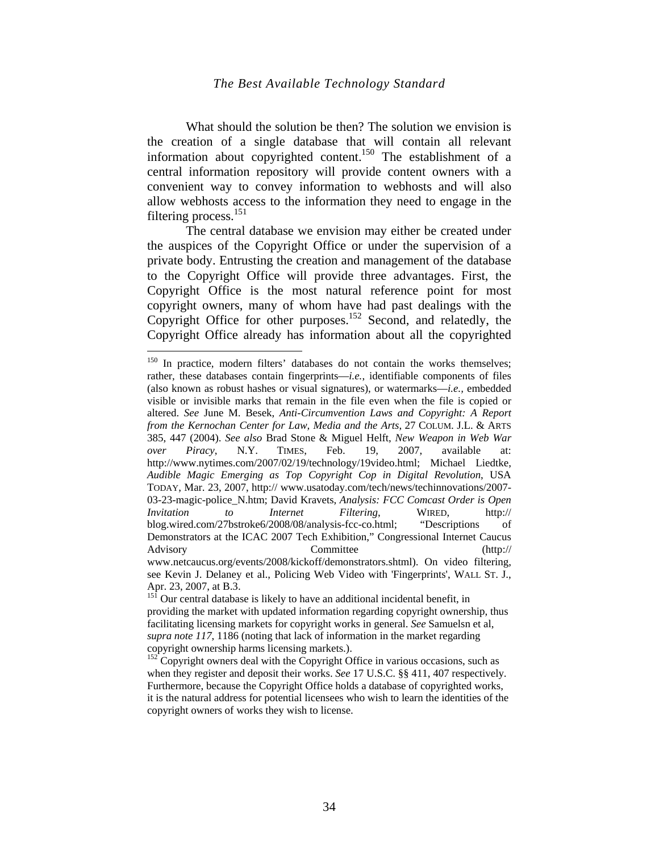What should the solution be then? The solution we envision is the creation of a single database that will contain all relevant information about copyrighted content.<sup>150</sup> The establishment of a central information repository will provide content owners with a convenient way to convey information to webhosts and will also allow webhosts access to the information they need to engage in the filtering process. $151$ 

The central database we envision may either be created under the auspices of the Copyright Office or under the supervision of a private body. Entrusting the creation and management of the database to the Copyright Office will provide three advantages. First, the Copyright Office is the most natural reference point for most copyright owners, many of whom have had past dealings with the Copyright Office for other purposes.<sup>152</sup> Second, and relatedly, the Copyright Office already has information about all the copyrighted

<sup>&</sup>lt;sup>150</sup> In practice, modern filters' databases do not contain the works themselves; rather, these databases contain fingerprints—*i.e.*, identifiable components of files (also known as robust hashes or visual signatures), or watermarks—*i.e.,* embedded visible or invisible marks that remain in the file even when the file is copied or altered. *See* June M. Besek, *Anti-Circumvention Laws and Copyright: A Report from the Kernochan Center for Law, Media and the Arts*, 27 COLUM. J.L. & ARTS 385, 447 (2004). *See also* Brad Stone & Miguel Helft, *New Weapon in Web War over Piracy*, N.Y. TIMES, Feb. 19, 2007, available at: http://www.nytimes.com/2007/02/19/technology/19video.html; Michael Liedtke, *Audible Magic Emerging as Top Copyright Cop in Digital Revolution*, USA TODAY, Mar. 23, 2007, http:// www.usatoday.com/tech/news/techinnovations/2007- 03-23-magic-police\_N.htm; David Kravets, *Analysis: FCC Comcast Order is Open Invitation to Internet Filtering*, WIRED, http:// blog.wired.com/27bstroke6/2008/08/analysis-fcc-co.html; "Descriptions of Demonstrators at the ICAC 2007 Tech Exhibition," Congressional Internet Caucus Advisory Committee (http:// www.netcaucus.org/events/2008/kickoff/demonstrators.shtml). On video filtering, see Kevin J. Delaney et al., Policing Web Video with 'Fingerprints', WALL ST. J., Apr. 23, 2007, at B.3.

 $15\overline{1}$  Our central database is likely to have an additional incidental benefit, in providing the market with updated information regarding copyright ownership, thus facilitating licensing markets for copyright works in general. *See* Samuelsn et al, *supra note 117*, 1186 (noting that lack of information in the market regarding copyright ownership harms licensing markets.).

 $152$  Copyright owners deal with the Copyright Office in various occasions, such as when they register and deposit their works. *See* 17 U.S.C. §§ 411, 407 respectively. Furthermore, because the Copyright Office holds a database of copyrighted works, it is the natural address for potential licensees who wish to learn the identities of the copyright owners of works they wish to license.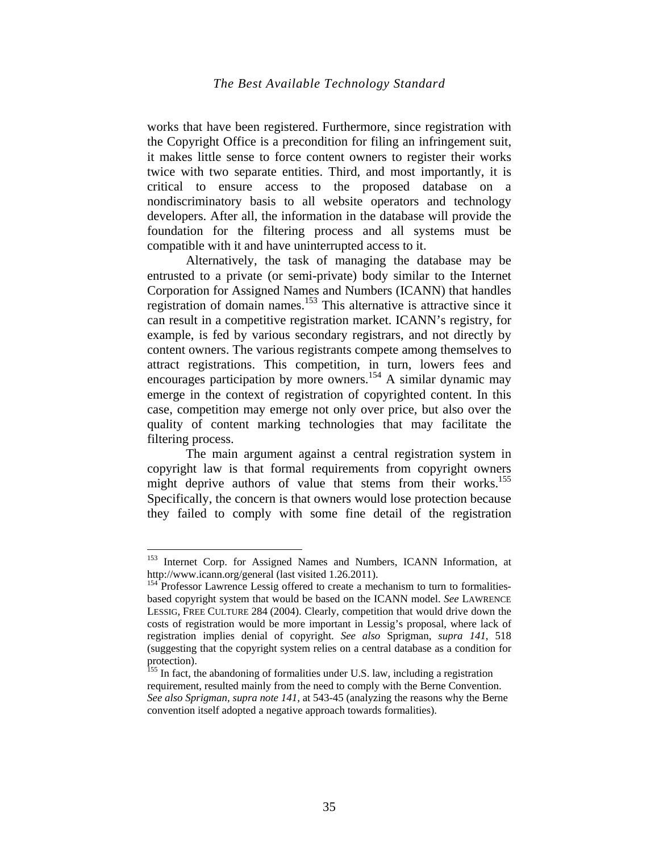works that have been registered. Furthermore, since registration with the Copyright Office is a precondition for filing an infringement suit, it makes little sense to force content owners to register their works twice with two separate entities. Third, and most importantly, it is critical to ensure access to the proposed database on a nondiscriminatory basis to all website operators and technology developers. After all, the information in the database will provide the foundation for the filtering process and all systems must be compatible with it and have uninterrupted access to it.

Alternatively, the task of managing the database may be entrusted to a private (or semi-private) body similar to the Internet Corporation for Assigned Names and Numbers (ICANN) that handles registration of domain names.<sup>153</sup> This alternative is attractive since it can result in a competitive registration market. ICANN's registry, for example, is fed by various secondary registrars, and not directly by content owners. The various registrants compete among themselves to attract registrations. This competition, in turn, lowers fees and encourages participation by more owners.<sup>154</sup> A similar dynamic may emerge in the context of registration of copyrighted content. In this case, competition may emerge not only over price, but also over the quality of content marking technologies that may facilitate the filtering process.

The main argument against a central registration system in copyright law is that formal requirements from copyright owners might deprive authors of value that stems from their works.<sup>155</sup> Specifically, the concern is that owners would lose protection because they failed to comply with some fine detail of the registration

<sup>&</sup>lt;sup>153</sup> Internet Corp. for Assigned Names and Numbers, ICANN Information, at http://www.icann.org/general (last visited 1.26.2011).

<sup>&</sup>lt;sup>154</sup> Professor Lawrence Lessig offered to create a mechanism to turn to formalitiesbased copyright system that would be based on the ICANN model. *See* LAWRENCE LESSIG, FREE CULTURE 284 (2004). Clearly, competition that would drive down the costs of registration would be more important in Lessig's proposal, where lack of registration implies denial of copyright. *See also* Sprigman, *supra 141*, 518 (suggesting that the copyright system relies on a central database as a condition for protection).

<sup>&</sup>lt;sup>155</sup> In fact, the abandoning of formalities under U.S. law, including a registration requirement, resulted mainly from the need to comply with the Berne Convention. *See also Sprigman, supra note 141,* at 543-45 (analyzing the reasons why the Berne convention itself adopted a negative approach towards formalities).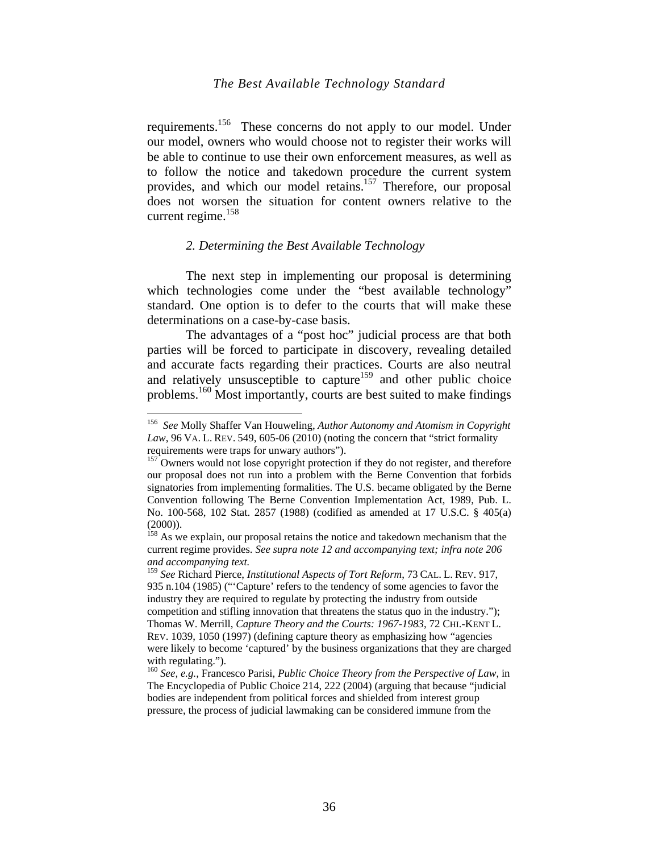requirements.156 These concerns do not apply to our model. Under our model, owners who would choose not to register their works will be able to continue to use their own enforcement measures, as well as to follow the notice and takedown procedure the current system provides, and which our model retains.157 Therefore, our proposal does not worsen the situation for content owners relative to the current regime. $158$ 

#### *2. Determining the Best Available Technology*

The next step in implementing our proposal is determining which technologies come under the "best available technology" standard. One option is to defer to the courts that will make these determinations on a case-by-case basis.

The advantages of a "post hoc" judicial process are that both parties will be forced to participate in discovery, revealing detailed and accurate facts regarding their practices. Courts are also neutral and relatively unsusceptible to capture<sup>159</sup> and other public choice problems.160 Most importantly, courts are best suited to make findings

<sup>156</sup> *See* Molly Shaffer Van Houweling, *Author Autonomy and Atomism in Copyright Law*, 96 VA. L. REV. 549, 605-06 (2010) (noting the concern that "strict formality requirements were traps for unwary authors").

<sup>&</sup>lt;sup>157</sup> Owners would not lose copyright protection if they do not register, and therefore our proposal does not run into a problem with the Berne Convention that forbids signatories from implementing formalities. The U.S. became obligated by the Berne Convention following The Berne Convention Implementation Act, 1989, Pub. L. No. 100-568, 102 Stat. 2857 (1988) (codified as amended at 17 U.S.C. § 405(a) (2000)).

<sup>&</sup>lt;sup>158</sup> As we explain, our proposal retains the notice and takedown mechanism that the current regime provides. *See supra note 12 and accompanying text; infra note 206 and accompanying text.*

<sup>159</sup> *See* Richard Pierce, *Institutional Aspects of Tort Reform*, 73 CAL. L. REV. 917, 935 n.104 (1985) ("'Capture' refers to the tendency of some agencies to favor the industry they are required to regulate by protecting the industry from outside competition and stifling innovation that threatens the status quo in the industry."); Thomas W. Merrill, *Capture Theory and the Courts: 1967-1983*, 72 CHI.-KENT L. REV. 1039, 1050 (1997) (defining capture theory as emphasizing how "agencies were likely to become 'captured' by the business organizations that they are charged with regulating.").

<sup>160</sup> *See, e.g.,* Francesco Parisi, *Public Choice Theory from the Perspective of Law*, in The Encyclopedia of Public Choice 214, 222 (2004) (arguing that because "judicial bodies are independent from political forces and shielded from interest group pressure, the process of judicial lawmaking can be considered immune from the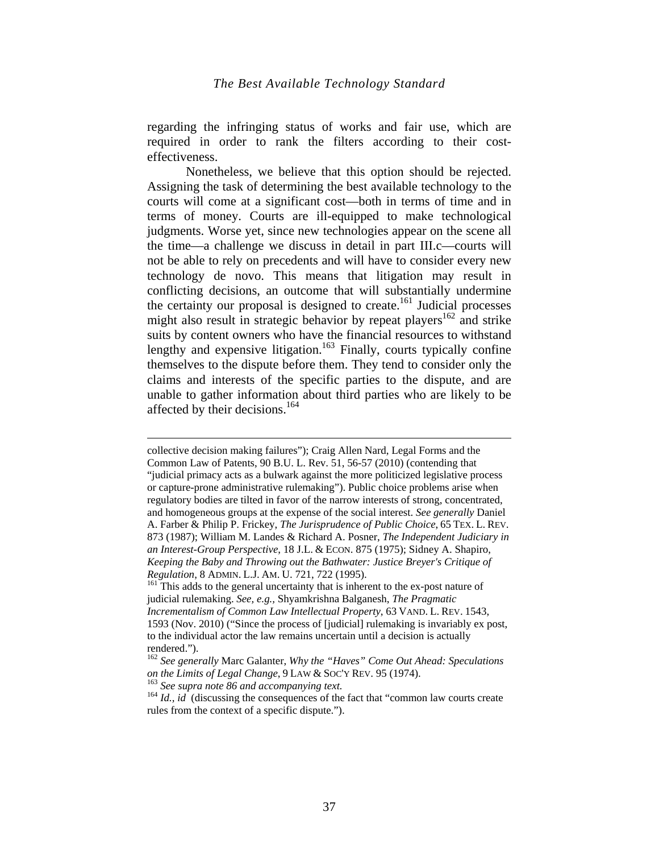regarding the infringing status of works and fair use, which are required in order to rank the filters according to their costeffectiveness.

Nonetheless, we believe that this option should be rejected. Assigning the task of determining the best available technology to the courts will come at a significant cost—both in terms of time and in terms of money. Courts are ill-equipped to make technological judgments. Worse yet, since new technologies appear on the scene all the time—a challenge we discuss in detail in part III.c—courts will not be able to rely on precedents and will have to consider every new technology de novo. This means that litigation may result in conflicting decisions, an outcome that will substantially undermine the certainty our proposal is designed to create.<sup>161</sup> Judicial processes might also result in strategic behavior by repeat players<sup>162</sup> and strike suits by content owners who have the financial resources to withstand lengthy and expensive litigation.<sup>163</sup> Finally, courts typically confine themselves to the dispute before them. They tend to consider only the claims and interests of the specific parties to the dispute, and are unable to gather information about third parties who are likely to be affected by their decisions.<sup>164</sup>

collective decision making failures"); Craig Allen Nard, Legal Forms and the Common Law of Patents, 90 B.U. L. Rev. 51, 56-57 (2010) (contending that "judicial primacy acts as a bulwark against the more politicized legislative process or capture-prone administrative rulemaking"). Public choice problems arise when regulatory bodies are tilted in favor of the narrow interests of strong, concentrated, and homogeneous groups at the expense of the social interest. *See generally* Daniel A. Farber & Philip P. Frickey, *The Jurisprudence of Public Choice*, 65 TEX. L. REV. 873 (1987); William M. Landes & Richard A. Posner, *The Independent Judiciary in an Interest-Group Perspective*, 18 J.L. & ECON. 875 (1975); Sidney A. Shapiro, *Keeping the Baby and Throwing out the Bathwater: Justice Breyer's Critique of Regulation*, 8 ADMIN. L.J. AM. U. 721, 722 (1995).<br><sup>161</sup> This adds to the general uncertainty that is inherent to the ex-post nature of

judicial rulemaking. *See, e.g.,* Shyamkrishna Balganesh, *The Pragmatic Incrementalism of Common Law Intellectual Property*, 63 VAND. L. REV. 1543, 1593 (Nov. 2010) ("Since the process of [judicial] rulemaking is invariably ex post, to the individual actor the law remains uncertain until a decision is actually rendered.").

<sup>162</sup> *See generally* Marc Galanter, *Why the "Haves" Come Out Ahead: Speculations on the Limits of Legal Change*, 9 LAW & SOC'Y REV. 95 (1974).<br><sup>163</sup> *See supra note 86 and accompanying text.*<br><sup>164</sup> *Id., id* (discussing the consequences of the fact that "common law courts create

rules from the context of a specific dispute.").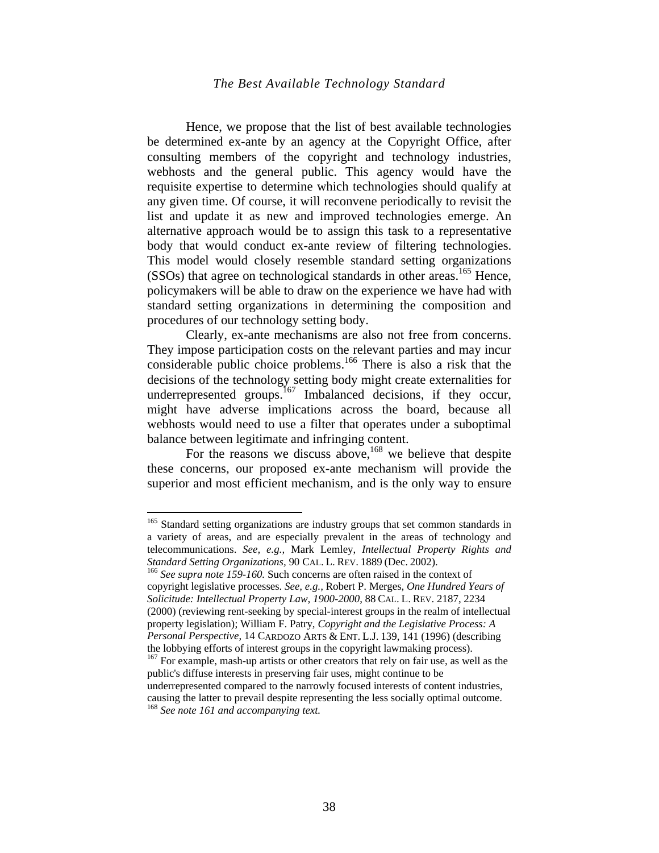Hence, we propose that the list of best available technologies be determined ex-ante by an agency at the Copyright Office, after consulting members of the copyright and technology industries, webhosts and the general public. This agency would have the requisite expertise to determine which technologies should qualify at any given time. Of course, it will reconvene periodically to revisit the list and update it as new and improved technologies emerge. An alternative approach would be to assign this task to a representative body that would conduct ex-ante review of filtering technologies. This model would closely resemble standard setting organizations (SSOs) that agree on technological standards in other areas.<sup>165</sup> Hence, policymakers will be able to draw on the experience we have had with standard setting organizations in determining the composition and procedures of our technology setting body.

Clearly, ex-ante mechanisms are also not free from concerns. They impose participation costs on the relevant parties and may incur considerable public choice problems.<sup>166</sup> There is also a risk that the decisions of the technology setting body might create externalities for underrepresented groups.<sup>167</sup> Imbalanced decisions, if they occur, might have adverse implications across the board, because all webhosts would need to use a filter that operates under a suboptimal balance between legitimate and infringing content.

For the reasons we discuss above,<sup>168</sup> we believe that despite these concerns, our proposed ex-ante mechanism will provide the superior and most efficient mechanism, and is the only way to ensure

1

<sup>166</sup> See supra note 159-160. Such concerns are often raised in the context of copyright legislative processes. *See, e.g.,* Robert P. Merges, *One Hundred Years of Solicitude: Intellectual Property Law, 1900-2000*, 88 CAL. L. REV. 2187, 2234 (2000) (reviewing rent-seeking by special-interest groups in the realm of intellectual property legislation); William F. Patry, *Copyright and the Legislative Process: A Personal Perspective*, 14 CARDOZO ARTS & ENT. L.J. 139, 141 (1996) (describing the lobbying efforts of interest groups in the copyright lawmaking process). 167 For example, mash-up artists or other creators that rely on fair use, as well as the public's diffuse interests in preserving fair uses, might continue to be underrepresented compared to the narrowly focused interests of content industries, causing the latter to prevail despite representing the less socially optimal outcome. <sup>168</sup> *See note 161 and accompanying text.*

<sup>&</sup>lt;sup>165</sup> Standard setting organizations are industry groups that set common standards in a variety of areas, and are especially prevalent in the areas of technology and telecommunications. *See, e.g.,* Mark Lemley, *Intellectual Property Rights and*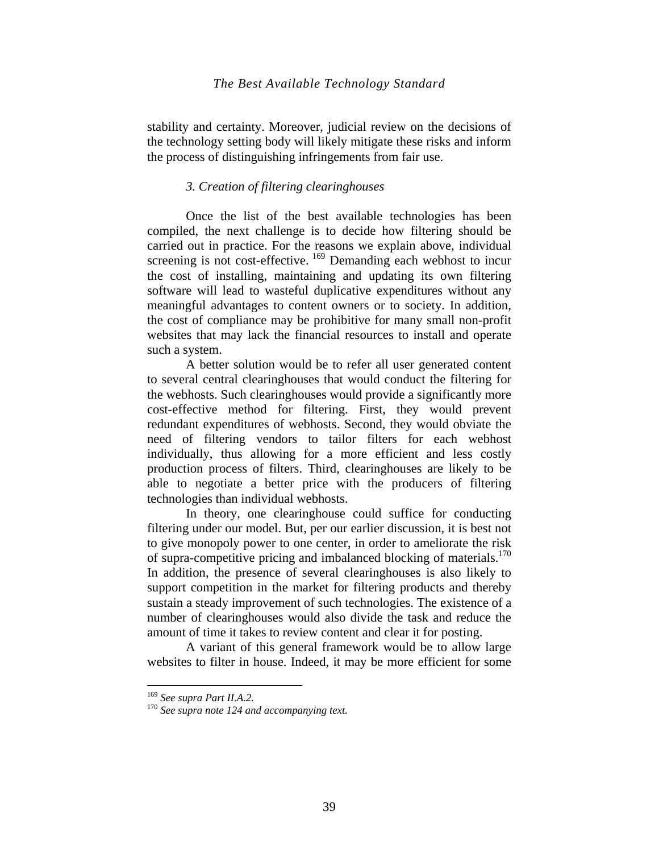stability and certainty. Moreover, judicial review on the decisions of the technology setting body will likely mitigate these risks and inform the process of distinguishing infringements from fair use.

## *3. Creation of filtering clearinghouses*

Once the list of the best available technologies has been compiled, the next challenge is to decide how filtering should be carried out in practice. For the reasons we explain above, individual screening is not cost-effective. <sup>169</sup> Demanding each webhost to incur the cost of installing, maintaining and updating its own filtering software will lead to wasteful duplicative expenditures without any meaningful advantages to content owners or to society. In addition, the cost of compliance may be prohibitive for many small non-profit websites that may lack the financial resources to install and operate such a system.

A better solution would be to refer all user generated content to several central clearinghouses that would conduct the filtering for the webhosts. Such clearinghouses would provide a significantly more cost-effective method for filtering. First, they would prevent redundant expenditures of webhosts. Second, they would obviate the need of filtering vendors to tailor filters for each webhost individually, thus allowing for a more efficient and less costly production process of filters. Third, clearinghouses are likely to be able to negotiate a better price with the producers of filtering technologies than individual webhosts.

In theory, one clearinghouse could suffice for conducting filtering under our model. But, per our earlier discussion, it is best not to give monopoly power to one center, in order to ameliorate the risk of supra-competitive pricing and imbalanced blocking of materials.<sup>170</sup> In addition, the presence of several clearinghouses is also likely to support competition in the market for filtering products and thereby sustain a steady improvement of such technologies. The existence of a number of clearinghouses would also divide the task and reduce the amount of time it takes to review content and clear it for posting.

A variant of this general framework would be to allow large websites to filter in house. Indeed, it may be more efficient for some

<sup>&</sup>lt;sup>169</sup> See supra Part II.A.2.<br><sup>170</sup> See supra note 124 and accompanying text.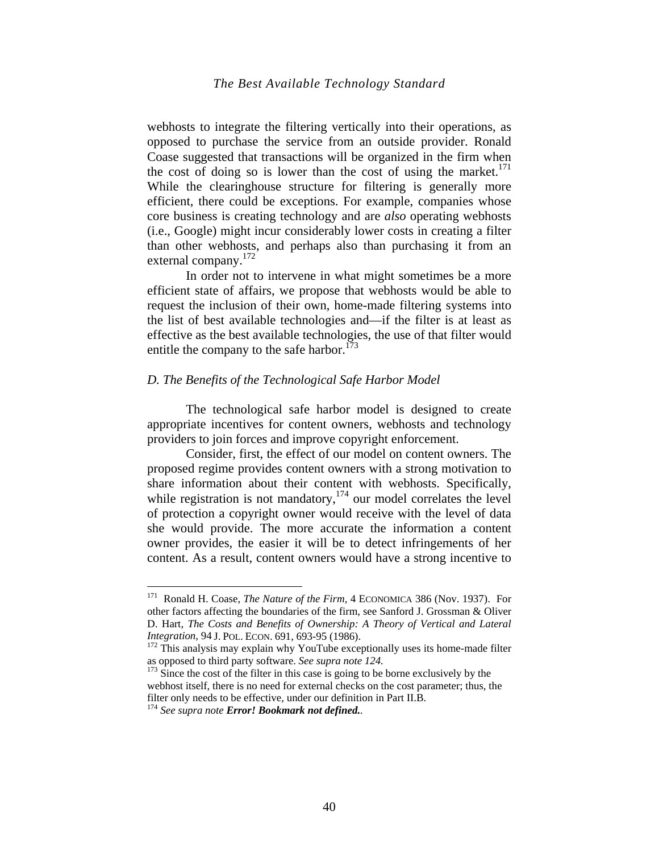webhosts to integrate the filtering vertically into their operations, as opposed to purchase the service from an outside provider. Ronald Coase suggested that transactions will be organized in the firm when the cost of doing so is lower than the cost of using the market.<sup>171</sup> While the clearinghouse structure for filtering is generally more efficient, there could be exceptions. For example, companies whose core business is creating technology and are *also* operating webhosts (i.e., Google) might incur considerably lower costs in creating a filter than other webhosts, and perhaps also than purchasing it from an external company. $172$ 

In order not to intervene in what might sometimes be a more efficient state of affairs, we propose that webhosts would be able to request the inclusion of their own, home-made filtering systems into the list of best available technologies and—if the filter is at least as effective as the best available technologies, the use of that filter would entitle the company to the safe harbor.<sup>173</sup>

#### *D. The Benefits of the Technological Safe Harbor Model*

The technological safe harbor model is designed to create appropriate incentives for content owners, webhosts and technology providers to join forces and improve copyright enforcement.

Consider, first, the effect of our model on content owners. The proposed regime provides content owners with a strong motivation to share information about their content with webhosts. Specifically, while registration is not mandatory,  $174$  our model correlates the level of protection a copyright owner would receive with the level of data she would provide. The more accurate the information a content owner provides, the easier it will be to detect infringements of her content. As a result, content owners would have a strong incentive to

<sup>171</sup> Ronald H. Coase, *The Nature of the Firm,* 4 ECONOMICA 386 (Nov. 1937). For other factors affecting the boundaries of the firm, see Sanford J. Grossman & Oliver D. Hart, *The Costs and Benefits of Ownership: A Theory of Vertical and Lateral* 

*Integration*, 94 J. POL. ECON. 691, 693-95 (1986).<br><sup>172</sup> This analysis may explain why YouTube exceptionally uses its home-made filter as opposed to third party software. *See supra note 124*.

<sup>&</sup>lt;sup>173</sup> Since the cost of the filter in this case is going to be borne exclusively by the webhost itself, there is no need for external checks on the cost parameter; thus, the filter only needs to be effective, under our definition in Part II.B.

<sup>174</sup> *See supra note Error! Bookmark not defined..*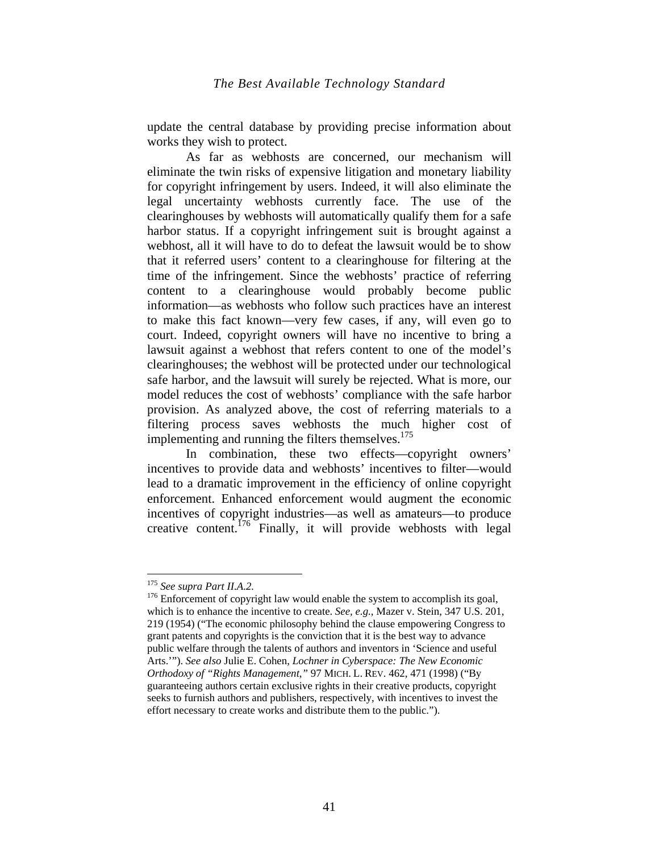update the central database by providing precise information about works they wish to protect.

As far as webhosts are concerned, our mechanism will eliminate the twin risks of expensive litigation and monetary liability for copyright infringement by users. Indeed, it will also eliminate the legal uncertainty webhosts currently face. The use of the clearinghouses by webhosts will automatically qualify them for a safe harbor status. If a copyright infringement suit is brought against a webhost, all it will have to do to defeat the lawsuit would be to show that it referred users' content to a clearinghouse for filtering at the time of the infringement. Since the webhosts' practice of referring content to a clearinghouse would probably become public information—as webhosts who follow such practices have an interest to make this fact known—very few cases, if any, will even go to court. Indeed, copyright owners will have no incentive to bring a lawsuit against a webhost that refers content to one of the model's clearinghouses; the webhost will be protected under our technological safe harbor, and the lawsuit will surely be rejected. What is more, our model reduces the cost of webhosts' compliance with the safe harbor provision. As analyzed above, the cost of referring materials to a filtering process saves webhosts the much higher cost of implementing and running the filters themselves.<sup>175</sup>

In combination, these two effects—copyright owners' incentives to provide data and webhosts' incentives to filter—would lead to a dramatic improvement in the efficiency of online copyright enforcement. Enhanced enforcement would augment the economic incentives of copyright industries—as well as amateurs—to produce creative content.<sup>176</sup> Finally, it will provide webhosts with legal

<sup>&</sup>lt;sup>175</sup> See supra Part II.A.2.

<sup>&</sup>lt;sup>176</sup> Enforcement of copyright law would enable the system to accomplish its goal, which is to enhance the incentive to create. *See, e.g.,* Mazer v. Stein, 347 U.S. 201, 219 (1954) ("The economic philosophy behind the clause empowering Congress to grant patents and copyrights is the conviction that it is the best way to advance public welfare through the talents of authors and inventors in 'Science and useful Arts.'"). *See also* Julie E. Cohen, *Lochner in Cyberspace: The New Economic Orthodoxy of "Rights Management*,*"* 97 MICH. L. REV. 462, 471 (1998) ("By guaranteeing authors certain exclusive rights in their creative products, copyright seeks to furnish authors and publishers, respectively, with incentives to invest the effort necessary to create works and distribute them to the public.").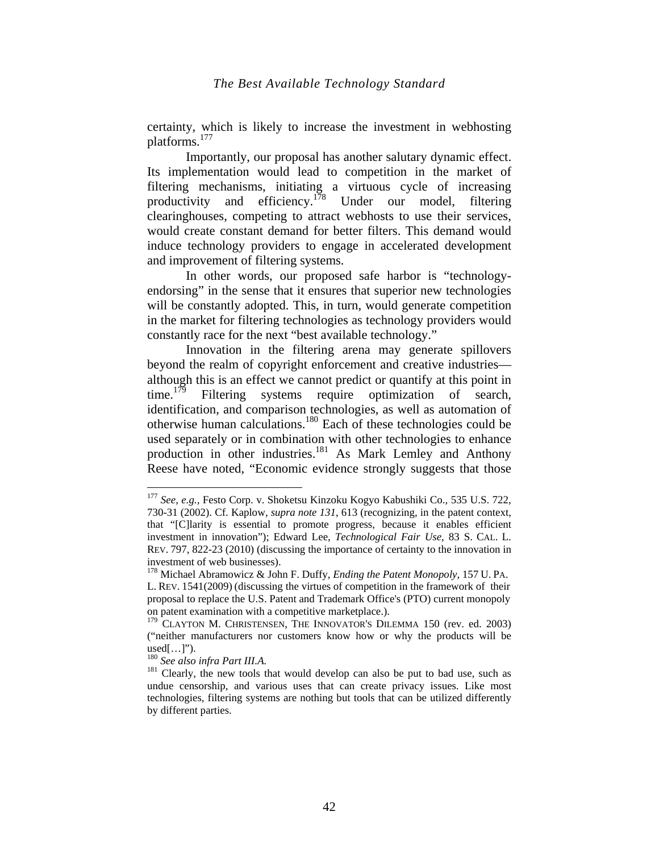certainty, which is likely to increase the investment in webhosting platforms.177

Importantly, our proposal has another salutary dynamic effect. Its implementation would lead to competition in the market of filtering mechanisms, initiating a virtuous cycle of increasing productivity and efficiency.<sup>178</sup> Under our model, filtering clearinghouses, competing to attract webhosts to use their services, would create constant demand for better filters. This demand would induce technology providers to engage in accelerated development and improvement of filtering systems.

In other words, our proposed safe harbor is "technologyendorsing" in the sense that it ensures that superior new technologies will be constantly adopted. This, in turn, would generate competition in the market for filtering technologies as technology providers would constantly race for the next "best available technology."

Innovation in the filtering arena may generate spillovers beyond the realm of copyright enforcement and creative industries although this is an effect we cannot predict or quantify at this point in time.<sup>179</sup> Filtering systems require optimization of search, identification, and comparison technologies, as well as automation of otherwise human calculations.180 Each of these technologies could be used separately or in combination with other technologies to enhance production in other industries.<sup>181</sup> As Mark Lemley and Anthony Reese have noted, "Economic evidence strongly suggests that those

<sup>177</sup> *See, e.g.,* Festo Corp. v. Shoketsu Kinzoku Kogyo Kabushiki Co., 535 U.S. 722, 730-31 (2002). Cf. Kaplow, *supra note 131*, 613 (recognizing, in the patent context, that "[C]larity is essential to promote progress, because it enables efficient investment in innovation"); Edward Lee, *Technological Fair Use*, 83 S. CAL. L. REV. 797, 822-23 (2010) (discussing the importance of certainty to the innovation in investment of web businesses).

<sup>178</sup> Michael Abramowicz & John F. Duffy, *Ending the Patent Monopoly*, 157 U. PA. L. REV. 1541(2009) (discussing the virtues of competition in the framework of their proposal to replace the U.S. Patent and Trademark Office's (PTO) current monopoly on patent examination with a competitive marketplace.).

 $179$  CLAYTON M. CHRISTENSEN, THE INNOVATOR'S DILEMMA 150 (rev. ed. 2003) ("neither manufacturers nor customers know how or why the products will be  $used[$ ... $]$ ").

<sup>&</sup>lt;sup>180</sup> *See also infra Part III.A.*<br><sup>181</sup> Clearly, the new tools that would develop can also be put to bad use, such as undue censorship, and various uses that can create privacy issues. Like most technologies, filtering systems are nothing but tools that can be utilized differently by different parties.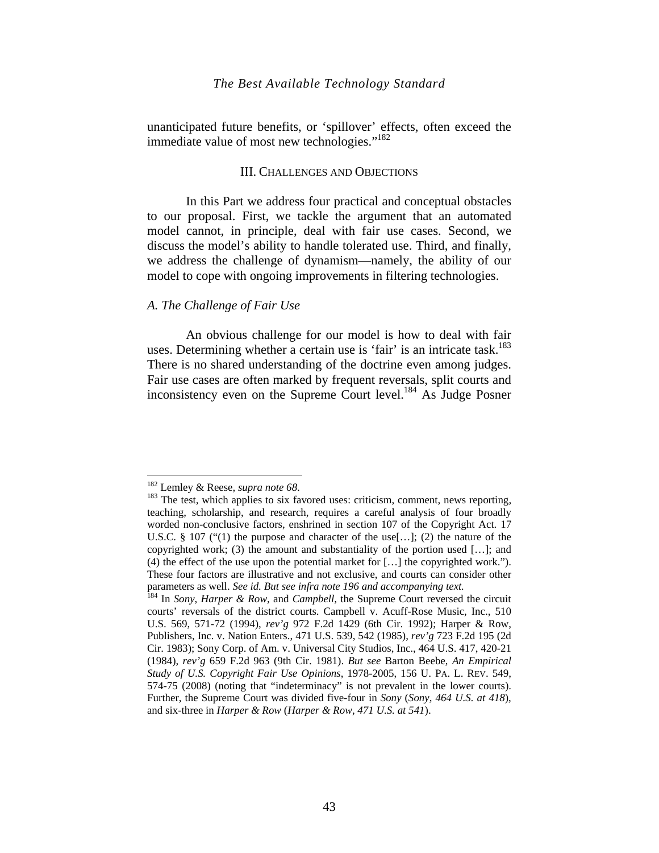unanticipated future benefits, or 'spillover' effects, often exceed the immediate value of most new technologies."<sup>182</sup>

## III. CHALLENGES AND OBJECTIONS

In this Part we address four practical and conceptual obstacles to our proposal. First, we tackle the argument that an automated model cannot, in principle, deal with fair use cases. Second, we discuss the model's ability to handle tolerated use. Third, and finally, we address the challenge of dynamism—namely, the ability of our model to cope with ongoing improvements in filtering technologies.

## *A. The Challenge of Fair Use*

An obvious challenge for our model is how to deal with fair uses. Determining whether a certain use is 'fair' is an intricate task.<sup>183</sup> There is no shared understanding of the doctrine even among judges. Fair use cases are often marked by frequent reversals, split courts and inconsistency even on the Supreme Court level.184 As Judge Posner

<sup>&</sup>lt;sup>182</sup> Lemley & Reese, *supra note* 68.

<sup>&</sup>lt;sup>183</sup> The test, which applies to six favored uses: criticism, comment, news reporting, teaching, scholarship, and research, requires a careful analysis of four broadly worded non-conclusive factors, enshrined in section 107 of the Copyright Act. 17 U.S.C. § 107 ("(1) the purpose and character of the use [...]; (2) the nature of the copyrighted work; (3) the amount and substantiality of the portion used […]; and (4) the effect of the use upon the potential market for […] the copyrighted work."). These four factors are illustrative and not exclusive, and courts can consider other parameters as well. *See id. But see infra note 196 and accompanying text.* 184 In *Sony*, *Harper & Row*, and *Campbell*, the Supreme Court reversed the circuit

courts' reversals of the district courts. Campbell v. Acuff-Rose Music, Inc., 510 U.S. 569, 571-72 (1994), *rev'g* 972 F.2d 1429 (6th Cir. 1992); Harper & Row, Publishers, Inc. v. Nation Enters., 471 U.S. 539, 542 (1985), *rev'g* 723 F.2d 195 (2d Cir. 1983); Sony Corp. of Am. v. Universal City Studios, Inc., 464 U.S. 417, 420-21 (1984), *rev'g* 659 F.2d 963 (9th Cir. 1981). *But see* Barton Beebe, *An Empirical Study of U.S. Copyright Fair Use Opinions*, 1978-2005, 156 U. PA. L. REV. 549, 574-75 (2008) (noting that "indeterminacy" is not prevalent in the lower courts). Further, the Supreme Court was divided five-four in *Sony* (*Sony, 464 U.S. at 418*), and six-three in *Harper & Row* (*Harper & Row, 471 U.S. at 541*).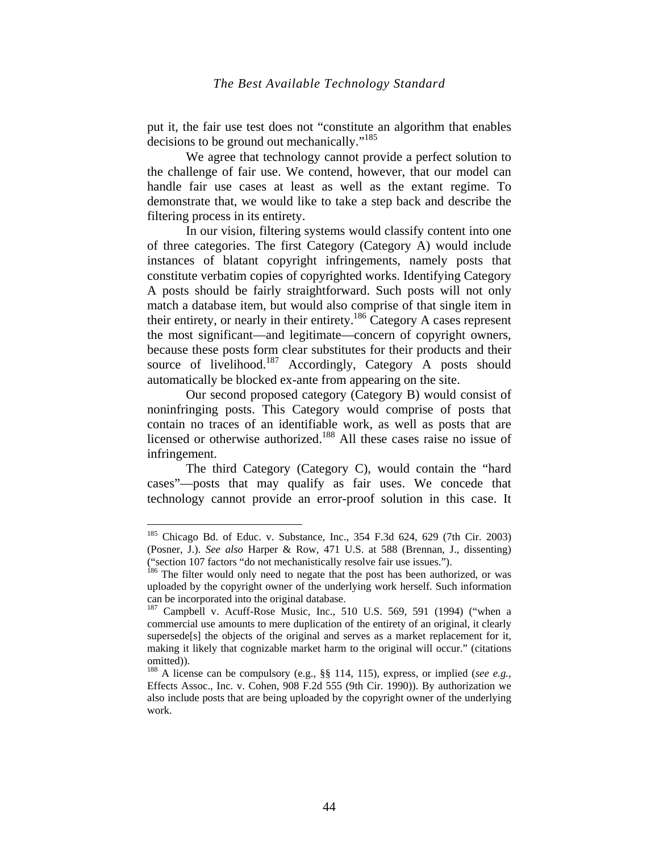put it, the fair use test does not "constitute an algorithm that enables decisions to be ground out mechanically."<sup>185</sup>

We agree that technology cannot provide a perfect solution to the challenge of fair use. We contend, however, that our model can handle fair use cases at least as well as the extant regime. To demonstrate that, we would like to take a step back and describe the filtering process in its entirety.

In our vision, filtering systems would classify content into one of three categories. The first Category (Category A) would include instances of blatant copyright infringements, namely posts that constitute verbatim copies of copyrighted works. Identifying Category A posts should be fairly straightforward. Such posts will not only match a database item, but would also comprise of that single item in their entirety, or nearly in their entirety.186 Category A cases represent the most significant—and legitimate—concern of copyright owners, because these posts form clear substitutes for their products and their source of livelihood.<sup>187</sup> Accordingly, Category A posts should automatically be blocked ex-ante from appearing on the site.

Our second proposed category (Category B) would consist of noninfringing posts. This Category would comprise of posts that contain no traces of an identifiable work, as well as posts that are licensed or otherwise authorized.<sup>188</sup> All these cases raise no issue of infringement.

The third Category (Category C), would contain the "hard cases"—posts that may qualify as fair uses. We concede that technology cannot provide an error-proof solution in this case. It

<sup>&</sup>lt;sup>185</sup> Chicago Bd. of Educ. v. Substance, Inc., 354 F.3d 624, 629 (7th Cir. 2003) (Posner, J.). *See also* Harper & Row, 471 U.S. at 588 (Brennan, J., dissenting) ("section 107 factors "do not mechanistically resolve fair use issues."). 186 The filter would only need to negate that the post has been authorized, or was

uploaded by the copyright owner of the underlying work herself. Such information can be incorporated into the original database.<br><sup>187</sup> Campbell v. Acuff-Rose Music, Inc., 510 U.S. 569, 591 (1994) ("when a

commercial use amounts to mere duplication of the entirety of an original, it clearly supersede<sup>[s]</sup> the objects of the original and serves as a market replacement for it, making it likely that cognizable market harm to the original will occur." (citations omitted)).

<sup>188</sup> A license can be compulsory (e.g., §§ 114, 115), express, or implied (*see e.g.,* Effects Assoc., Inc. v. Cohen, 908 F.2d 555 (9th Cir. 1990)). By authorization we also include posts that are being uploaded by the copyright owner of the underlying work.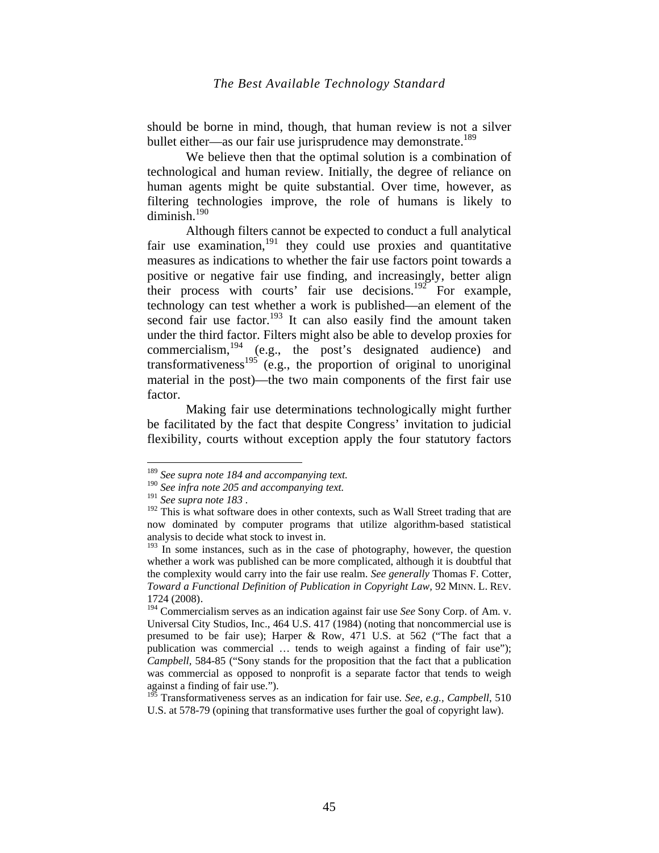should be borne in mind, though, that human review is not a silver bullet either—as our fair use jurisprudence may demonstrate.<sup>189</sup>

We believe then that the optimal solution is a combination of technological and human review. Initially, the degree of reliance on human agents might be quite substantial. Over time, however, as filtering technologies improve, the role of humans is likely to diminish. $190$ 

Although filters cannot be expected to conduct a full analytical fair use examination, $191$  they could use proxies and quantitative measures as indications to whether the fair use factors point towards a positive or negative fair use finding, and increasingly, better align their process with courts' fair use decisions.<sup>192</sup> For example, technology can test whether a work is published—an element of the second fair use factor.<sup>193</sup> It can also easily find the amount taken under the third factor. Filters might also be able to develop proxies for commercialism,<sup>194</sup> (e.g., the post's designated audience) and transformativeness<sup>195</sup> (e.g., the proportion of original to unoriginal material in the post)—the two main components of the first fair use factor.

Making fair use determinations technologically might further be facilitated by the fact that despite Congress' invitation to judicial flexibility, courts without exception apply the four statutory factors

<sup>189</sup> *See supra note 184 and accompanying text.*

<sup>&</sup>lt;sup>190</sup> See infra note 205 and accompanying text.<br><sup>191</sup> See supra note 183.

<sup>&</sup>lt;sup>192</sup> This is what software does in other contexts, such as Wall Street trading that are now dominated by computer programs that utilize algorithm-based statistical analysis to decide what stock to invest in.

 $193$  In some instances, such as in the case of photography, however, the question whether a work was published can be more complicated, although it is doubtful that the complexity would carry into the fair use realm. *See generally* Thomas F. Cotter*, Toward a Functional Definition of Publication in Copyright Law, 92 MINN. L. REV.* 1724 (2008).

<sup>&</sup>lt;sup>194</sup> Commercialism serves as an indication against fair use *See* Sony Corp. of Am. v. Universal City Studios, Inc., 464 U.S. 417 (1984) (noting that noncommercial use is presumed to be fair use); Harper & Row, 471 U.S. at 562 ("The fact that a publication was commercial … tends to weigh against a finding of fair use"); *Campbell,* 584-85 ("Sony stands for the proposition that the fact that a publication was commercial as opposed to nonprofit is a separate factor that tends to weigh against a finding of fair use.").

<sup>&</sup>lt;sup>195</sup> Transformativeness serves as an indication for fair use. *See, e.g., Campbell*, 510 U.S. at 578-79 (opining that transformative uses further the goal of copyright law).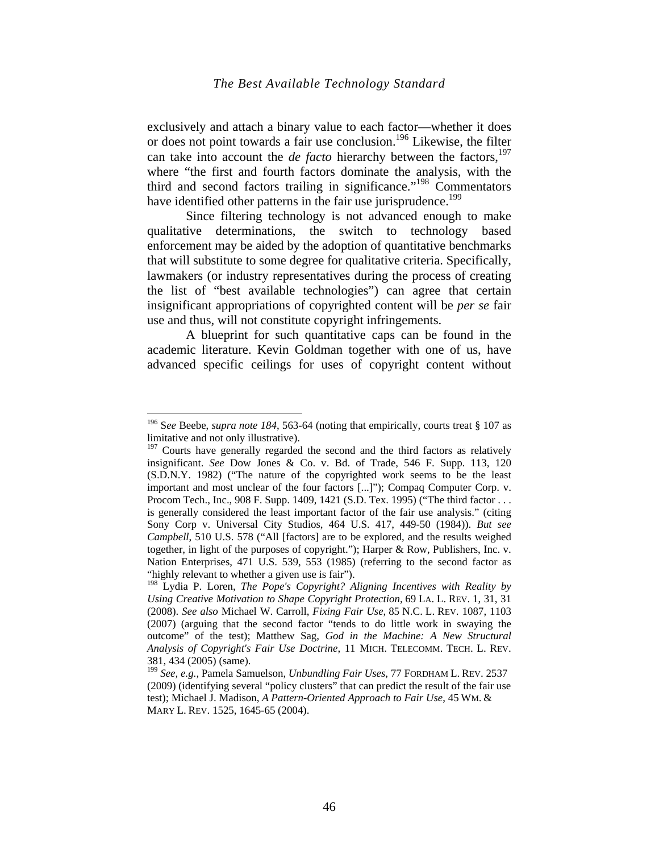exclusively and attach a binary value to each factor—whether it does or does not point towards a fair use conclusion.<sup>196</sup> Likewise, the filter can take into account the *de facto* hierarchy between the factors,<sup>197</sup> where "the first and fourth factors dominate the analysis, with the third and second factors trailing in significance."198 Commentators have identified other patterns in the fair use jurisprudence.<sup>199</sup>

Since filtering technology is not advanced enough to make qualitative determinations, the switch to technology based enforcement may be aided by the adoption of quantitative benchmarks that will substitute to some degree for qualitative criteria. Specifically, lawmakers (or industry representatives during the process of creating the list of "best available technologies") can agree that certain insignificant appropriations of copyrighted content will be *per se* fair use and thus, will not constitute copyright infringements.

A blueprint for such quantitative caps can be found in the academic literature. Kevin Goldman together with one of us, have advanced specific ceilings for uses of copyright content without

<sup>196</sup> S*ee* Beebe, *supra note 184*, 563-64 (noting that empirically, courts treat § 107 as limitative and not only illustrative).

 $197$  Courts have generally regarded the second and the third factors as relatively insignificant. *See* Dow Jones & Co. v. Bd. of Trade, 546 F. Supp. 113, 120 (S.D.N.Y. 1982) ("The nature of the copyrighted work seems to be the least important and most unclear of the four factors [...]"); Compaq Computer Corp. v. Procom Tech., Inc., 908 F. Supp. 1409, 1421 (S.D. Tex. 1995) ("The third factor . . . is generally considered the least important factor of the fair use analysis." (citing Sony Corp v. Universal City Studios, 464 U.S. 417, 449-50 (1984)). *But see Campbell*, 510 U.S. 578 ("All [factors] are to be explored, and the results weighed together, in light of the purposes of copyright."); Harper & Row, Publishers, Inc. v. Nation Enterprises, 471 U.S. 539, 553 (1985) (referring to the second factor as "highly relevant to whether a given use is fair").

<sup>198</sup> Lydia P. Loren, *The Pope's Copyright? Aligning Incentives with Reality by Using Creative Motivation to Shape Copyright Protection*, 69 LA. L. REV. 1, 31, 31 (2008). *See also* Michael W. Carroll, *Fixing Fair Use*, 85 N.C. L. REV. 1087, 1103 (2007) (arguing that the second factor "tends to do little work in swaying the outcome" of the test); Matthew Sag, *God in the Machine: A New Structural Analysis of Copyright's Fair Use Doctrine*, 11 MICH. TELECOMM. TECH. L. REV. 381, 434 (2005) (same).

<sup>199</sup> *See, e.g.,* Pamela Samuelson, *Unbundling Fair Uses*, 77 FORDHAM L. REV. 2537 (2009) (identifying several "policy clusters" that can predict the result of the fair use test); Michael J. Madison, *A Pattern-Oriented Approach to Fair Use*, 45 WM. & MARY L. REV. 1525, 1645-65 (2004).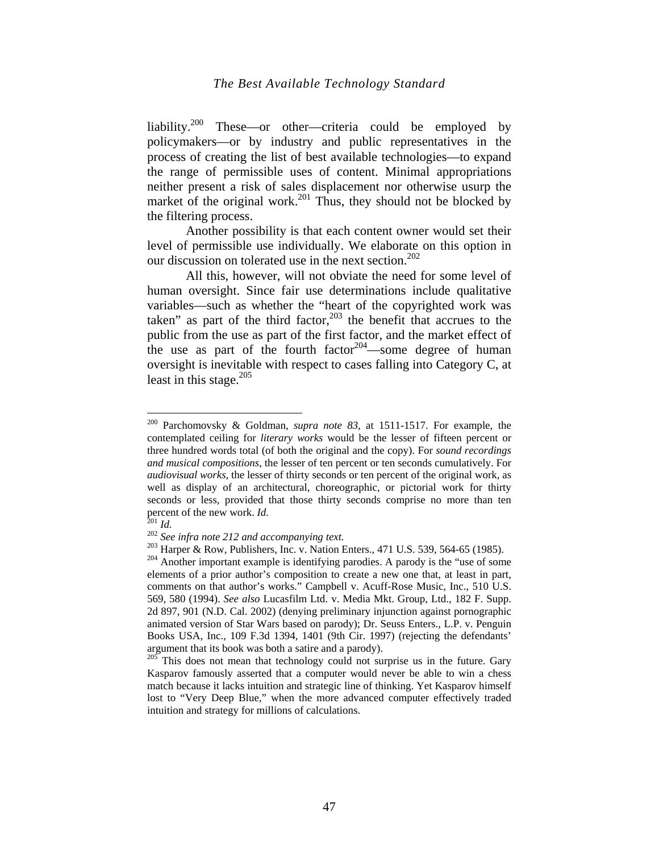liability.<sup>200</sup> These—or other—criteria could be employed by policymakers—or by industry and public representatives in the process of creating the list of best available technologies—to expand the range of permissible uses of content. Minimal appropriations neither present a risk of sales displacement nor otherwise usurp the market of the original work.<sup>201</sup> Thus, they should not be blocked by the filtering process.

Another possibility is that each content owner would set their level of permissible use individually. We elaborate on this option in our discussion on tolerated use in the next section.<sup>202</sup>

All this, however, will not obviate the need for some level of human oversight. Since fair use determinations include qualitative variables—such as whether the "heart of the copyrighted work was taken" as part of the third factor, $203$  the benefit that accrues to the public from the use as part of the first factor, and the market effect of the use as part of the fourth factor  $204$ —some degree of human oversight is inevitable with respect to cases falling into Category C, at least in this stage. $205$ 

<sup>200</sup> Parchomovsky & Goldman, *supra note 83,* at 1511-1517. For example, the contemplated ceiling for *literary works* would be the lesser of fifteen percent or three hundred words total (of both the original and the copy). For *sound recordings and musical compositions*, the lesser of ten percent or ten seconds cumulatively. For *audiovisual works,* the lesser of thirty seconds or ten percent of the original work, as well as display of an architectural, choreographic, or pictorial work for thirty seconds or less, provided that those thirty seconds comprise no more than ten percent of the new work. *Id.*<br>
<sup>201</sup> *Id.*<br>
<sup>202</sup> *See infra note 212 and accompanying text.*<br>
<sup>202</sup> *See infra note 212 and accompanying text.*<br>
<sup>203</sup> Harper & Row, Publishers, Inc. v. Nation Enters., 471 U.S. 539, 564-

elements of a prior author's composition to create a new one that, at least in part, comments on that author's works." Campbell v. Acuff-Rose Music, Inc., 510 U.S. 569, 580 (1994). *See also* Lucasfilm Ltd. v. Media Mkt. Group, Ltd., 182 F. Supp. 2d 897, 901 (N.D. Cal. 2002) (denying preliminary injunction against pornographic animated version of Star Wars based on parody); Dr. Seuss Enters., L.P. v. Penguin Books USA, Inc., 109 F.3d 1394, 1401 (9th Cir. 1997) (rejecting the defendants' argument that its book was both a satire and a parody).<br><sup>205</sup> This does not mean that technology could not surprise us in the future. Gary

Kasparov famously asserted that a computer would never be able to win a chess match because it lacks intuition and strategic line of thinking. Yet Kasparov himself lost to "Very Deep Blue," when the more advanced computer effectively traded intuition and strategy for millions of calculations.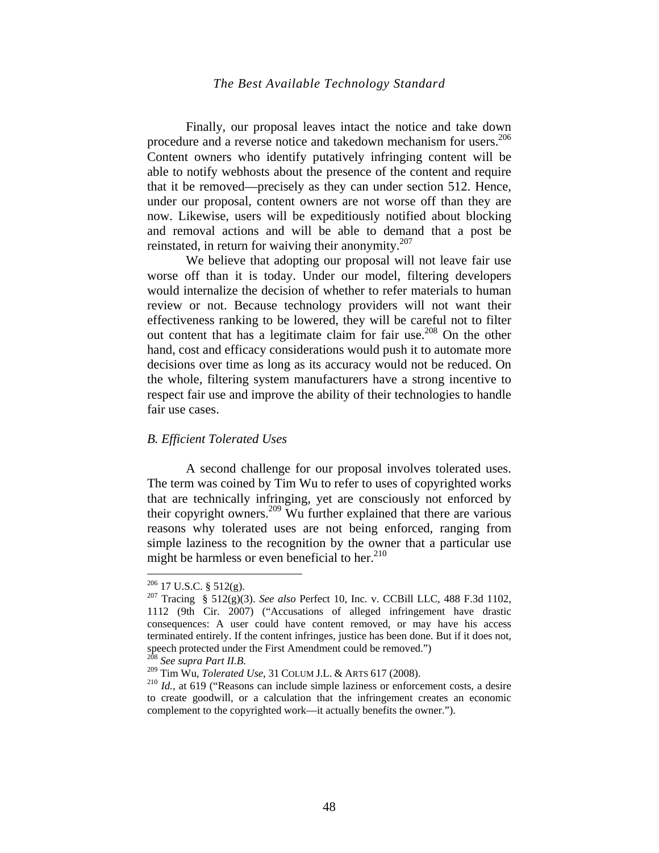Finally, our proposal leaves intact the notice and take down procedure and a reverse notice and takedown mechanism for users.<sup>206</sup> Content owners who identify putatively infringing content will be able to notify webhosts about the presence of the content and require that it be removed—precisely as they can under section 512. Hence, under our proposal, content owners are not worse off than they are now. Likewise, users will be expeditiously notified about blocking and removal actions and will be able to demand that a post be reinstated, in return for waiving their anonymity.<sup>207</sup>

We believe that adopting our proposal will not leave fair use worse off than it is today. Under our model, filtering developers would internalize the decision of whether to refer materials to human review or not. Because technology providers will not want their effectiveness ranking to be lowered, they will be careful not to filter out content that has a legitimate claim for fair use.<sup>208</sup> On the other hand, cost and efficacy considerations would push it to automate more decisions over time as long as its accuracy would not be reduced. On the whole, filtering system manufacturers have a strong incentive to respect fair use and improve the ability of their technologies to handle fair use cases.

#### *B. Efficient Tolerated Uses*

A second challenge for our proposal involves tolerated uses. The term was coined by Tim Wu to refer to uses of copyrighted works that are technically infringing, yet are consciously not enforced by their copyright owners.<sup>209</sup> Wu further explained that there are various reasons why tolerated uses are not being enforced, ranging from simple laziness to the recognition by the owner that a particular use might be harmless or even beneficial to her. $^{210}$ 

 $206$  17 U.S.C. § 512(g).

<sup>&</sup>lt;sup>207</sup> Tracing § 512(g)(3). *See also* Perfect 10, Inc. v. CCBill LLC, 488 F.3d 1102, 1112 (9th Cir. 2007) ("Accusations of alleged infringement have drastic consequences: A user could have content removed, or may have his access terminated entirely. If the content infringes, justice has been done. But if it does not, speech protected under the First Amendment could be removed.")

<sup>208</sup> *See supra Part II.B.*

<sup>209</sup> Tim Wu, *Tolerated Use*, 31 COLUM J.L. & ARTS 617 (2008).<br><sup>210</sup> *Id.*, at 619 ("Reasons can include simple laziness or enforcement costs, a desire to create goodwill, or a calculation that the infringement creates an economic complement to the copyrighted work—it actually benefits the owner.").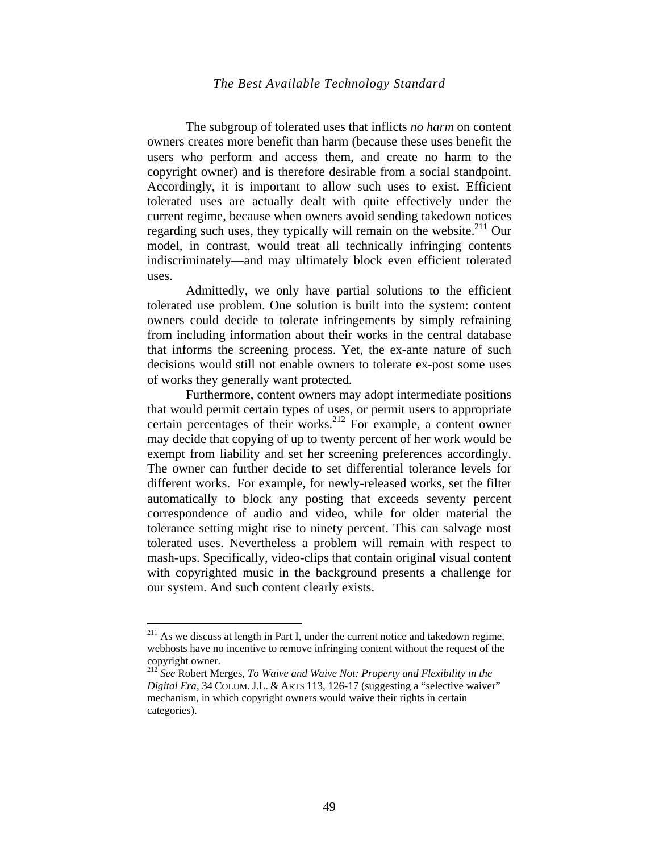The subgroup of tolerated uses that inflicts *no harm* on content owners creates more benefit than harm (because these uses benefit the users who perform and access them, and create no harm to the copyright owner) and is therefore desirable from a social standpoint. Accordingly, it is important to allow such uses to exist. Efficient tolerated uses are actually dealt with quite effectively under the current regime, because when owners avoid sending takedown notices regarding such uses, they typically will remain on the website. $211$  Our model, in contrast, would treat all technically infringing contents indiscriminately—and may ultimately block even efficient tolerated uses.

Admittedly, we only have partial solutions to the efficient tolerated use problem. One solution is built into the system: content owners could decide to tolerate infringements by simply refraining from including information about their works in the central database that informs the screening process. Yet, the ex-ante nature of such decisions would still not enable owners to tolerate ex-post some uses of works they generally want protected*.* 

Furthermore, content owners may adopt intermediate positions that would permit certain types of uses, or permit users to appropriate certain percentages of their works.<sup>212</sup> For example, a content owner may decide that copying of up to twenty percent of her work would be exempt from liability and set her screening preferences accordingly. The owner can further decide to set differential tolerance levels for different works. For example, for newly-released works, set the filter automatically to block any posting that exceeds seventy percent correspondence of audio and video, while for older material the tolerance setting might rise to ninety percent. This can salvage most tolerated uses. Nevertheless a problem will remain with respect to mash-ups. Specifically, video-clips that contain original visual content with copyrighted music in the background presents a challenge for our system. And such content clearly exists.

 $211$  As we discuss at length in Part I, under the current notice and takedown regime, webhosts have no incentive to remove infringing content without the request of the copyright owner.

<sup>212</sup> *See* Robert Merges, *To Waive and Waive Not: Property and Flexibility in the Digital Era*, 34 COLUM. J.L. & ARTS 113, 126-17 (suggesting a "selective waiver" mechanism, in which copyright owners would waive their rights in certain categories).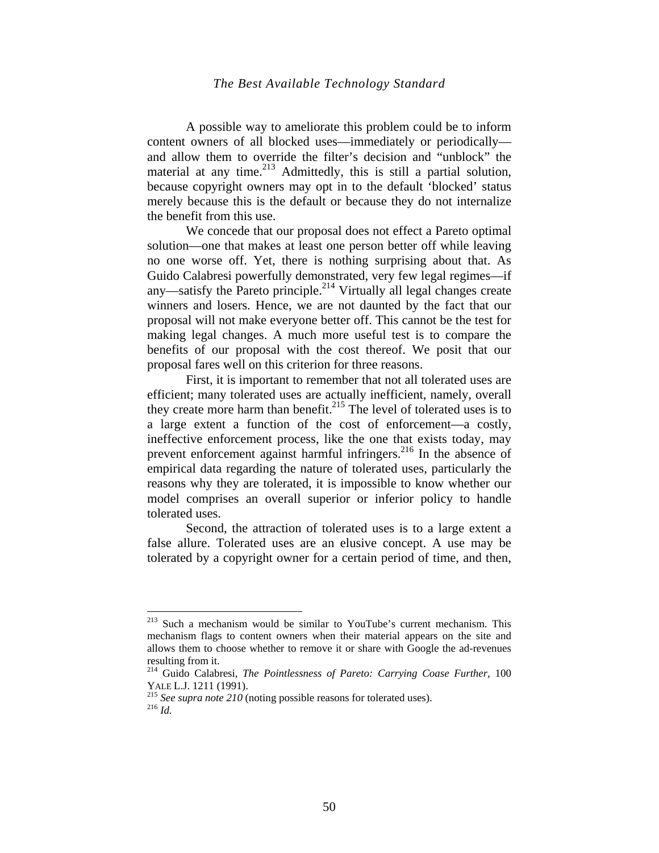A possible way to ameliorate this problem could be to inform content owners of all blocked uses—immediately or periodically and allow them to override the filter's decision and "unblock" the material at any time.<sup>213</sup> Admittedly, this is still a partial solution, because copyright owners may opt in to the default 'blocked' status merely because this is the default or because they do not internalize the benefit from this use.

We concede that our proposal does not effect a Pareto optimal solution—one that makes at least one person better off while leaving no one worse off. Yet, there is nothing surprising about that. As Guido Calabresi powerfully demonstrated, very few legal regimes—if any—satisfy the Pareto principle.<sup>214</sup> Virtually all legal changes create winners and losers. Hence, we are not daunted by the fact that our proposal will not make everyone better off. This cannot be the test for making legal changes. A much more useful test is to compare the benefits of our proposal with the cost thereof. We posit that our proposal fares well on this criterion for three reasons.

First, it is important to remember that not all tolerated uses are efficient; many tolerated uses are actually inefficient, namely, overall they create more harm than benefit. $215$  The level of tolerated uses is to a large extent a function of the cost of enforcement—a costly, ineffective enforcement process, like the one that exists today, may prevent enforcement against harmful infringers.<sup>216</sup> In the absence of empirical data regarding the nature of tolerated uses, particularly the reasons why they are tolerated, it is impossible to know whether our model comprises an overall superior or inferior policy to handle tolerated uses.

Second, the attraction of tolerated uses is to a large extent a false allure. Tolerated uses are an elusive concept. A use may be tolerated by a copyright owner for a certain period of time, and then,

<sup>&</sup>lt;sup>213</sup> Such a mechanism would be similar to YouTube's current mechanism. This mechanism flags to content owners when their material appears on the site and allows them to choose whether to remove it or share with Google the ad-revenues resulting from it.

<sup>214</sup> Guido Calabresi, *The Pointlessness of Pareto: Carrying Coase Further*, 100 YALE L.J. 1211 (1991). 215 *See supra note 210* (noting possible reasons for tolerated uses). 216 *Id.*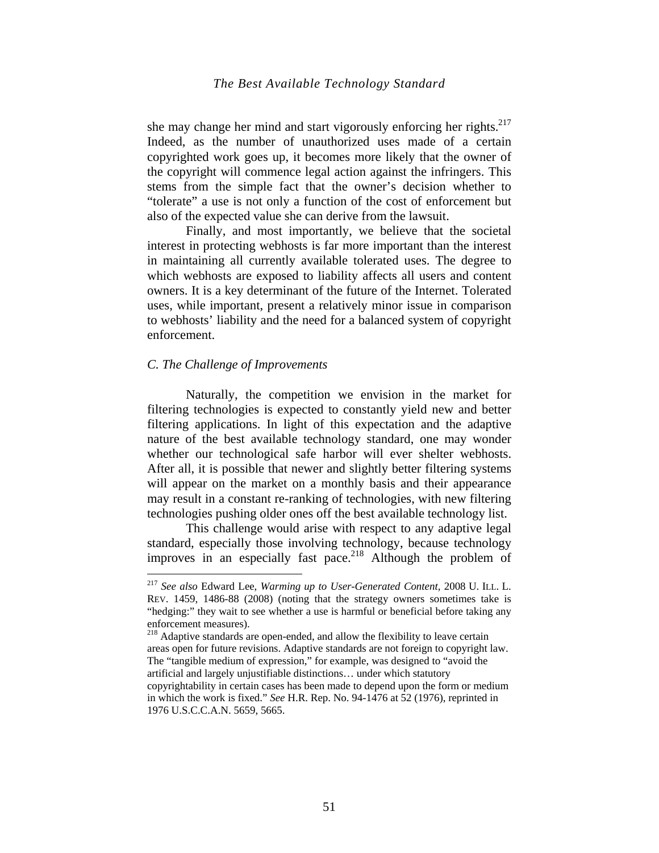she may change her mind and start vigorously enforcing her rights. $217$ Indeed, as the number of unauthorized uses made of a certain copyrighted work goes up, it becomes more likely that the owner of the copyright will commence legal action against the infringers. This stems from the simple fact that the owner's decision whether to "tolerate" a use is not only a function of the cost of enforcement but also of the expected value she can derive from the lawsuit.

Finally, and most importantly, we believe that the societal interest in protecting webhosts is far more important than the interest in maintaining all currently available tolerated uses. The degree to which webhosts are exposed to liability affects all users and content owners. It is a key determinant of the future of the Internet. Tolerated uses, while important, present a relatively minor issue in comparison to webhosts' liability and the need for a balanced system of copyright enforcement.

#### *C. The Challenge of Improvements*

1

Naturally, the competition we envision in the market for filtering technologies is expected to constantly yield new and better filtering applications. In light of this expectation and the adaptive nature of the best available technology standard, one may wonder whether our technological safe harbor will ever shelter webhosts. After all, it is possible that newer and slightly better filtering systems will appear on the market on a monthly basis and their appearance may result in a constant re-ranking of technologies, with new filtering technologies pushing older ones off the best available technology list.

This challenge would arise with respect to any adaptive legal standard, especially those involving technology, because technology improves in an especially fast pace.<sup>218</sup> Although the problem of

<sup>217</sup> *See also* Edward Lee, *Warming up to User-Generated Content,* 2008 U. ILL. L. REV. 1459, 1486-88 (2008) (noting that the strategy owners sometimes take is "hedging:" they wait to see whether a use is harmful or beneficial before taking any enforcement measures).

 $218$  Adaptive standards are open-ended, and allow the flexibility to leave certain areas open for future revisions. Adaptive standards are not foreign to copyright law. The "tangible medium of expression," for example, was designed to "avoid the artificial and largely unjustifiable distinctions… under which statutory copyrightability in certain cases has been made to depend upon the form or medium in which the work is fixed." *See* H.R. Rep. No. 94-1476 at 52 (1976), reprinted in 1976 U.S.C.C.A.N. 5659, 5665.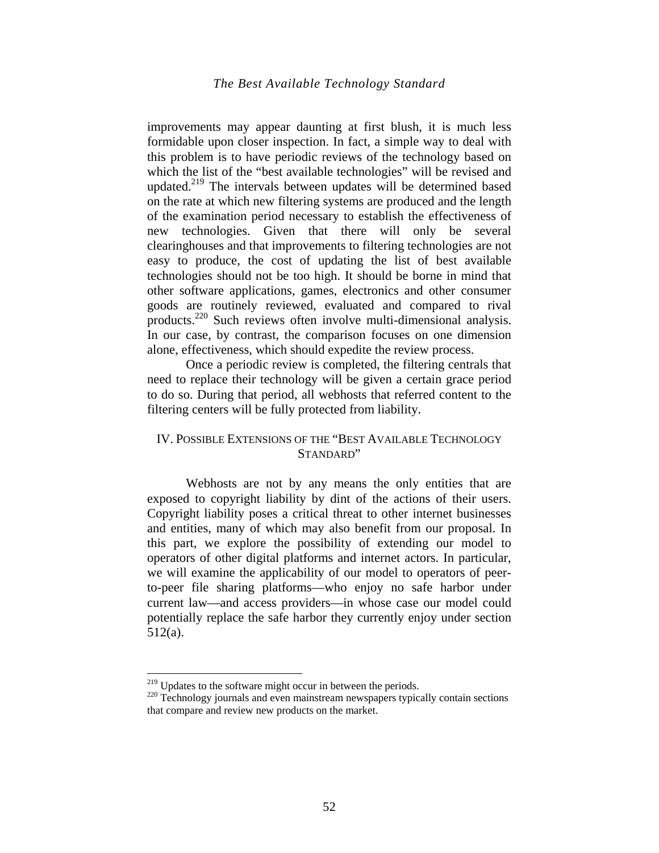improvements may appear daunting at first blush, it is much less formidable upon closer inspection. In fact, a simple way to deal with this problem is to have periodic reviews of the technology based on which the list of the "best available technologies" will be revised and updated.<sup>219</sup> The intervals between updates will be determined based on the rate at which new filtering systems are produced and the length of the examination period necessary to establish the effectiveness of new technologies. Given that there will only be several clearinghouses and that improvements to filtering technologies are not easy to produce, the cost of updating the list of best available technologies should not be too high. It should be borne in mind that other software applications, games, electronics and other consumer goods are routinely reviewed, evaluated and compared to rival products.<sup>220</sup> Such reviews often involve multi-dimensional analysis. In our case, by contrast, the comparison focuses on one dimension alone, effectiveness, which should expedite the review process.

Once a periodic review is completed, the filtering centrals that need to replace their technology will be given a certain grace period to do so. During that period, all webhosts that referred content to the filtering centers will be fully protected from liability.

# IV. POSSIBLE EXTENSIONS OF THE "BEST AVAILABLE TECHNOLOGY STANDARD"

Webhosts are not by any means the only entities that are exposed to copyright liability by dint of the actions of their users. Copyright liability poses a critical threat to other internet businesses and entities, many of which may also benefit from our proposal. In this part, we explore the possibility of extending our model to operators of other digital platforms and internet actors. In particular, we will examine the applicability of our model to operators of peerto-peer file sharing platforms—who enjoy no safe harbor under current law—and access providers—in whose case our model could potentially replace the safe harbor they currently enjoy under section 512(a).

 $219$  Updates to the software might occur in between the periods.

 $220$  Technology journals and even mainstream newspapers typically contain sections. that compare and review new products on the market.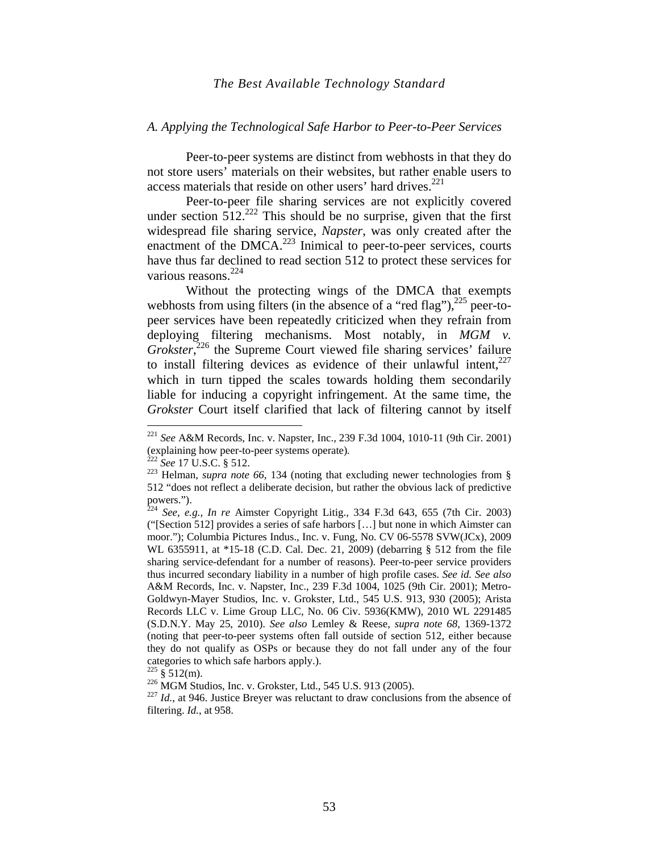#### *A. Applying the Technological Safe Harbor to Peer-to-Peer Services*

Peer-to-peer systems are distinct from webhosts in that they do not store users' materials on their websites, but rather enable users to access materials that reside on other users' hard drives.<sup>221</sup>

Peer-to-peer file sharing services are not explicitly covered under section  $512^{222}$  This should be no surprise, given that the first widespread file sharing service, *Napster*, was only created after the enactment of the DMCA.<sup>223</sup> Inimical to peer-to-peer services, courts have thus far declined to read section 512 to protect these services for various reasons.<sup>224</sup>

Without the protecting wings of the DMCA that exempts webhosts from using filters (in the absence of a "red flag"), $^{225}$  peer-topeer services have been repeatedly criticized when they refrain from deploying filtering mechanisms. Most notably, in *MGM v.*  Grokster,<sup>226</sup> the Supreme Court viewed file sharing services' failure to install filtering devices as evidence of their unlawful intent, $227$ which in turn tipped the scales towards holding them secondarily liable for inducing a copyright infringement. At the same time, the *Grokster* Court itself clarified that lack of filtering cannot by itself

<sup>&</sup>lt;sup>221</sup> *See* A&M Records, Inc. v. Napster, Inc., 239 F.3d 1004, 1010-11 (9th Cir. 2001) (explaining how peer-to-peer systems operate).<br><sup>222</sup> *See* 17 U.S.C. § 512.

<sup>&</sup>lt;sup>223</sup> Helman, *supra note 66*, 134 (noting that excluding newer technologies from § 512 "does not reflect a deliberate decision, but rather the obvious lack of predictive powers.").

<sup>224</sup> *See, e.g., In re* Aimster Copyright Litig., 334 F.3d 643, 655 (7th Cir. 2003) ("[Section 512] provides a series of safe harbors […] but none in which Aimster can moor."); Columbia Pictures Indus., Inc. v. Fung, No. CV 06-5578 SVW(JCx), 2009 WL 6355911, at \*15-18 (C.D. Cal. Dec. 21, 2009) (debarring § 512 from the file sharing service-defendant for a number of reasons). Peer-to-peer service providers thus incurred secondary liability in a number of high profile cases. *See id. See also*  A&M Records, Inc. v. Napster, Inc., 239 F.3d 1004, 1025 (9th Cir. 2001); Metro-Goldwyn-Mayer Studios, Inc. v. Grokster, Ltd., 545 U.S. 913, 930 (2005); Arista Records LLC v. Lime Group LLC, No. 06 Civ. 5936(KMW), 2010 WL 2291485 (S.D.N.Y. May 25, 2010). *See also* Lemley & Reese, *supra note 68*, 1369-1372 (noting that peer-to-peer systems often fall outside of section 512, either because they do not qualify as OSPs or because they do not fall under any of the four categories to which safe harbors apply.).<br> $225 \text{ } 8512 \text{(m)}$ .

<sup>&</sup>lt;sup>226</sup> MGM Studios, Inc. v. Grokster, Ltd., 545 U.S. 913 (2005). <sup>227</sup> *Id.*, at 946. Justice Breyer was reluctant to draw conclusions from the absence of filtering. *Id.*, at 958.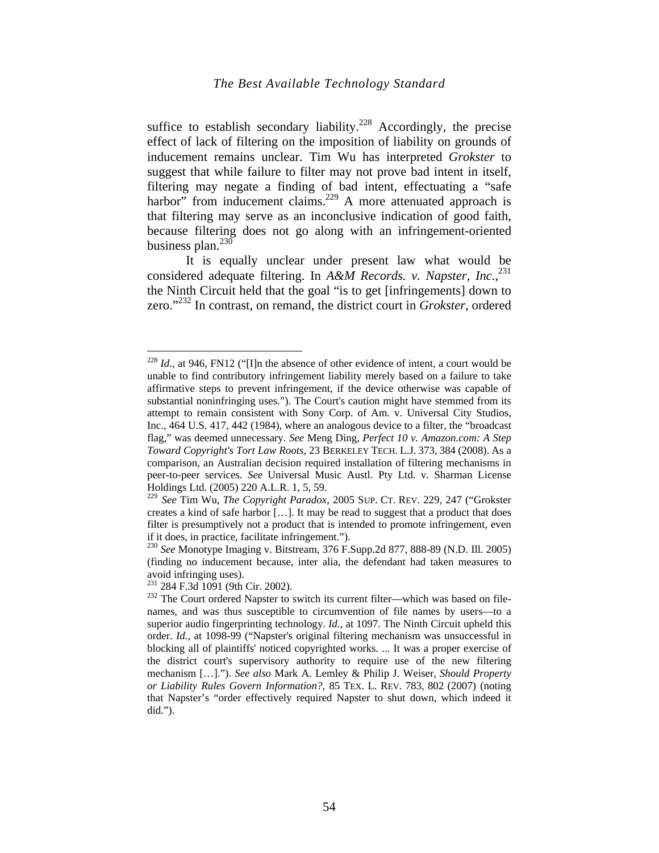suffice to establish secondary liability.<sup>228</sup> Accordingly, the precise effect of lack of filtering on the imposition of liability on grounds of inducement remains unclear. Tim Wu has interpreted *Grokster* to suggest that while failure to filter may not prove bad intent in itself, filtering may negate a finding of bad intent, effectuating a "safe harbor" from inducement claims.<sup>229</sup> A more attenuated approach is that filtering may serve as an inconclusive indication of good faith, because filtering does not go along with an infringement-oriented business plan. $^{230}$ 

It is equally unclear under present law what would be considered adequate filtering. In *A&M Records. v. Napster, Inc.*, 231 the Ninth Circuit held that the goal "is to get [infringements] down to zero."232 In contrast, on remand, the district court in *Grokster*, ordered

<sup>&</sup>lt;sup>228</sup> *Id.*, at 946, FN12 ("I]n the absence of other evidence of intent, a court would be unable to find contributory infringement liability merely based on a failure to take affirmative steps to prevent infringement, if the device otherwise was capable of substantial noninfringing uses."). The Court's caution might have stemmed from its attempt to remain consistent with Sony Corp. of Am. v. Universal City Studios, Inc., 464 U.S. 417, 442 (1984), where an analogous device to a filter, the "broadcast flag," was deemed unnecessary. *See* Meng Ding, *Perfect 10 v. Amazon.com: A Step Toward Copyright's Tort Law Roots*, 23 BERKELEY TECH. L.J. 373, 384 (2008). As a comparison, an Australian decision required installation of filtering mechanisms in peer-to-peer services. *See* Universal Music Austl. Pty Ltd. v. Sharman License Holdings Ltd. (2005) 220 A.L.R. 1, 5, 59.

<sup>229</sup> *See* Tim Wu, *The Copyright Paradox*, 2005 SUP. CT. REV. 229, 247 ("Grokster creates a kind of safe harbor […]. It may be read to suggest that a product that does filter is presumptively not a product that is intended to promote infringement, even if it does, in practice, facilitate infringement.").

<sup>230</sup> *See* Monotype Imaging v. Bitstream, 376 F.Supp.2d 877, 888-89 (N.D. Ill. 2005) (finding no inducement because, inter alia, the defendant had taken measures to avoid infringing uses).<br><sup>231</sup> 284 F.3d 1091 (9th Cir. 2002).

<sup>&</sup>lt;sup>232</sup> The Court ordered Napster to switch its current filter—which was based on filenames, and was thus susceptible to circumvention of file names by users—to a superior audio fingerprinting technology. *Id.*, at 1097. The Ninth Circuit upheld this order. *Id.*, at 1098-99 ("Napster's original filtering mechanism was unsuccessful in blocking all of plaintiffs' noticed copyrighted works. ... It was a proper exercise of the district court's supervisory authority to require use of the new filtering mechanism […]."). *See also* Mark A. Lemley & Philip J. Weiser, *Should Property or Liability Rules Govern Information?,* 85 TEX. L. REV. 783, 802 (2007) (noting that Napster's "order effectively required Napster to shut down, which indeed it did.").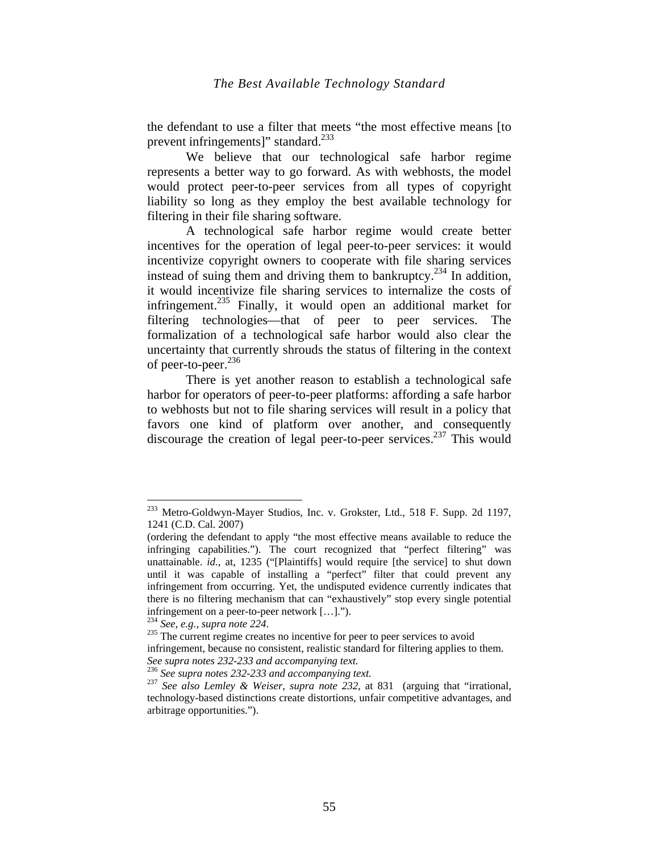the defendant to use a filter that meets "the most effective means [to prevent infringements]" standard. $^{233}$ 

We believe that our technological safe harbor regime represents a better way to go forward. As with webhosts, the model would protect peer-to-peer services from all types of copyright liability so long as they employ the best available technology for filtering in their file sharing software.

A technological safe harbor regime would create better incentives for the operation of legal peer-to-peer services: it would incentivize copyright owners to cooperate with file sharing services instead of suing them and driving them to bankruptcy.<sup>234</sup> In addition, it would incentivize file sharing services to internalize the costs of infringement.<sup>235</sup> Finally, it would open an additional market for filtering technologies—that of peer to peer services. The formalization of a technological safe harbor would also clear the uncertainty that currently shrouds the status of filtering in the context of peer-to-peer. $^{236}$ 

There is yet another reason to establish a technological safe harbor for operators of peer-to-peer platforms: affording a safe harbor to webhosts but not to file sharing services will result in a policy that favors one kind of platform over another, and consequently discourage the creation of legal peer-to-peer services.<sup>237</sup> This would

1

infringement, because no consistent, realistic standard for filtering applies to them.

<sup>&</sup>lt;sup>233</sup> Metro-Goldwyn-Mayer Studios, Inc. v. Grokster, Ltd., 518 F. Supp. 2d 1197, 1241 (C.D. Cal. 2007)

<sup>(</sup>ordering the defendant to apply "the most effective means available to reduce the infringing capabilities."). The court recognized that "perfect filtering" was unattainable. *id.,* at, 1235 ("[Plaintiffs] would require [the service] to shut down until it was capable of installing a "perfect" filter that could prevent any infringement from occurring. Yet, the undisputed evidence currently indicates that there is no filtering mechanism that can "exhaustively" stop every single potential infringement on a peer-to-peer network  $[...]$ .").<br><sup>234</sup> See, e.g., supra note 224.

<sup>&</sup>lt;sup>235</sup> The current regime creates no incentive for peer to peer services to avoid

*See supra notes 232-233 and accompanying text.*<sup>236</sup> *See supra notes 232-233 and accompanying text.*<sup>237</sup> *See also Lemley & Weiser, supra note 232*, at 831(arguing that "irrational, technology-based distinctions create distortions, unfair competitive advantages, and arbitrage opportunities.").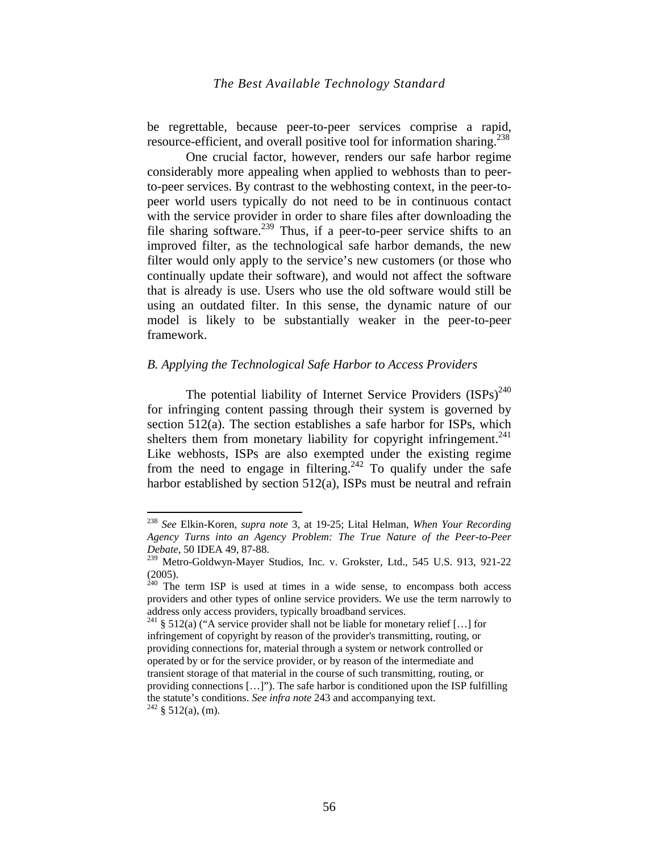be regrettable, because peer-to-peer services comprise a rapid, resource-efficient, and overall positive tool for information sharing.<sup>238</sup>

One crucial factor, however, renders our safe harbor regime considerably more appealing when applied to webhosts than to peerto-peer services. By contrast to the webhosting context, in the peer-topeer world users typically do not need to be in continuous contact with the service provider in order to share files after downloading the file sharing software.<sup>239</sup> Thus, if a peer-to-peer service shifts to an improved filter, as the technological safe harbor demands, the new filter would only apply to the service's new customers (or those who continually update their software), and would not affect the software that is already is use. Users who use the old software would still be using an outdated filter. In this sense, the dynamic nature of our model is likely to be substantially weaker in the peer-to-peer framework.

#### *B. Applying the Technological Safe Harbor to Access Providers*

The potential liability of Internet Service Providers  $(ISPs)^{240}$ for infringing content passing through their system is governed by section 512(a). The section establishes a safe harbor for ISPs, which shelters them from monetary liability for copyright infringement.<sup>241</sup> Like webhosts, ISPs are also exempted under the existing regime from the need to engage in filtering.<sup>242</sup> To qualify under the safe harbor established by section 512(a), ISPs must be neutral and refrain

<sup>238</sup> *See* Elkin-Koren, *supra note* 3, at 19-25; Lital Helman, *When Your Recording Agency Turns into an Agency Problem: The True Nature of the Peer-to-Peer Debate*, 50 IDEA 49, 87-88.

<sup>&</sup>lt;sup>239</sup> Metro-Goldwyn-Mayer Studios, Inc. v. Grokster, Ltd., 545 U.S. 913, 921-22 (2005).

 $240$  The term ISP is used at times in a wide sense, to encompass both access providers and other types of online service providers. We use the term narrowly to address only access providers, typically broadband services.

<sup>&</sup>lt;sup>241</sup> § 512(a) ("A service provider shall not be liable for monetary relief [...] for infringement of copyright by reason of the provider's transmitting, routing, or providing connections for, material through a system or network controlled or operated by or for the service provider, or by reason of the intermediate and transient storage of that material in the course of such transmitting, routing, or providing connections […]"). The safe harbor is conditioned upon the ISP fulfilling the statute's conditions. *See infra note* 243 and accompanying text. <sup>242</sup> § 512(a), (m).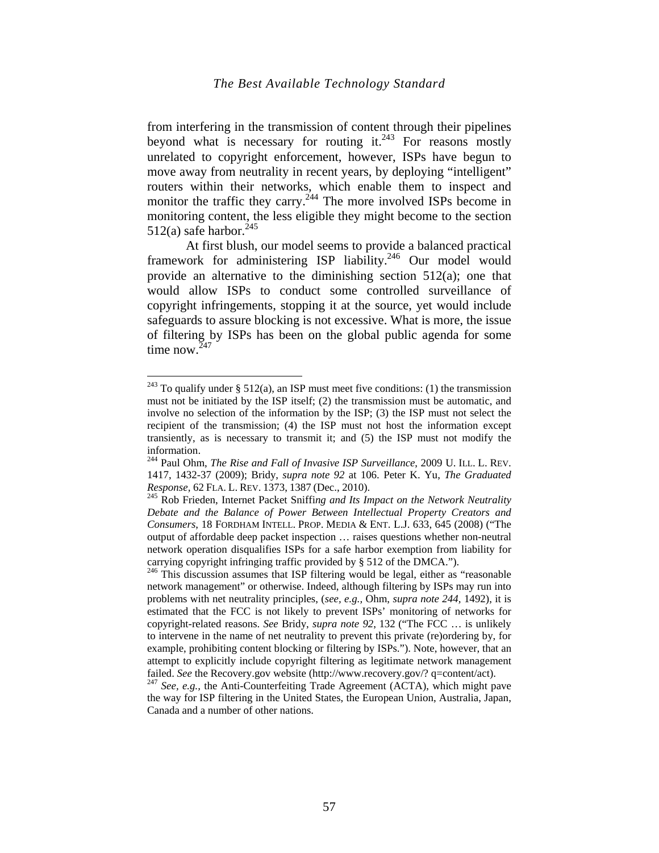from interfering in the transmission of content through their pipelines beyond what is necessary for routing it. $243$  For reasons mostly unrelated to copyright enforcement, however, ISPs have begun to move away from neutrality in recent years, by deploying "intelligent" routers within their networks, which enable them to inspect and monitor the traffic they carry.<sup>244</sup> The more involved ISPs become in monitoring content, the less eligible they might become to the section 512(a) safe harbor.<sup>245</sup>

At first blush, our model seems to provide a balanced practical framework for administering ISP liability.<sup>246</sup> Our model would provide an alternative to the diminishing section 512(a); one that would allow ISPs to conduct some controlled surveillance of copyright infringements, stopping it at the source, yet would include safeguards to assure blocking is not excessive. What is more, the issue of filtering by ISPs has been on the global public agenda for some time now. $247$ 

<u>.</u>

the way for ISP filtering in the United States, the European Union, Australia, Japan, Canada and a number of other nations.

<sup>&</sup>lt;sup>243</sup> To qualify under § 512(a), an ISP must meet five conditions: (1) the transmission must not be initiated by the ISP itself; (2) the transmission must be automatic, and involve no selection of the information by the ISP; (3) the ISP must not select the recipient of the transmission; (4) the ISP must not host the information except transiently, as is necessary to transmit it; and (5) the ISP must not modify the information.

<sup>244</sup> Paul Ohm, *The Rise and Fall of Invasive ISP Surveillance*, 2009 U. ILL. L. REV. 1417, 1432-37 (2009); Bridy, *supra note 92* at 106. Peter K. Yu, *The Graduated Response,* <sup>62</sup> FLA. L. REV. 1373, <sup>1387</sup> (Dec., 2010). 245 Rob Frieden, Internet Packet Sniffi*ng and Its Impact on the Network Neutrality* 

*Debate and the Balance of Power Between Intellectual Property Creators and Consumers*, 18 FORDHAM INTELL. PROP. MEDIA & ENT. L.J. 633, 645 (2008) ("The output of affordable deep packet inspection … raises questions whether non-neutral network operation disqualifies ISPs for a safe harbor exemption from liability for carrying copyright infringing traffic provided by § 512 of the DMCA.").

<sup>&</sup>lt;sup>246</sup> This discussion assumes that ISP filtering would be legal, either as "reasonable network management" or otherwise. Indeed, although filtering by ISPs may run into problems with net neutrality principles, (*see, e.g.,* Ohm, *supra note 244,* 1492), it is estimated that the FCC is not likely to prevent ISPs' monitoring of networks for copyright-related reasons. *See* Bridy, *supra note 92*, 132 ("The FCC … is unlikely to intervene in the name of net neutrality to prevent this private (re)ordering by, for example, prohibiting content blocking or filtering by ISPs."). Note, however, that an attempt to explicitly include copyright filtering as legitimate network management failed. *See* the Recovery.gov website (http://www.recovery.gov/? q=content/act). <sup>247</sup> *See, e.g.,* the Anti-Counterfeiting Trade Agreement (ACTA), which might pave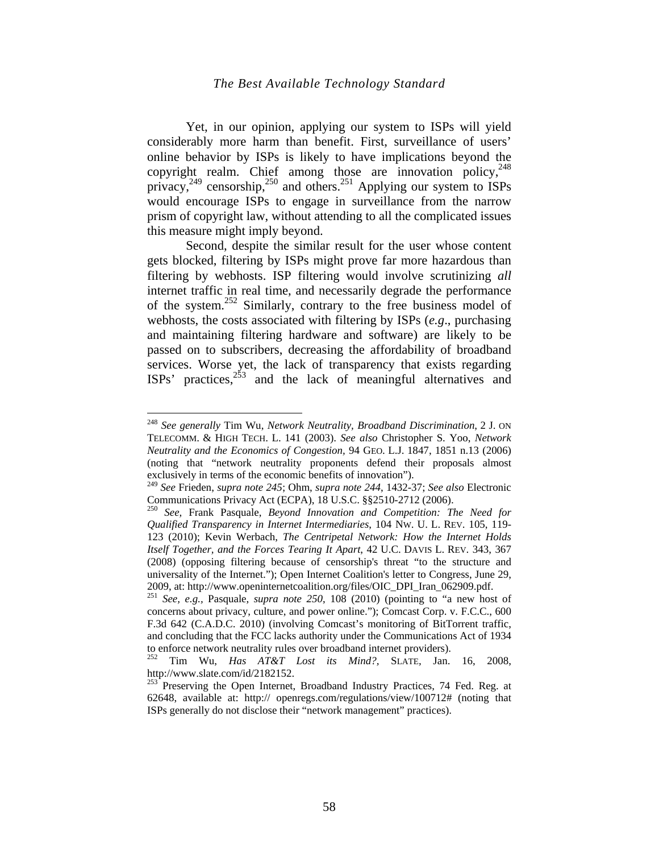Yet, in our opinion, applying our system to ISPs will yield considerably more harm than benefit. First, surveillance of users' online behavior by ISPs is likely to have implications beyond the copyright realm. Chief among those are innovation policy,<sup>248</sup> privacy,<sup>249</sup> censorship,<sup>250</sup> and others.<sup>251</sup> Applying our system to ISPs would encourage ISPs to engage in surveillance from the narrow prism of copyright law, without attending to all the complicated issues this measure might imply beyond.

Second, despite the similar result for the user whose content gets blocked, filtering by ISPs might prove far more hazardous than filtering by webhosts. ISP filtering would involve scrutinizing *all* internet traffic in real time, and necessarily degrade the performance of the system.252 Similarly, contrary to the free business model of webhosts, the costs associated with filtering by ISPs (*e.g*., purchasing and maintaining filtering hardware and software) are likely to be passed on to subscribers, decreasing the affordability of broadband services. Worse yet, the lack of transparency that exists regarding  $ISPs'$  practices,  $253$  and the lack of meaningful alternatives and

<sup>248</sup> *See generally* Tim Wu, *Network Neutrality, Broadband Discrimination*, 2 J. ON TELECOMM. & HIGH TECH. L. 141 (2003). *See also* Christopher S. Yoo, *Network Neutrality and the Economics of Congestion,* 94 GEO. L.J. 1847, 1851 n.13 (2006) (noting that "network neutrality proponents defend their proposals almost exclusively in terms of the economic benefits of innovation").

<sup>249</sup> *See* Frieden, *supra note 245*; Ohm, *supra note 244*, 1432-37; *See also* Electronic Communications Privacy Act (ECPA), 18 U.S.C. §§2510-2712 (2006).

<sup>250</sup> *See,* Frank Pasquale, *Beyond Innovation and Competition: The Need for Qualified Transparency in Internet Intermediaries*, 104 NW. U. L. REV. 105, 119- 123 (2010); Kevin Werbach, *The Centripetal Network: How the Internet Holds Itself Together, and the Forces Tearing It Apart*, 42 U.C. DAVIS L. REV. 343, 367 (2008) (opposing filtering because of censorship's threat "to the structure and universality of the Internet."); Open Internet Coalition's letter to Congress, June 29, 2009, at: http://www.openinternetcoalition.org/files/OIC\_DPI\_Iran\_062909.pdf. 251 *See, e.g.,* Pasquale, *supra note 250*, 108 (2010) (pointing to "a new host of

concerns about privacy, culture, and power online."); Comcast Corp. v. F.C.C., 600 F.3d 642 (C.A.D.C. 2010) (involving Comcast's monitoring of BitTorrent traffic, and concluding that the FCC lacks authority under the Communications Act of 1934

to enforce network neutrality rules over broadband internet providers). 252 Tim Wu, *Has AT&T Lost its Mind?,* SLATE*,* Jan. 16, 2008, http://www.slate.com/id/2182152.

 $253$  Preserving the Open Internet, Broadband Industry Practices, 74 Fed. Reg. at 62648, available at: http:// openregs.com/regulations/view/100712# (noting that ISPs generally do not disclose their "network management" practices).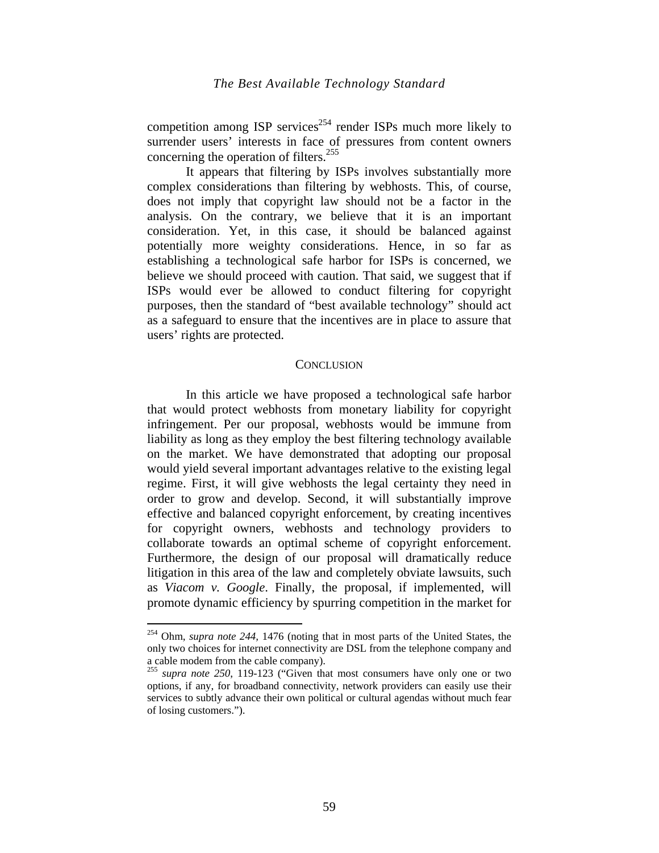competition among ISP services<sup> $254$ </sup> render ISPs much more likely to surrender users' interests in face of pressures from content owners concerning the operation of filters.<sup>255</sup>

It appears that filtering by ISPs involves substantially more complex considerations than filtering by webhosts. This, of course, does not imply that copyright law should not be a factor in the analysis. On the contrary, we believe that it is an important consideration. Yet, in this case, it should be balanced against potentially more weighty considerations. Hence, in so far as establishing a technological safe harbor for ISPs is concerned, we believe we should proceed with caution. That said, we suggest that if ISPs would ever be allowed to conduct filtering for copyright purposes, then the standard of "best available technology" should act as a safeguard to ensure that the incentives are in place to assure that users' rights are protected.

#### **CONCLUSION**

In this article we have proposed a technological safe harbor that would protect webhosts from monetary liability for copyright infringement. Per our proposal, webhosts would be immune from liability as long as they employ the best filtering technology available on the market. We have demonstrated that adopting our proposal would yield several important advantages relative to the existing legal regime. First, it will give webhosts the legal certainty they need in order to grow and develop. Second, it will substantially improve effective and balanced copyright enforcement, by creating incentives for copyright owners, webhosts and technology providers to collaborate towards an optimal scheme of copyright enforcement. Furthermore, the design of our proposal will dramatically reduce litigation in this area of the law and completely obviate lawsuits, such as *Viacom v. Google*. Finally, the proposal, if implemented, will promote dynamic efficiency by spurring competition in the market for

<sup>254</sup> Ohm, *supra note 244,* 1476 (noting that in most parts of the United States, the only two choices for internet connectivity are DSL from the telephone company and a cable modem from the cable company).

<sup>255</sup> *supra note 250*, 119-123 ("Given that most consumers have only one or two options, if any, for broadband connectivity, network providers can easily use their services to subtly advance their own political or cultural agendas without much fear of losing customers.").